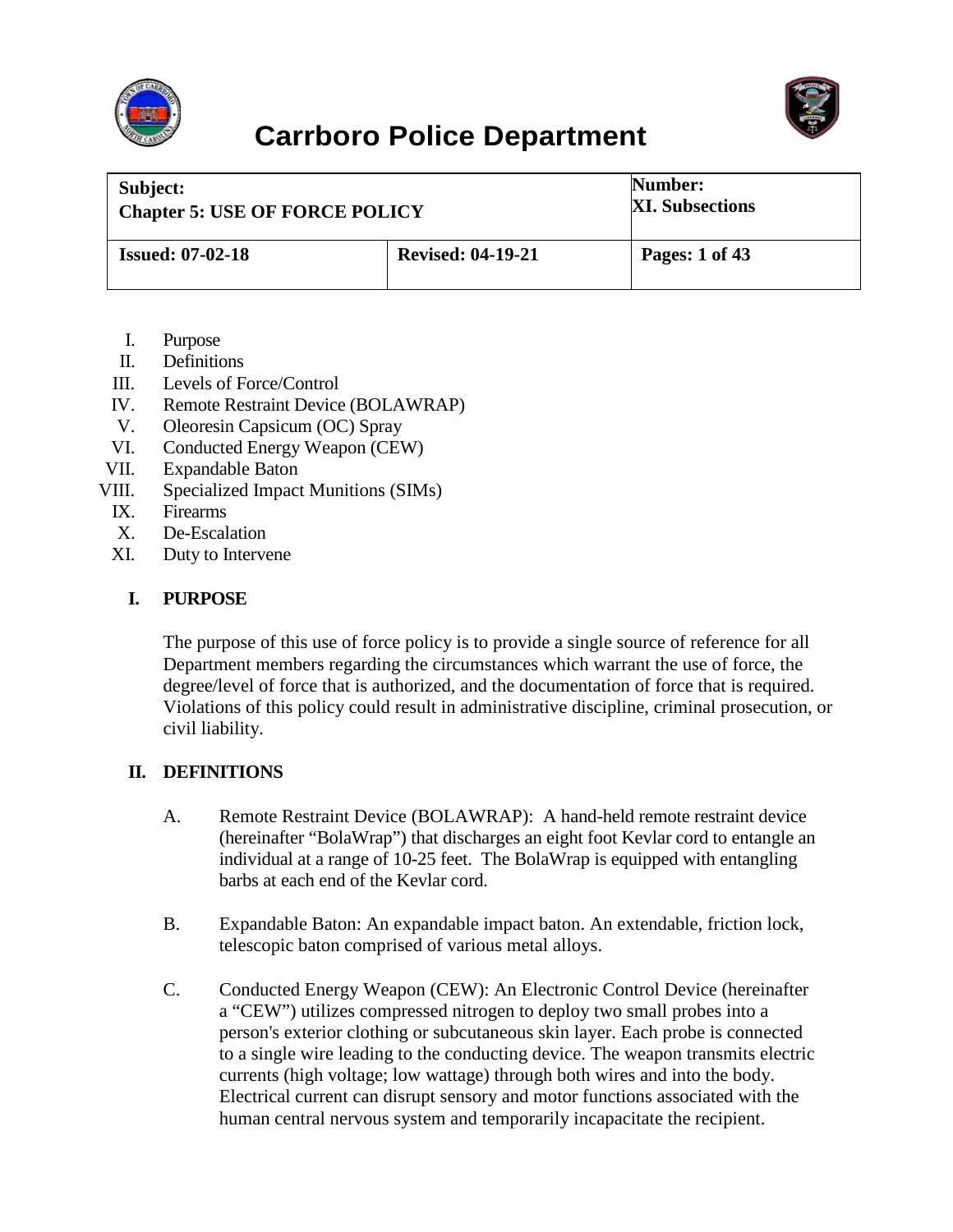



| Subject:                              |                          | Number:                |
|---------------------------------------|--------------------------|------------------------|
| <b>Chapter 5: USE OF FORCE POLICY</b> |                          | <b>XI. Subsections</b> |
| <b>Issued: 07-02-18</b>               | <b>Revised: 04-19-21</b> | Pages: 1 of 43         |

- I. Purpose
- II. Definitions
- III. Levels of Force/Control
- IV. Remote Restraint Device (BOLAWRAP)
- V. Oleoresin Capsicum (OC) Spray
- VI. Conducted Energy Weapon (CEW)
- VII. Expandable Baton
- VIII. Specialized Impact Munitions (SIMs)
	- IX. Firearms
	- X. De-Escalation
	- XI. Duty to Intervene

#### **I. PURPOSE**

The purpose of this use of force policy is to provide a single source of reference for all Department members regarding the circumstances which warrant the use of force, the degree/level of force that is authorized, and the documentation of force that is required. Violations of this policy could result in administrative discipline, criminal prosecution, or civil liability.

#### **II. DEFINITIONS**

- A. Remote Restraint Device (BOLAWRAP): A hand-held remote restraint device (hereinafter "BolaWrap") that discharges an eight foot Kevlar cord to entangle an individual at a range of 10-25 feet. The BolaWrap is equipped with entangling barbs at each end of the Kevlar cord.
- B. Expandable Baton: An expandable impact baton. An extendable, friction lock, telescopic baton comprised of various metal alloys.
- C. Conducted Energy Weapon (CEW): An Electronic Control Device (hereinafter a "CEW") utilizes compressed nitrogen to deploy two small probes into a person's exterior clothing or subcutaneous skin layer. Each probe is connected to a single wire leading to the conducting device. The weapon transmits electric currents (high voltage; low wattage) through both wires and into the body. Electrical current can disrupt sensory and motor functions associated with the human central nervous system and temporarily incapacitate the recipient.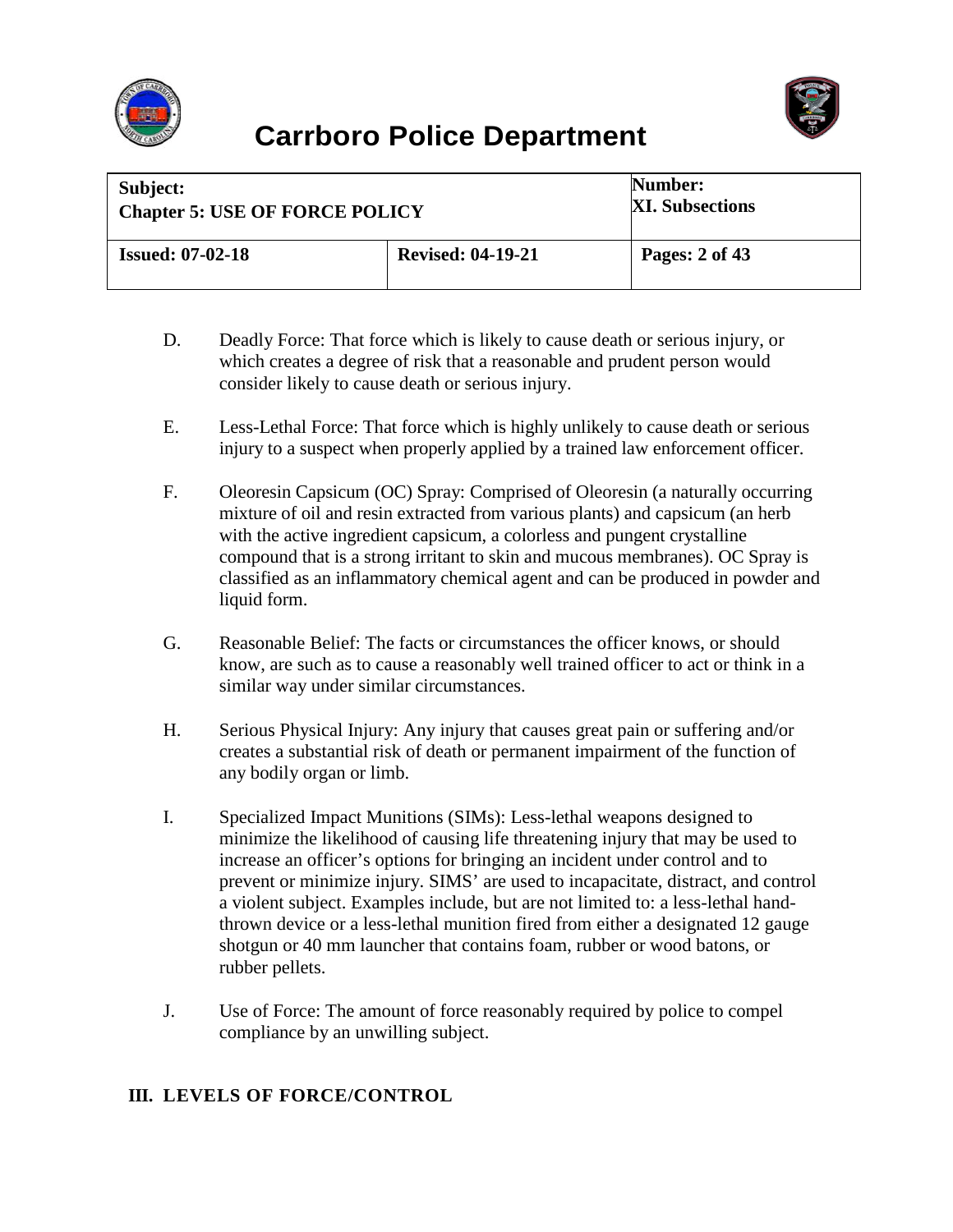



| Subject:                              |                          | Number:                |
|---------------------------------------|--------------------------|------------------------|
| <b>Chapter 5: USE OF FORCE POLICY</b> |                          | <b>XI. Subsections</b> |
| <b>Issued: 07-02-18</b>               | <b>Revised: 04-19-21</b> | Pages: 2 of 43         |

- D. Deadly Force: That force which is likely to cause death or serious injury, or which creates a degree of risk that a reasonable and prudent person would consider likely to cause death or serious injury.
- E. Less-Lethal Force: That force which is highly unlikely to cause death or serious injury to a suspect when properly applied by a trained law enforcement officer.
- F. Oleoresin Capsicum (OC) Spray: Comprised of Oleoresin (a naturally occurring mixture of oil and resin extracted from various plants) and capsicum (an herb with the active ingredient capsicum, a colorless and pungent crystalline compound that is a strong irritant to skin and mucous membranes). OC Spray is classified as an inflammatory chemical agent and can be produced in powder and liquid form.
- G. Reasonable Belief: The facts or circumstances the officer knows, or should know, are such as to cause a reasonably well trained officer to act or think in a similar way under similar circumstances.
- H. Serious Physical Injury: Any injury that causes great pain or suffering and/or creates a substantial risk of death or permanent impairment of the function of any bodily organ or limb.
- I. Specialized Impact Munitions (SIMs): Less-lethal weapons designed to minimize the likelihood of causing life threatening injury that may be used to increase an officer's options for bringing an incident under control and to prevent or minimize injury. SIMS' are used to incapacitate, distract, and control a violent subject. Examples include, but are not limited to: a less-lethal handthrown device or a less-lethal munition fired from either a designated 12 gauge shotgun or 40 mm launcher that contains foam, rubber or wood batons, or rubber pellets.
- J. Use of Force: The amount of force reasonably required by police to compel compliance by an unwilling subject.

#### **III. LEVELS OF FORCE/CONTROL**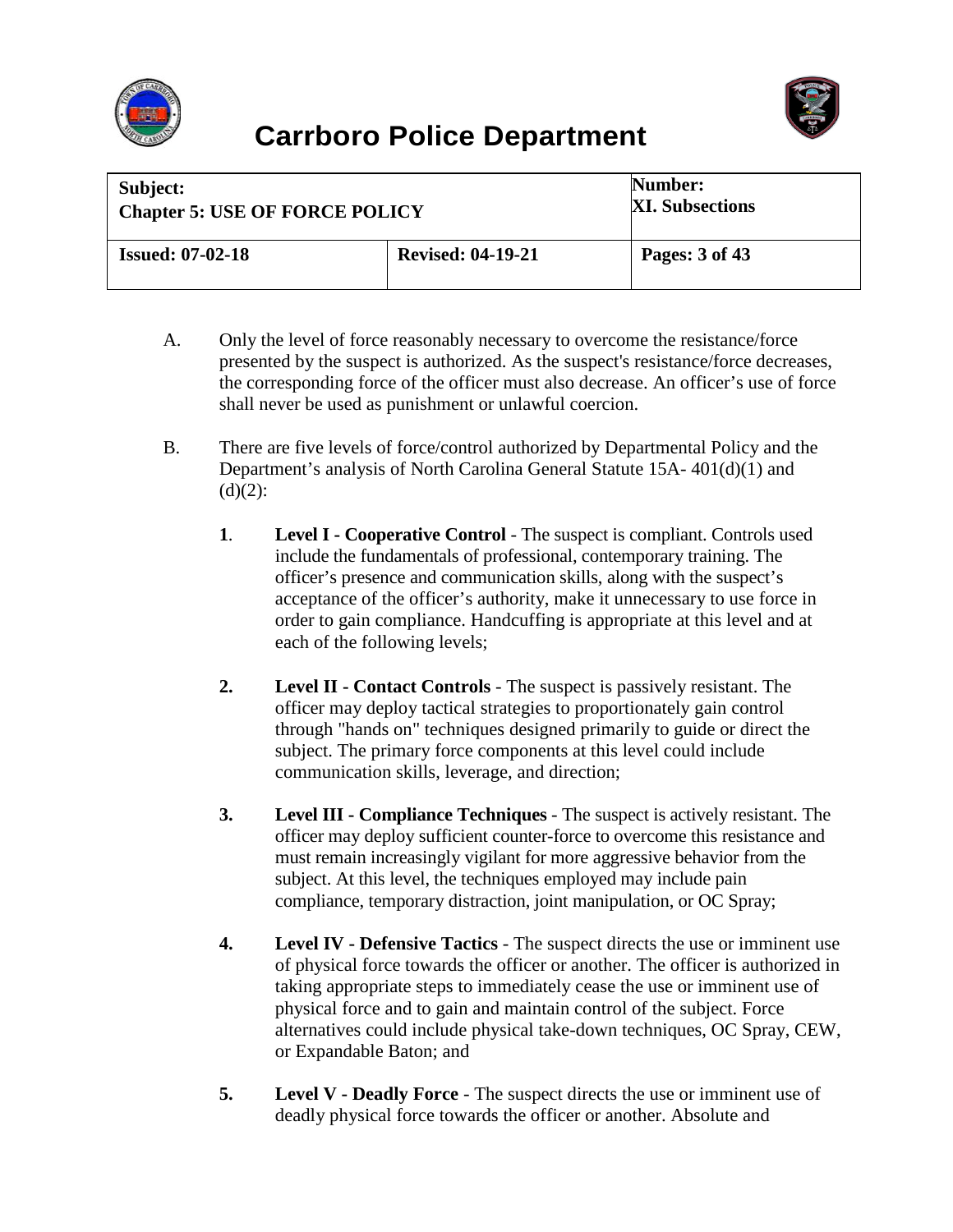



| Subject:                              |                          | Number:                |
|---------------------------------------|--------------------------|------------------------|
| <b>Chapter 5: USE OF FORCE POLICY</b> |                          | <b>XI. Subsections</b> |
| <b>Issued: 07-02-18</b>               | <b>Revised: 04-19-21</b> | Pages: 3 of 43         |

- A. Only the level of force reasonably necessary to overcome the resistance/force presented by the suspect is authorized. As the suspect's resistance/force decreases, the corresponding force of the officer must also decrease. An officer's use of force shall never be used as punishment or unlawful coercion.
- B. There are five levels of force/control authorized by Departmental Policy and the Department's analysis of North Carolina General Statute 15A- 401(d)(1) and  $(d)(2)$ :
	- **1. Level I Cooperative Control** The suspect is compliant. Controls used include the fundamentals of professional, contemporary training. The officer's presence and communication skills, along with the suspect's acceptance of the officer's authority, make it unnecessary to use force in order to gain compliance. Handcuffing is appropriate at this level and at each of the following levels;
	- **2. Level II Contact Controls**  The suspect is passively resistant. The officer may deploy tactical strategies to proportionately gain control through "hands on" techniques designed primarily to guide or direct the subject. The primary force components at this level could include communication skills, leverage, and direction;
	- **3. Level III Compliance Techniques**  The suspect is actively resistant. The officer may deploy sufficient counter-force to overcome this resistance and must remain increasingly vigilant for more aggressive behavior from the subject. At this level, the techniques employed may include pain compliance, temporary distraction, joint manipulation, or OC Spray;
	- **4. Level IV Defensive Tactics**  The suspect directs the use or imminent use of physical force towards the officer or another. The officer is authorized in taking appropriate steps to immediately cease the use or imminent use of physical force and to gain and maintain control of the subject. Force alternatives could include physical take-down techniques, OC Spray, CEW, or Expandable Baton; and
	- **5. Level V Deadly Force**  The suspect directs the use or imminent use of deadly physical force towards the officer or another. Absolute and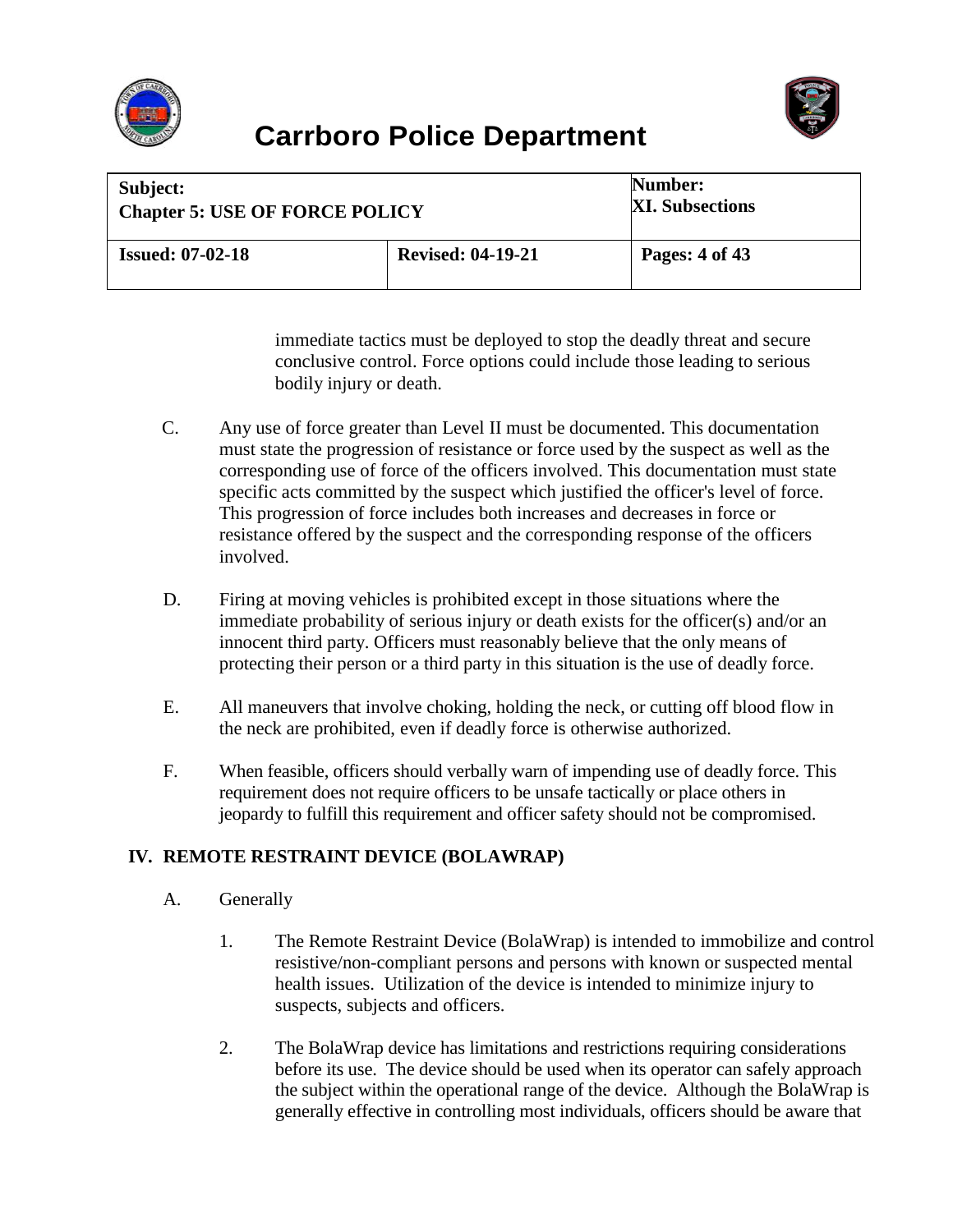



| Subject:                              |                          | Number:                |
|---------------------------------------|--------------------------|------------------------|
| <b>Chapter 5: USE OF FORCE POLICY</b> |                          | <b>XI. Subsections</b> |
| <b>Issued: 07-02-18</b>               | <b>Revised: 04-19-21</b> | Pages: 4 of 43         |

immediate tactics must be deployed to stop the deadly threat and secure conclusive control. Force options could include those leading to serious bodily injury or death.

- C. Any use of force greater than Level II must be documented. This documentation must state the progression of resistance or force used by the suspect as well as the corresponding use of force of the officers involved. This documentation must state specific acts committed by the suspect which justified the officer's level of force. This progression of force includes both increases and decreases in force or resistance offered by the suspect and the corresponding response of the officers involved.
- D. Firing at moving vehicles is prohibited except in those situations where the immediate probability of serious injury or death exists for the officer(s) and/or an innocent third party. Officers must reasonably believe that the only means of protecting their person or a third party in this situation is the use of deadly force.
- E. All maneuvers that involve choking, holding the neck, or cutting off blood flow in the neck are prohibited, even if deadly force is otherwise authorized.
- F. When feasible, officers should verbally warn of impending use of deadly force. This requirement does not require officers to be unsafe tactically or place others in jeopardy to fulfill this requirement and officer safety should not be compromised.

#### **IV. REMOTE RESTRAINT DEVICE (BOLAWRAP)**

- A. Generally
	- 1. The Remote Restraint Device (BolaWrap) is intended to immobilize and control resistive/non-compliant persons and persons with known or suspected mental health issues. Utilization of the device is intended to minimize injury to suspects, subjects and officers.
	- 2. The BolaWrap device has limitations and restrictions requiring considerations before its use. The device should be used when its operator can safely approach the subject within the operational range of the device. Although the BolaWrap is generally effective in controlling most individuals, officers should be aware that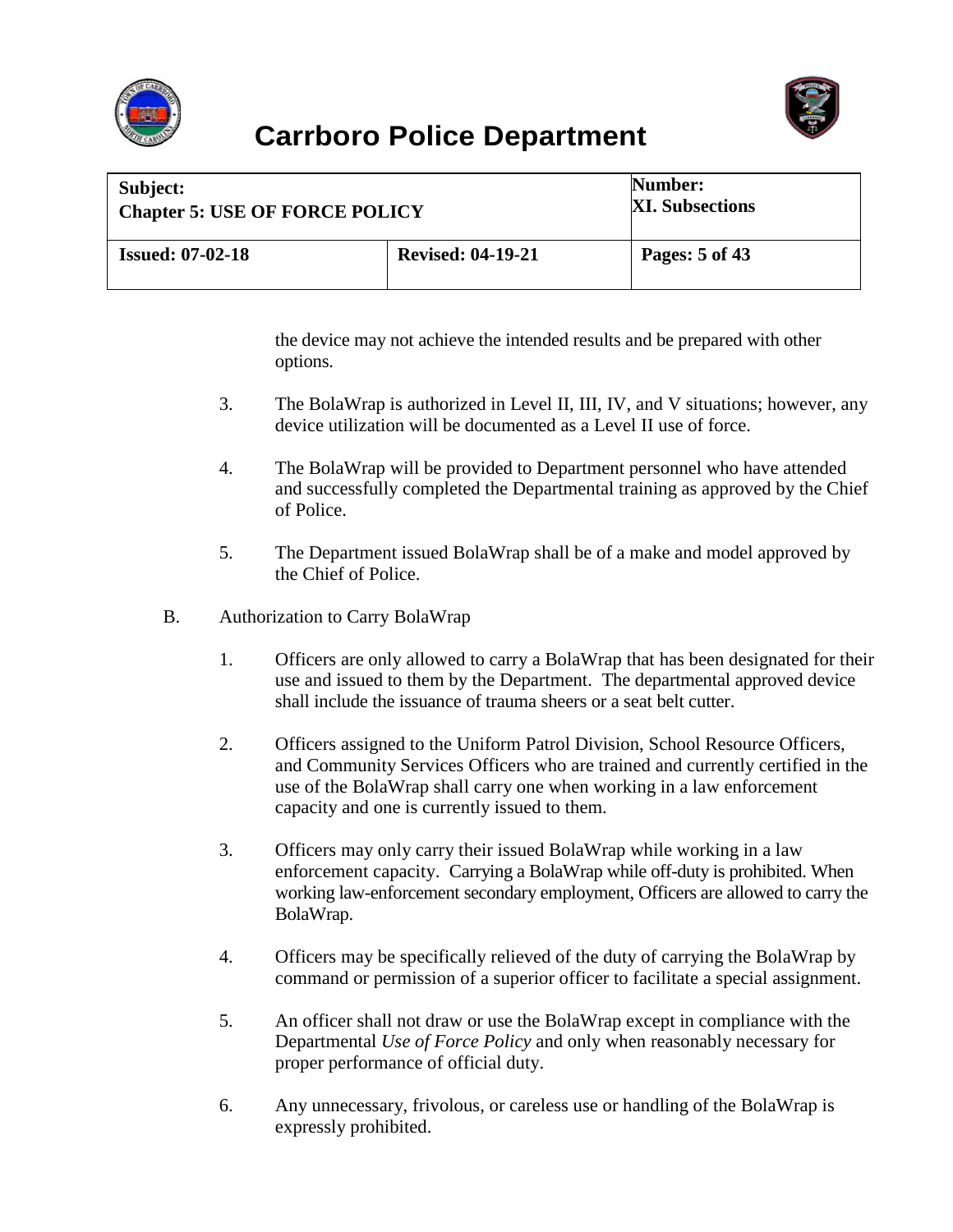



| Subject:                              |                          | Number:                |
|---------------------------------------|--------------------------|------------------------|
| <b>Chapter 5: USE OF FORCE POLICY</b> |                          | <b>XI. Subsections</b> |
| <b>Issued: 07-02-18</b>               | <b>Revised: 04-19-21</b> | Pages: 5 of 43         |

the device may not achieve the intended results and be prepared with other options.

- 3. The BolaWrap is authorized in Level II, III, IV, and V situations; however, any device utilization will be documented as a Level II use of force.
- 4. The BolaWrap will be provided to Department personnel who have attended and successfully completed the Departmental training as approved by the Chief of Police.
- 5. The Department issued BolaWrap shall be of a make and model approved by the Chief of Police.
- B. Authorization to Carry BolaWrap
	- 1. Officers are only allowed to carry a BolaWrap that has been designated for their use and issued to them by the Department. The departmental approved device shall include the issuance of trauma sheers or a seat belt cutter.
	- 2. Officers assigned to the Uniform Patrol Division, School Resource Officers, and Community Services Officers who are trained and currently certified in the use of the BolaWrap shall carry one when working in a law enforcement capacity and one is currently issued to them.
	- 3. Officers may only carry their issued BolaWrap while working in a law enforcement capacity. Carrying a BolaWrap while off-duty is prohibited. When working law-enforcement secondary employment, Officers are allowed to carry the BolaWrap.
	- 4. Officers may be specifically relieved of the duty of carrying the BolaWrap by command or permission of a superior officer to facilitate a special assignment.
	- 5. An officer shall not draw or use the BolaWrap except in compliance with the Departmental *Use of Force Policy* and only when reasonably necessary for proper performance of official duty.
	- 6. Any unnecessary, frivolous, or careless use or handling of the BolaWrap is expressly prohibited.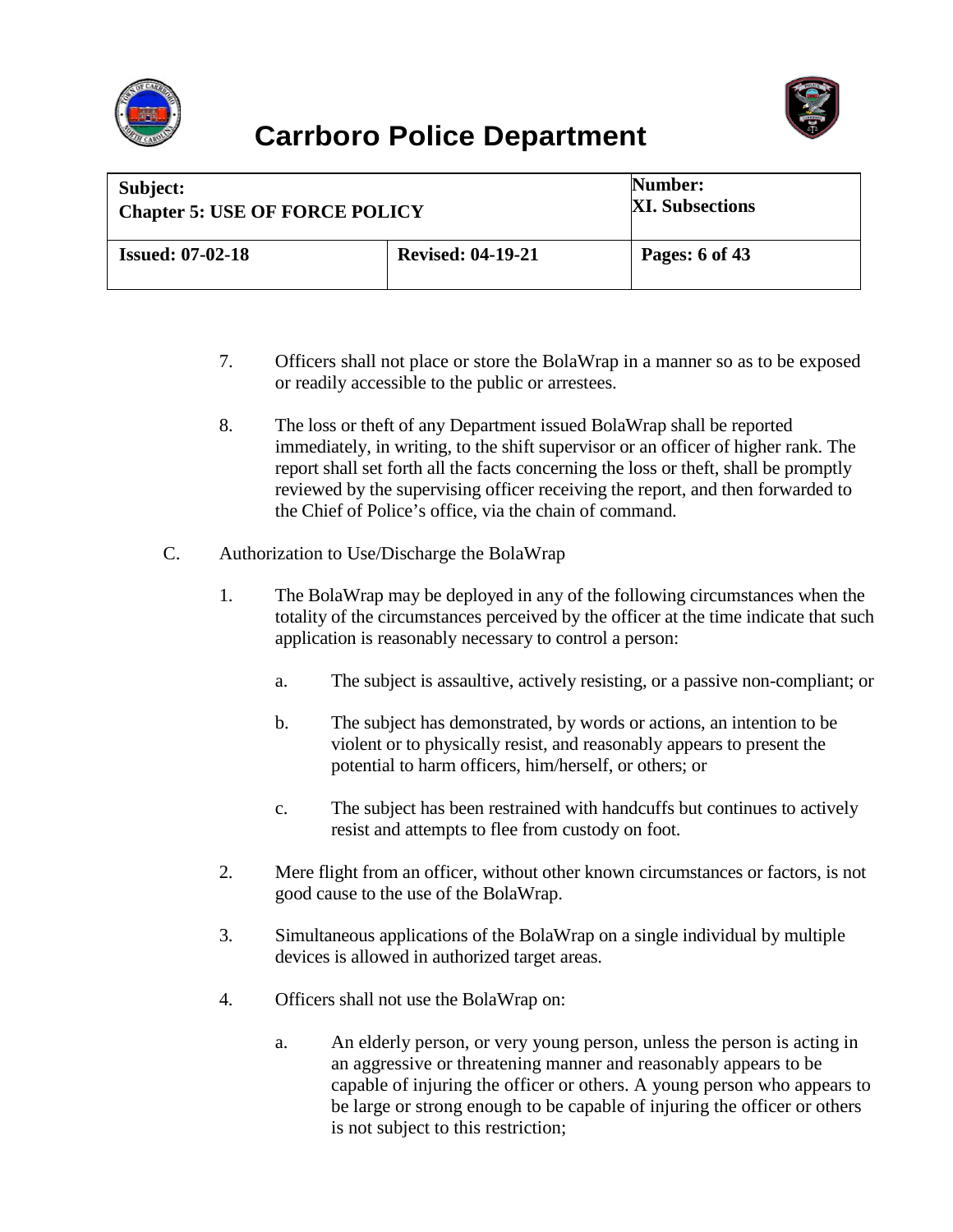



| Subject:                              |                          | Number:                |
|---------------------------------------|--------------------------|------------------------|
| <b>Chapter 5: USE OF FORCE POLICY</b> |                          | <b>XI. Subsections</b> |
| <b>Issued: 07-02-18</b>               | <b>Revised: 04-19-21</b> | Pages: 6 of 43         |

- 7. Officers shall not place or store the BolaWrap in a manner so as to be exposed or readily accessible to the public or arrestees.
- 8. The loss or theft of any Department issued BolaWrap shall be reported immediately, in writing, to the shift supervisor or an officer of higher rank. The report shall set forth all the facts concerning the loss or theft, shall be promptly reviewed by the supervising officer receiving the report, and then forwarded to the Chief of Police's office, via the chain of command.
- C. Authorization to Use/Discharge the BolaWrap
	- 1. The BolaWrap may be deployed in any of the following circumstances when the totality of the circumstances perceived by the officer at the time indicate that such application is reasonably necessary to control a person:
		- a. The subject is assaultive, actively resisting, or a passive non-compliant; or
		- b. The subject has demonstrated, by words or actions, an intention to be violent or to physically resist, and reasonably appears to present the potential to harm officers, him/herself, or others; or
		- c. The subject has been restrained with handcuffs but continues to actively resist and attempts to flee from custody on foot.
	- 2. Mere flight from an officer, without other known circumstances or factors, is not good cause to the use of the BolaWrap.
	- 3. Simultaneous applications of the BolaWrap on a single individual by multiple devices is allowed in authorized target areas.
	- 4. Officers shall not use the BolaWrap on:
		- a. An elderly person, or very young person, unless the person is acting in an aggressive or threatening manner and reasonably appears to be capable of injuring the officer or others. A young person who appears to be large or strong enough to be capable of injuring the officer or others is not subject to this restriction;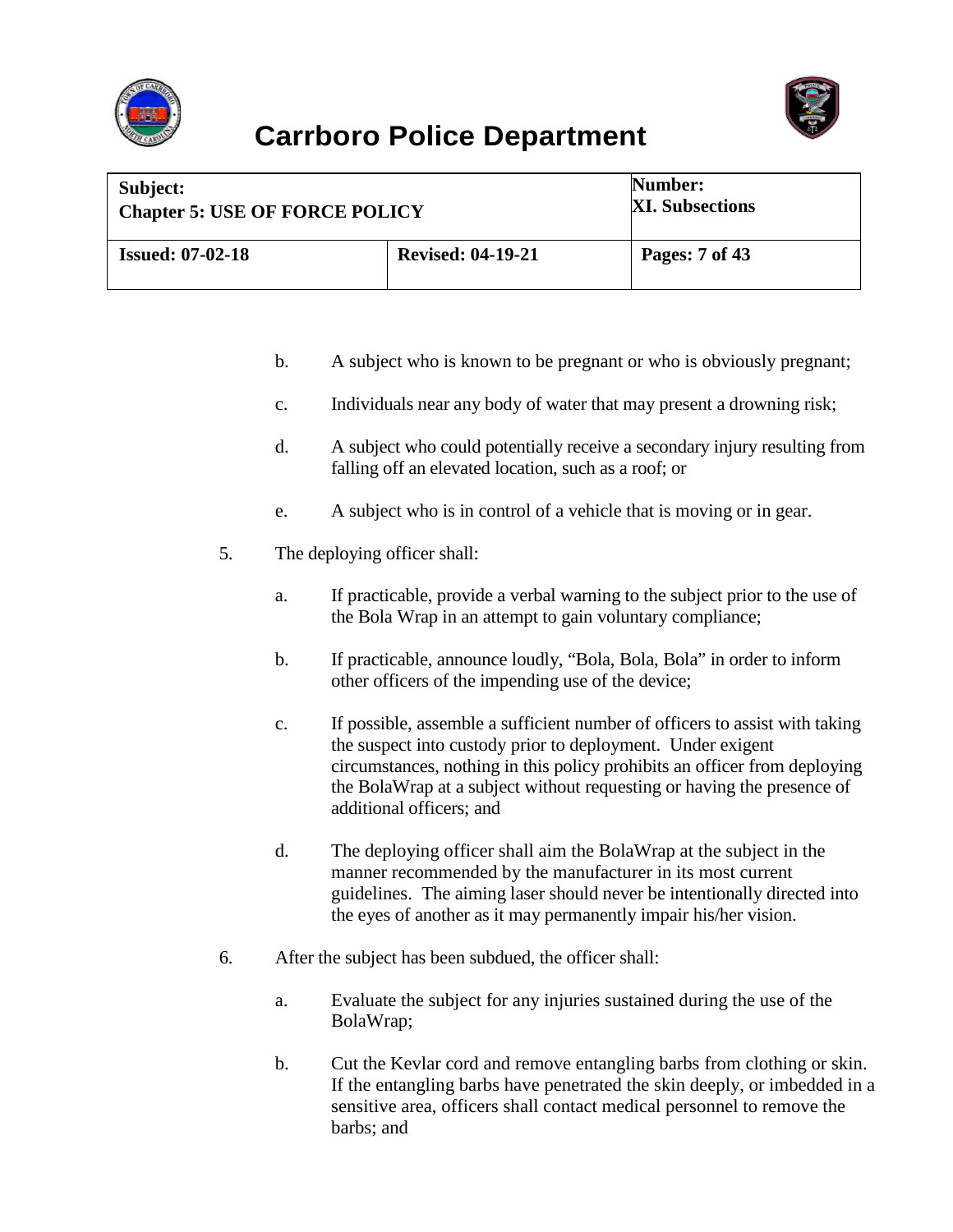



| Subject:                              |                          | Number:                |
|---------------------------------------|--------------------------|------------------------|
| <b>Chapter 5: USE OF FORCE POLICY</b> |                          | <b>XI. Subsections</b> |
| <b>Issued: 07-02-18</b>               | <b>Revised: 04-19-21</b> | Pages: 7 of 43         |

- b. A subject who is known to be pregnant or who is obviously pregnant;
- c. Individuals near any body of water that may present a drowning risk;
- d. A subject who could potentially receive a secondary injury resulting from falling off an elevated location, such as a roof; or
- e. A subject who is in control of a vehicle that is moving or in gear.
- 5. The deploying officer shall:
	- a. If practicable, provide a verbal warning to the subject prior to the use of the Bola Wrap in an attempt to gain voluntary compliance;
	- b. If practicable, announce loudly, "Bola, Bola, Bola" in order to inform other officers of the impending use of the device;
	- c. If possible, assemble a sufficient number of officers to assist with taking the suspect into custody prior to deployment. Under exigent circumstances, nothing in this policy prohibits an officer from deploying the BolaWrap at a subject without requesting or having the presence of additional officers; and
	- d. The deploying officer shall aim the BolaWrap at the subject in the manner recommended by the manufacturer in its most current guidelines. The aiming laser should never be intentionally directed into the eyes of another as it may permanently impair his/her vision.
- 6. After the subject has been subdued, the officer shall:
	- a. Evaluate the subject for any injuries sustained during the use of the BolaWrap;
	- b. Cut the Kevlar cord and remove entangling barbs from clothing or skin. If the entangling barbs have penetrated the skin deeply, or imbedded in a sensitive area, officers shall contact medical personnel to remove the barbs; and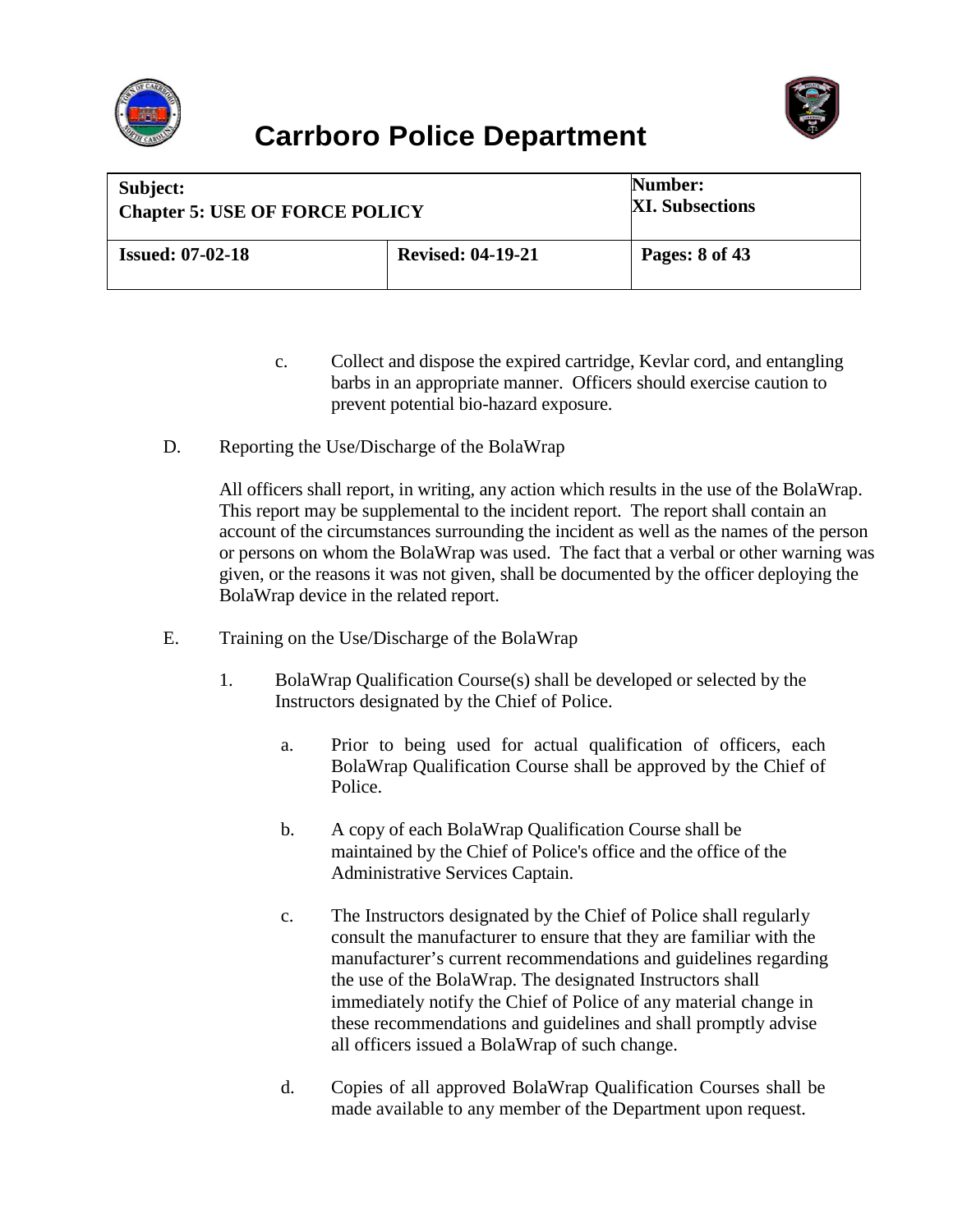



| Subject:                              |                          | Number:                |
|---------------------------------------|--------------------------|------------------------|
| <b>Chapter 5: USE OF FORCE POLICY</b> |                          | <b>XI. Subsections</b> |
| <b>Issued: 07-02-18</b>               | <b>Revised: 04-19-21</b> | Pages: 8 of 43         |

- c. Collect and dispose the expired cartridge, Kevlar cord, and entangling barbs in an appropriate manner. Officers should exercise caution to prevent potential bio-hazard exposure.
- D. Reporting the Use/Discharge of the BolaWrap

All officers shall report, in writing, any action which results in the use of the BolaWrap. This report may be supplemental to the incident report. The report shall contain an account of the circumstances surrounding the incident as well as the names of the person or persons on whom the BolaWrap was used. The fact that a verbal or other warning was given, or the reasons it was not given, shall be documented by the officer deploying the BolaWrap device in the related report.

- E. Training on the Use/Discharge of the BolaWrap
	- 1. BolaWrap Qualification Course(s) shall be developed or selected by the Instructors designated by the Chief of Police.
		- a. Prior to being used for actual qualification of officers, each BolaWrap Qualification Course shall be approved by the Chief of Police.
		- b. A copy of each BolaWrap Qualification Course shall be maintained by the Chief of Police's office and the office of the Administrative Services Captain.
		- c. The Instructors designated by the Chief of Police shall regularly consult the manufacturer to ensure that they are familiar with the manufacturer's current recommendations and guidelines regarding the use of the BolaWrap. The designated Instructors shall immediately notify the Chief of Police of any material change in these recommendations and guidelines and shall promptly advise all officers issued a BolaWrap of such change.
		- d. Copies of all approved BolaWrap Qualification Courses shall be made available to any member of the Department upon request.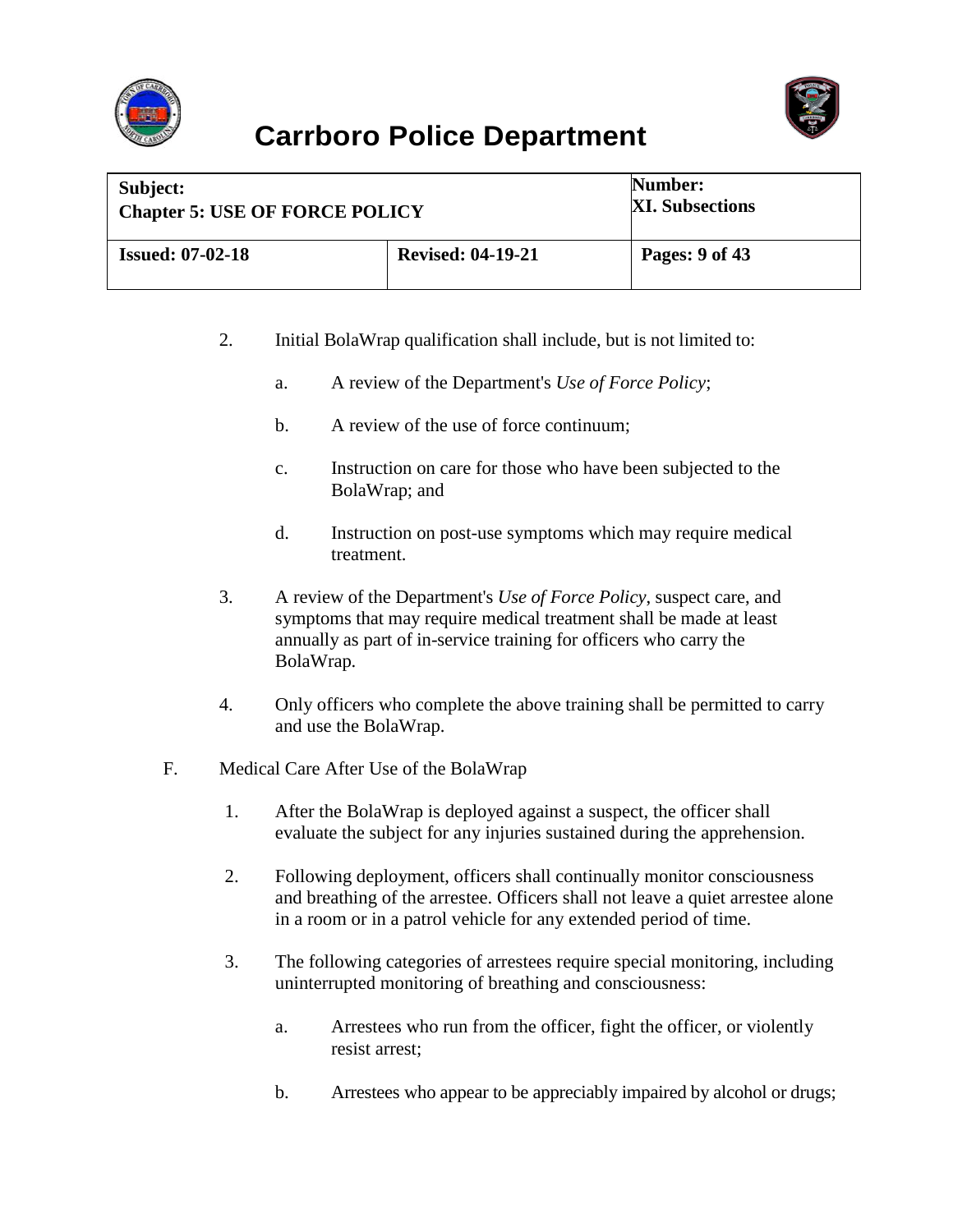



| Subject:                              |                          | Number:                |
|---------------------------------------|--------------------------|------------------------|
| <b>Chapter 5: USE OF FORCE POLICY</b> |                          | <b>XI. Subsections</b> |
| <b>Issued: 07-02-18</b>               | <b>Revised: 04-19-21</b> | Pages: 9 of 43         |

- 2. Initial BolaWrap qualification shall include, but is not limited to:
	- a. A review of the Department's *Use of Force Policy*;
	- b. A review of the use of force continuum;
	- c. Instruction on care for those who have been subjected to the BolaWrap; and
	- d. Instruction on post-use symptoms which may require medical treatment.
- 3. A review of the Department's *Use of Force Policy*, suspect care, and symptoms that may require medical treatment shall be made at least annually as part of in-service training for officers who carry the BolaWrap.
- 4. Only officers who complete the above training shall be permitted to carry and use the BolaWrap.
- F. Medical Care After Use of the BolaWrap
	- 1. After the BolaWrap is deployed against a suspect, the officer shall evaluate the subject for any injuries sustained during the apprehension.
	- 2. Following deployment, officers shall continually monitor consciousness and breathing of the arrestee. Officers shall not leave a quiet arrestee alone in a room or in a patrol vehicle for any extended period of time.
	- 3. The following categories of arrestees require special monitoring, including uninterrupted monitoring of breathing and consciousness:
		- a. Arrestees who run from the officer, fight the officer, or violently resist arrest;
		- b. Arrestees who appear to be appreciably impaired by alcohol or drugs;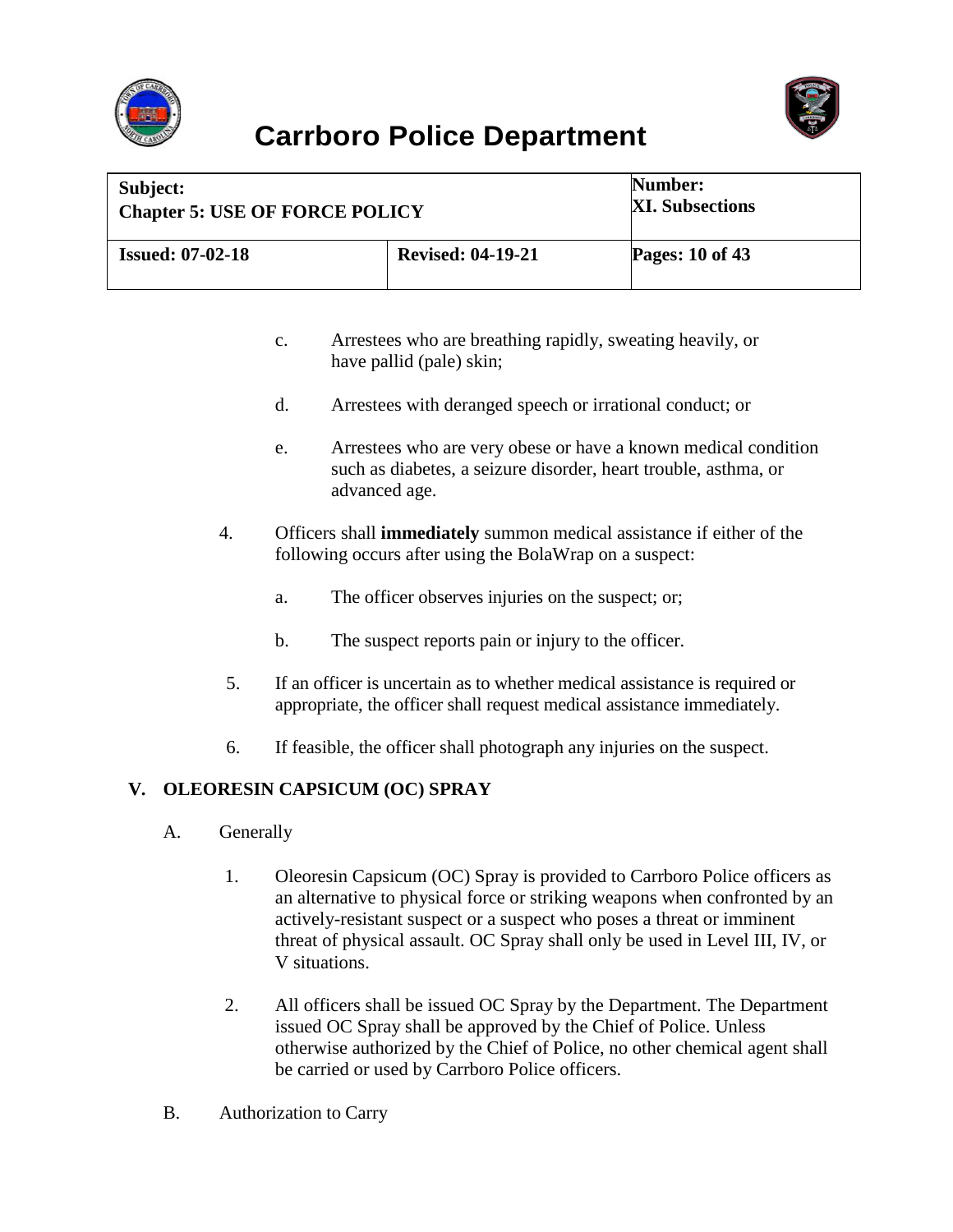



| Subject:                              |                          | Number:                |
|---------------------------------------|--------------------------|------------------------|
| <b>Chapter 5: USE OF FORCE POLICY</b> |                          | <b>XI. Subsections</b> |
| <b>Issued: 07-02-18</b>               | <b>Revised: 04-19-21</b> | <b>Pages: 10 of 43</b> |

- c. Arrestees who are breathing rapidly, sweating heavily, or have pallid (pale) skin;
- d. Arrestees with deranged speech or irrational conduct; or
- e. Arrestees who are very obese or have a known medical condition such as diabetes, a seizure disorder, heart trouble, asthma, or advanced age.
- 4. Officers shall **immediately** summon medical assistance if either of the following occurs after using the BolaWrap on a suspect:
	- a. The officer observes injuries on the suspect; or;
	- b. The suspect reports pain or injury to the officer.
- 5. If an officer is uncertain as to whether medical assistance is required or appropriate, the officer shall request medical assistance immediately.
- 6. If feasible, the officer shall photograph any injuries on the suspect.

#### **V. OLEORESIN CAPSICUM (OC) SPRAY**

- A. Generally
	- 1. Oleoresin Capsicum (OC) Spray is provided to Carrboro Police officers as an alternative to physical force or striking weapons when confronted by an actively-resistant suspect or a suspect who poses a threat or imminent threat of physical assault. OC Spray shall only be used in Level III, IV, or V situations.
	- 2. All officers shall be issued OC Spray by the Department. The Department issued OC Spray shall be approved by the Chief of Police. Unless otherwise authorized by the Chief of Police, no other chemical agent shall be carried or used by Carrboro Police officers.
- B. Authorization to Carry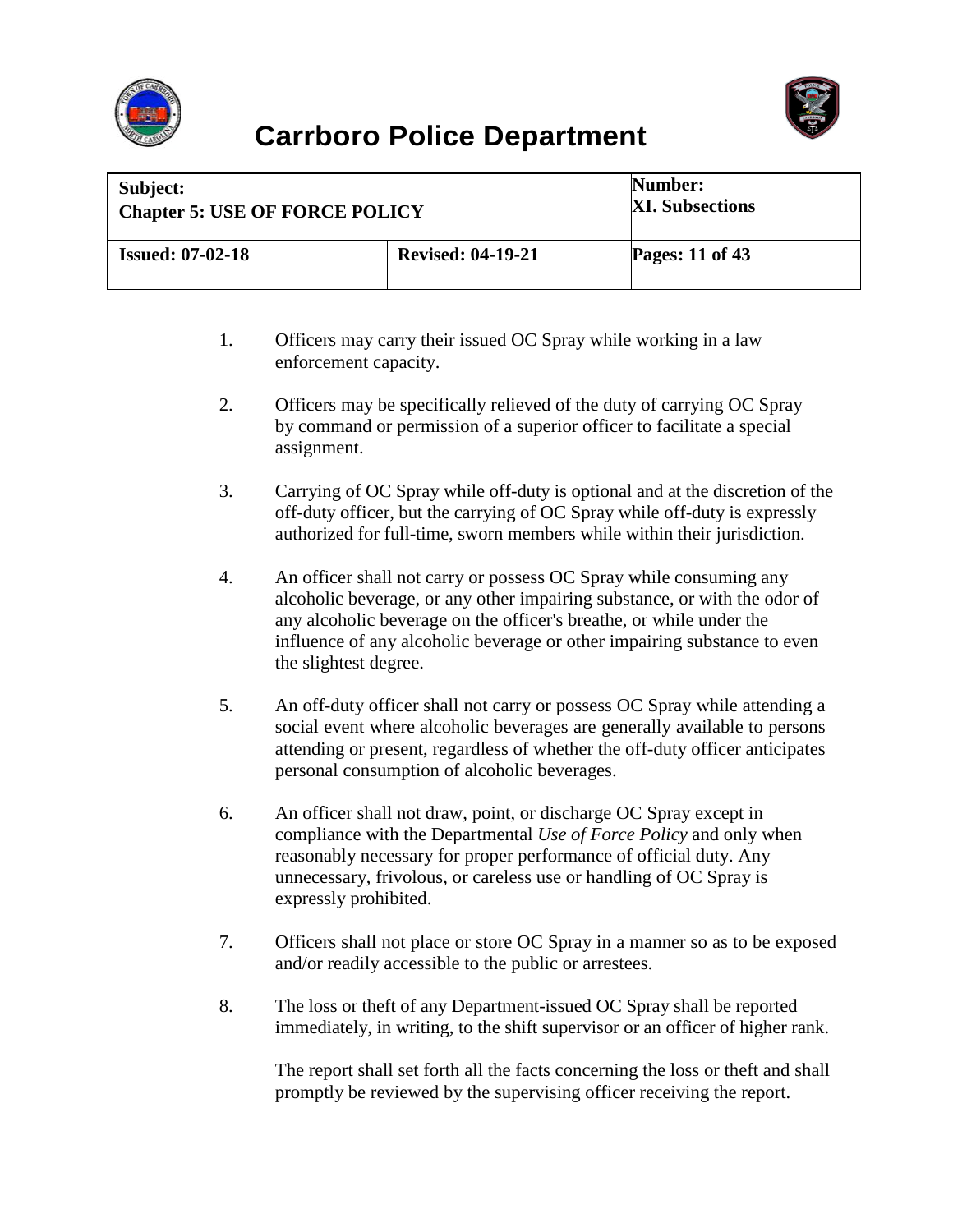



| Subject:                       |                          | Number:                |
|--------------------------------|--------------------------|------------------------|
| Chapter 5: USE OF FORCE POLICY |                          | <b>XI. Subsections</b> |
| <b>Issued: 07-02-18</b>        | <b>Revised: 04-19-21</b> | <b>Pages: 11 of 43</b> |

- 1. Officers may carry their issued OC Spray while working in a law enforcement capacity.
- 2. Officers may be specifically relieved of the duty of carrying OC Spray by command or permission of a superior officer to facilitate a special assignment.
- 3. Carrying of OC Spray while off-duty is optional and at the discretion of the off-duty officer, but the carrying of OC Spray while off-duty is expressly authorized for full-time, sworn members while within their jurisdiction.
- 4. An officer shall not carry or possess OC Spray while consuming any alcoholic beverage, or any other impairing substance, or with the odor of any alcoholic beverage on the officer's breathe, or while under the influence of any alcoholic beverage or other impairing substance to even the slightest degree.
- 5. An off-duty officer shall not carry or possess OC Spray while attending a social event where alcoholic beverages are generally available to persons attending or present, regardless of whether the off-duty officer anticipates personal consumption of alcoholic beverages.
- 6. An officer shall not draw, point, or discharge OC Spray except in compliance with the Departmental *Use of Force Policy* and only when reasonably necessary for proper performance of official duty. Any unnecessary, frivolous, or careless use or handling of OC Spray is expressly prohibited.
- 7. Officers shall not place or store OC Spray in a manner so as to be exposed and/or readily accessible to the public or arrestees.
- 8. The loss or theft of any Department-issued OC Spray shall be reported immediately, in writing, to the shift supervisor or an officer of higher rank.

The report shall set forth all the facts concerning the loss or theft and shall promptly be reviewed by the supervising officer receiving the report.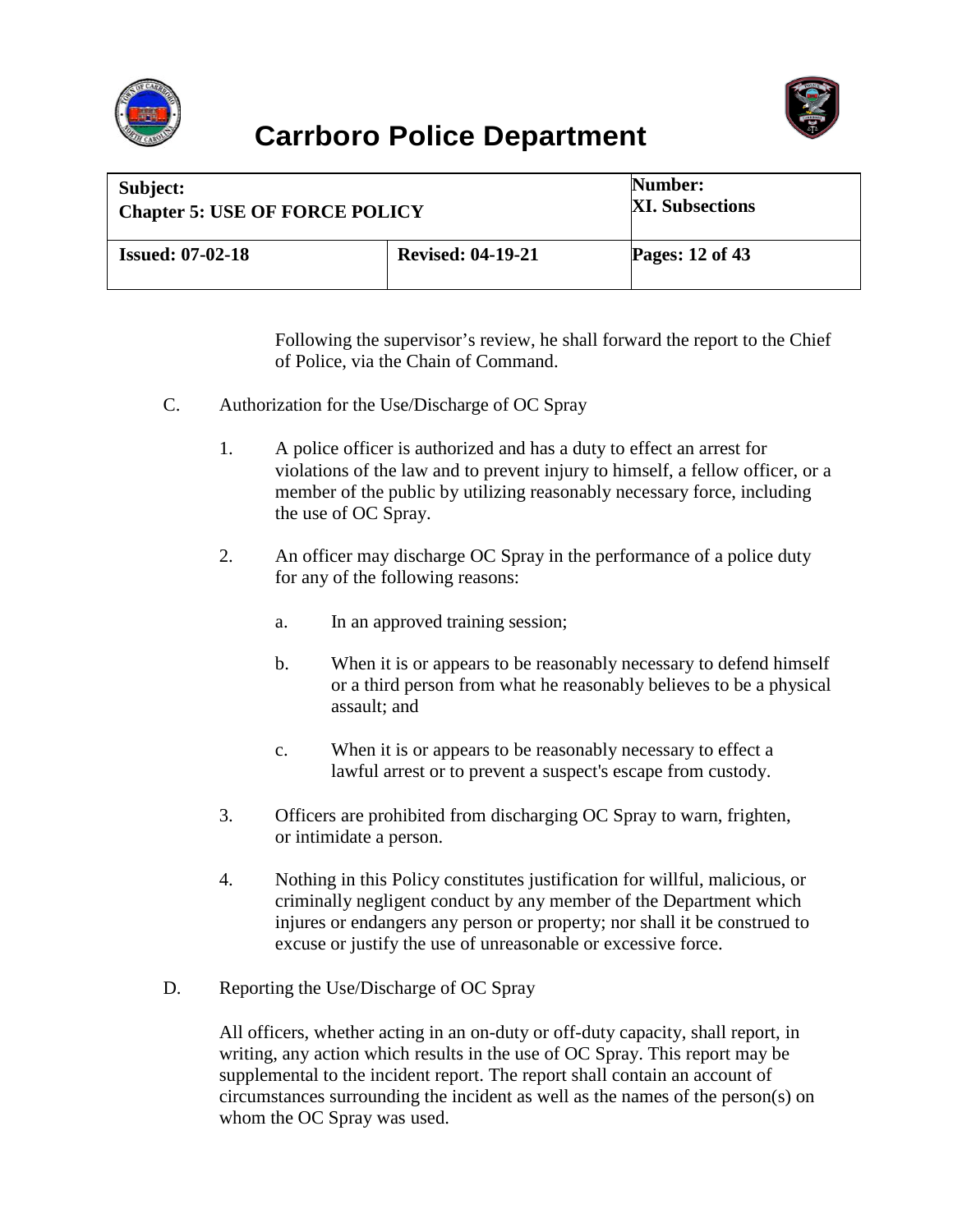



| Subject:                              |                          | Number:                |
|---------------------------------------|--------------------------|------------------------|
| <b>Chapter 5: USE OF FORCE POLICY</b> |                          | <b>XI. Subsections</b> |
| <b>Issued: 07-02-18</b>               | <b>Revised: 04-19-21</b> | <b>Pages: 12 of 43</b> |

Following the supervisor's review, he shall forward the report to the Chief of Police, via the Chain of Command.

- C. Authorization for the Use/Discharge of OC Spray
	- 1. A police officer is authorized and has a duty to effect an arrest for violations of the law and to prevent injury to himself, a fellow officer, or a member of the public by utilizing reasonably necessary force, including the use of OC Spray.
	- 2. An officer may discharge OC Spray in the performance of a police duty for any of the following reasons:
		- a. In an approved training session;
		- b. When it is or appears to be reasonably necessary to defend himself or a third person from what he reasonably believes to be a physical assault; and
		- c. When it is or appears to be reasonably necessary to effect a lawful arrest or to prevent a suspect's escape from custody.
	- 3. Officers are prohibited from discharging OC Spray to warn, frighten, or intimidate a person.
	- 4. Nothing in this Policy constitutes justification for willful, malicious, or criminally negligent conduct by any member of the Department which injures or endangers any person or property; nor shall it be construed to excuse or justify the use of unreasonable or excessive force.
- D. Reporting the Use/Discharge of OC Spray

All officers, whether acting in an on-duty or off-duty capacity, shall report, in writing, any action which results in the use of OC Spray. This report may be supplemental to the incident report. The report shall contain an account of circumstances surrounding the incident as well as the names of the person(s) on whom the OC Spray was used.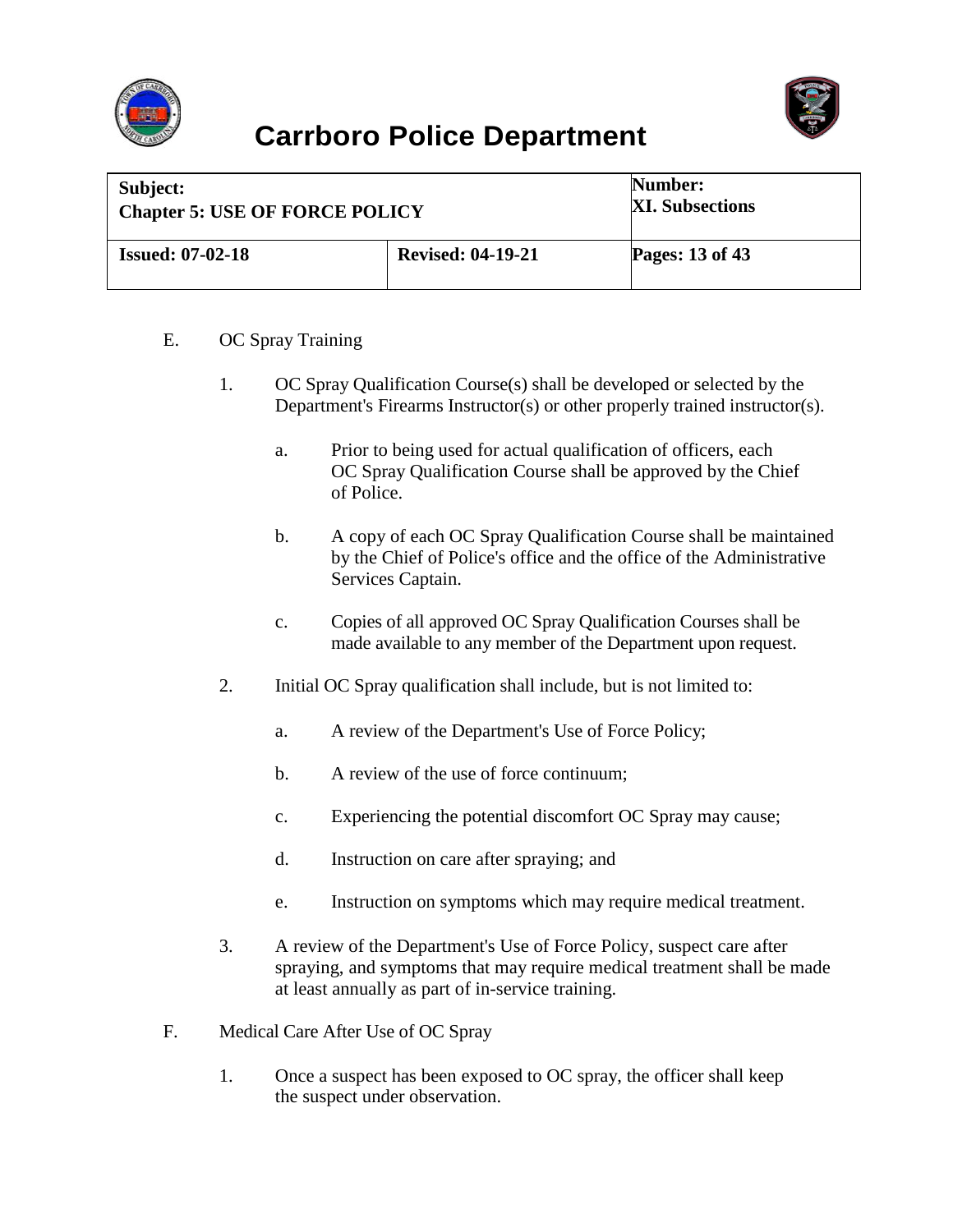



| Subject:                              |                          | Number:                |
|---------------------------------------|--------------------------|------------------------|
| <b>Chapter 5: USE OF FORCE POLICY</b> |                          | <b>XI. Subsections</b> |
| <b>Issued: 07-02-18</b>               | <b>Revised: 04-19-21</b> | <b>Pages: 13 of 43</b> |

- E. OC Spray Training
	- 1. OC Spray Qualification Course(s) shall be developed or selected by the Department's Firearms Instructor(s) or other properly trained instructor(s).
		- a. Prior to being used for actual qualification of officers, each OC Spray Qualification Course shall be approved by the Chief of Police.
		- b. A copy of each OC Spray Qualification Course shall be maintained by the Chief of Police's office and the office of the Administrative Services Captain.
		- c. Copies of all approved OC Spray Qualification Courses shall be made available to any member of the Department upon request.
	- 2. Initial OC Spray qualification shall include, but is not limited to:
		- a. A review of the Department's Use of Force Policy;
		- b. A review of the use of force continuum;
		- c. Experiencing the potential discomfort OC Spray may cause;
		- d. Instruction on care after spraying; and
		- e. Instruction on symptoms which may require medical treatment.
	- 3. A review of the Department's Use of Force Policy, suspect care after spraying, and symptoms that may require medical treatment shall be made at least annually as part of in-service training.
- F. Medical Care After Use of OC Spray
	- 1. Once a suspect has been exposed to OC spray, the officer shall keep the suspect under observation.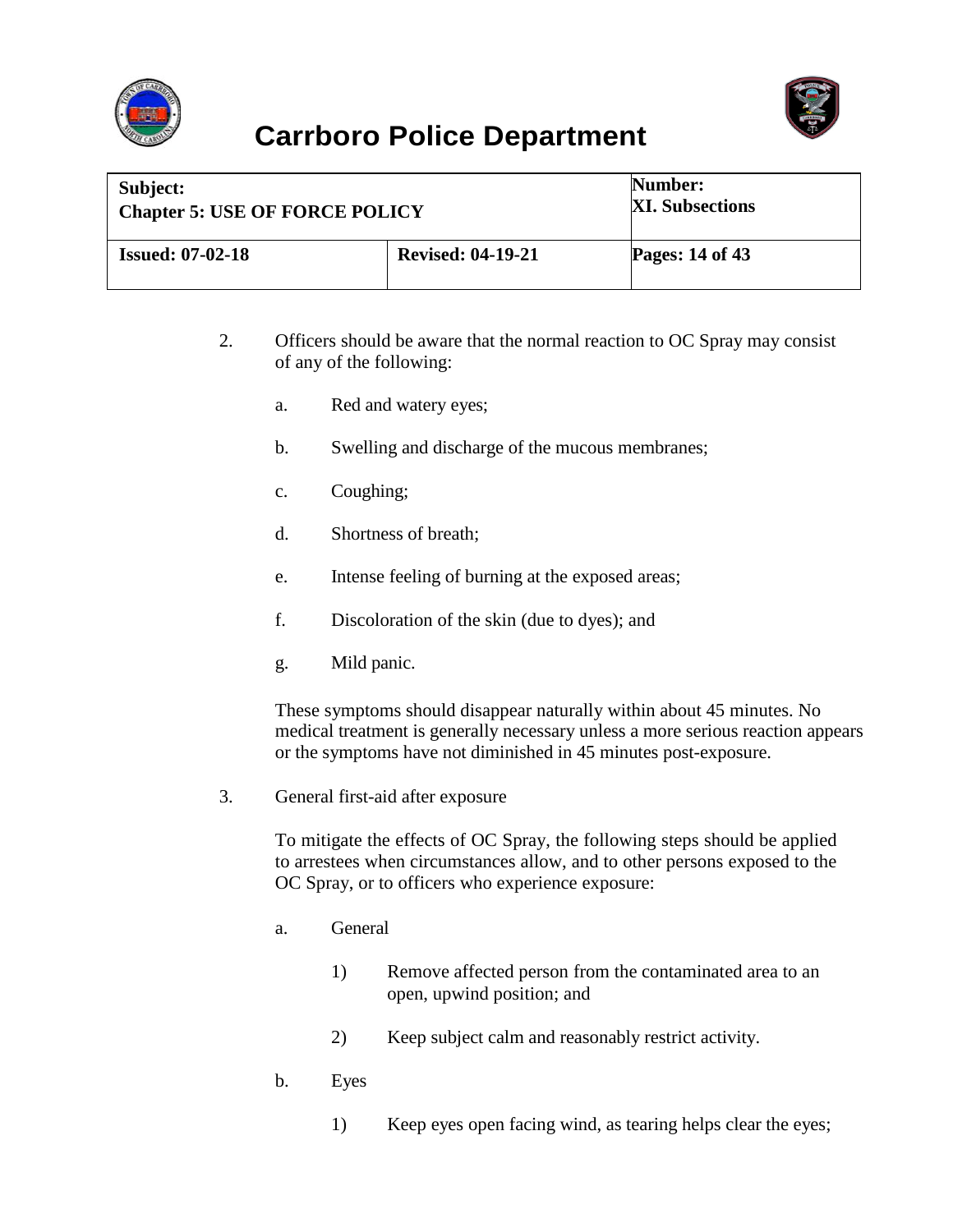



| Subject:                              |                          | Number:                |
|---------------------------------------|--------------------------|------------------------|
| <b>Chapter 5: USE OF FORCE POLICY</b> |                          | <b>XI. Subsections</b> |
| <b>Issued: 07-02-18</b>               | <b>Revised: 04-19-21</b> | Pages: 14 of 43        |

- 2. Officers should be aware that the normal reaction to OC Spray may consist of any of the following:
	- a. Red and watery eyes;
	- b. Swelling and discharge of the mucous membranes;
	- c. Coughing;
	- d. Shortness of breath;
	- e. Intense feeling of burning at the exposed areas;
	- f. Discoloration of the skin (due to dyes); and
	- g. Mild panic.

These symptoms should disappear naturally within about 45 minutes. No medical treatment is generally necessary unless a more serious reaction appears or the symptoms have not diminished in 45 minutes post-exposure.

3. General first-aid after exposure

To mitigate the effects of OC Spray, the following steps should be applied to arrestees when circumstances allow, and to other persons exposed to the OC Spray, or to officers who experience exposure:

- a. General
	- 1) Remove affected person from the contaminated area to an open, upwind position; and
	- 2) Keep subject calm and reasonably restrict activity.
- b. Eyes
	- 1) Keep eyes open facing wind, as tearing helps clear the eyes;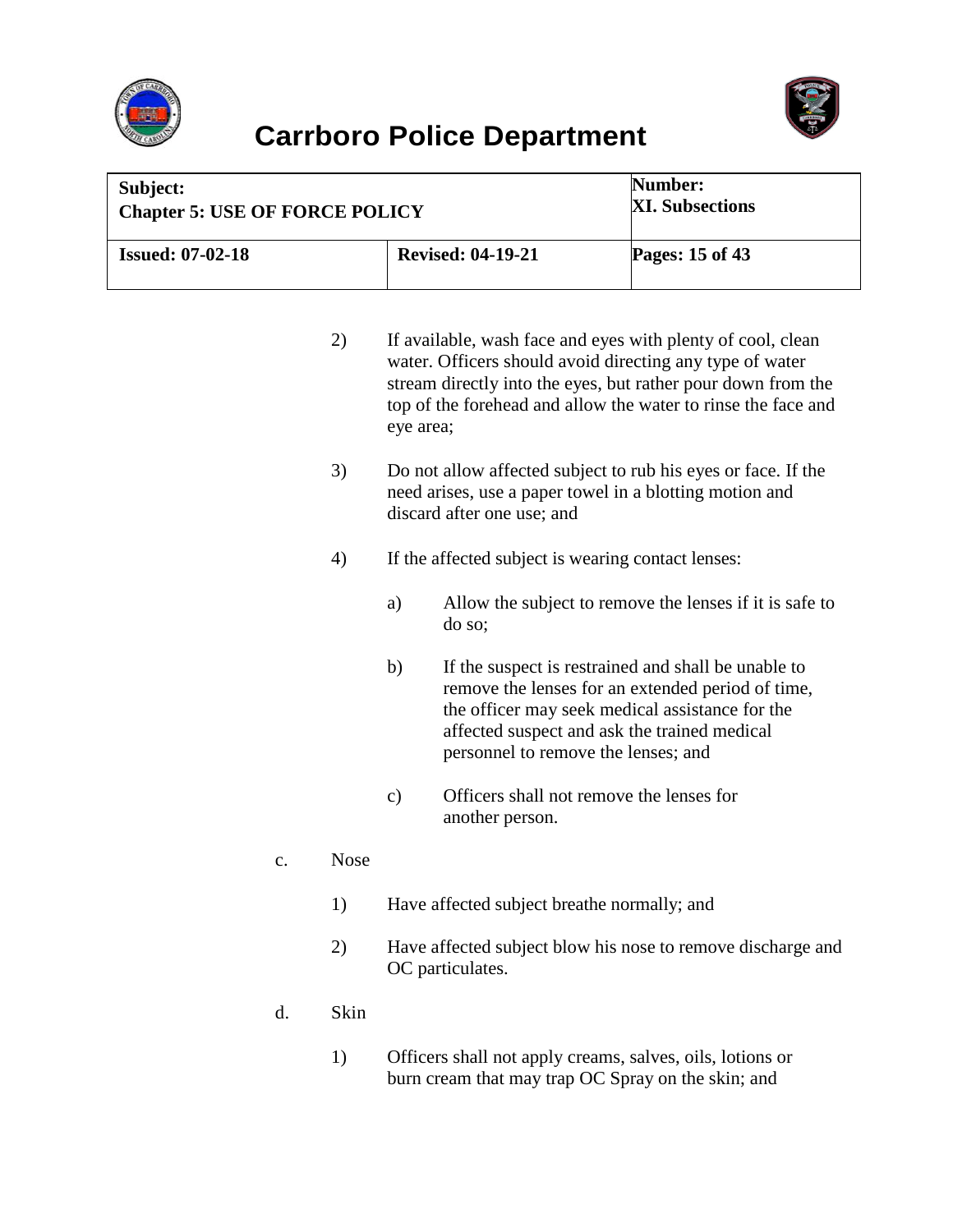



| Subject:                              |                          | Number:                |
|---------------------------------------|--------------------------|------------------------|
| <b>Chapter 5: USE OF FORCE POLICY</b> |                          | <b>XI. Subsections</b> |
| <b>Issued: 07-02-18</b>               | <b>Revised: 04-19-21</b> | Pages: 15 of 43        |

- 2) If available, wash face and eyes with plenty of cool, clean water. Officers should avoid directing any type of water stream directly into the eyes, but rather pour down from the top of the forehead and allow the water to rinse the face and eye area;
- 3) Do not allow affected subject to rub his eyes or face. If the need arises, use a paper towel in a blotting motion and discard after one use; and
- 4) If the affected subject is wearing contact lenses:
	- a) Allow the subject to remove the lenses if it is safe to do so;
	- b) If the suspect is restrained and shall be unable to remove the lenses for an extended period of time, the officer may seek medical assistance for the affected suspect and ask the trained medical personnel to remove the lenses; and
	- c) Officers shall not remove the lenses for another person.
- c. Nose
	- 1) Have affected subject breathe normally; and
	- 2) Have affected subject blow his nose to remove discharge and OC particulates.
- d. Skin
	- 1) Officers shall not apply creams, salves, oils, lotions or burn cream that may trap OC Spray on the skin; and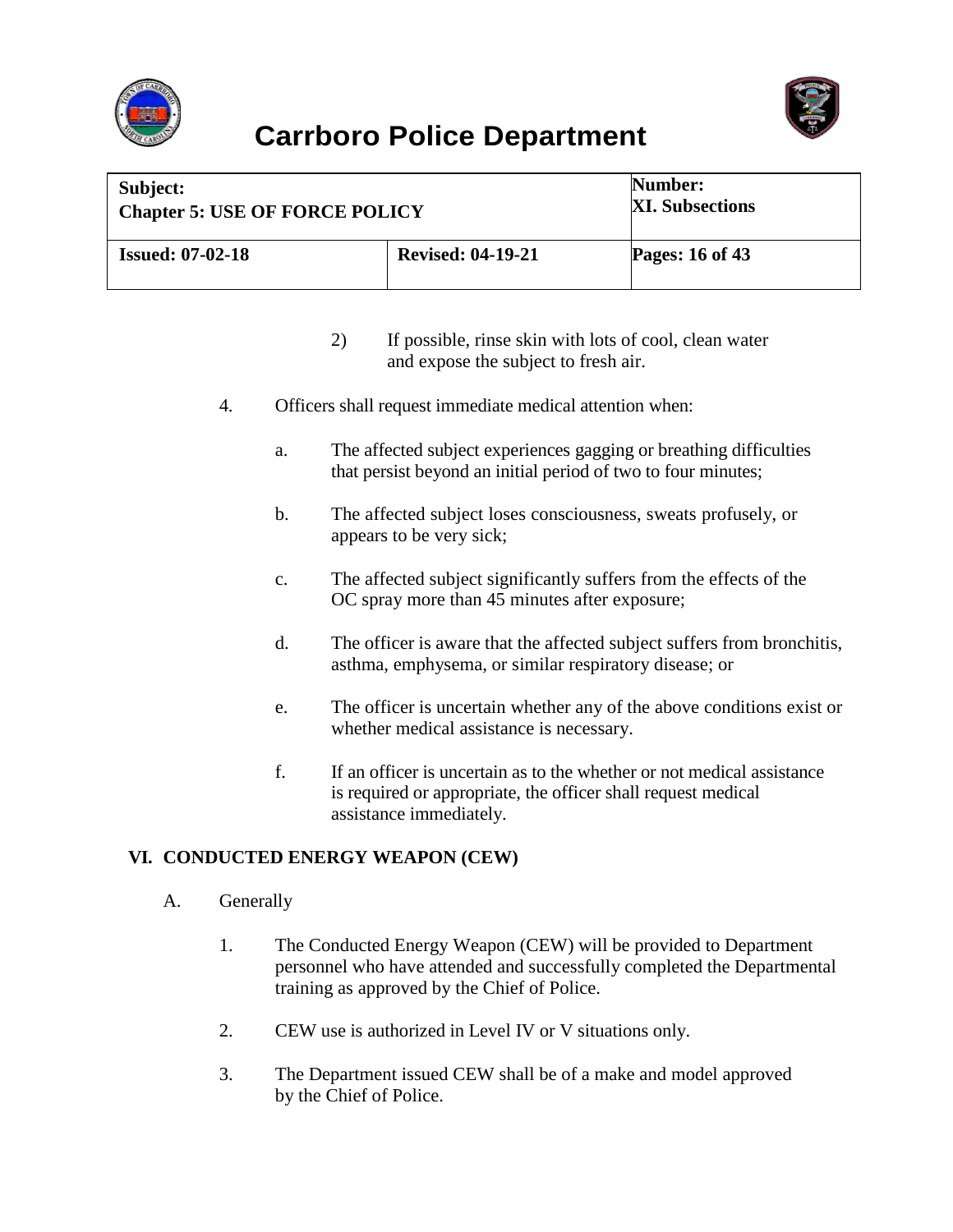



| Subject:                              |                          | Number:                |
|---------------------------------------|--------------------------|------------------------|
| <b>Chapter 5: USE OF FORCE POLICY</b> |                          | <b>XI. Subsections</b> |
| <b>Issued: 07-02-18</b>               | <b>Revised: 04-19-21</b> | <b>Pages: 16 of 43</b> |

- 2) If possible, rinse skin with lots of cool, clean water and expose the subject to fresh air.
- 4. Officers shall request immediate medical attention when:
	- a. The affected subject experiences gagging or breathing difficulties that persist beyond an initial period of two to four minutes;
	- b. The affected subject loses consciousness, sweats profusely, or appears to be very sick;
	- c. The affected subject significantly suffers from the effects of the OC spray more than 45 minutes after exposure;
	- d. The officer is aware that the affected subject suffers from bronchitis, asthma, emphysema, or similar respiratory disease; or
	- e. The officer is uncertain whether any of the above conditions exist or whether medical assistance is necessary.
	- f. If an officer is uncertain as to the whether or not medical assistance is required or appropriate, the officer shall request medical assistance immediately.

#### **VI. CONDUCTED ENERGY WEAPON (CEW)**

- A. Generally
	- 1. The Conducted Energy Weapon (CEW) will be provided to Department personnel who have attended and successfully completed the Departmental training as approved by the Chief of Police.
	- 2. CEW use is authorized in Level IV or V situations only.
	- 3. The Department issued CEW shall be of a make and model approved by the Chief of Police.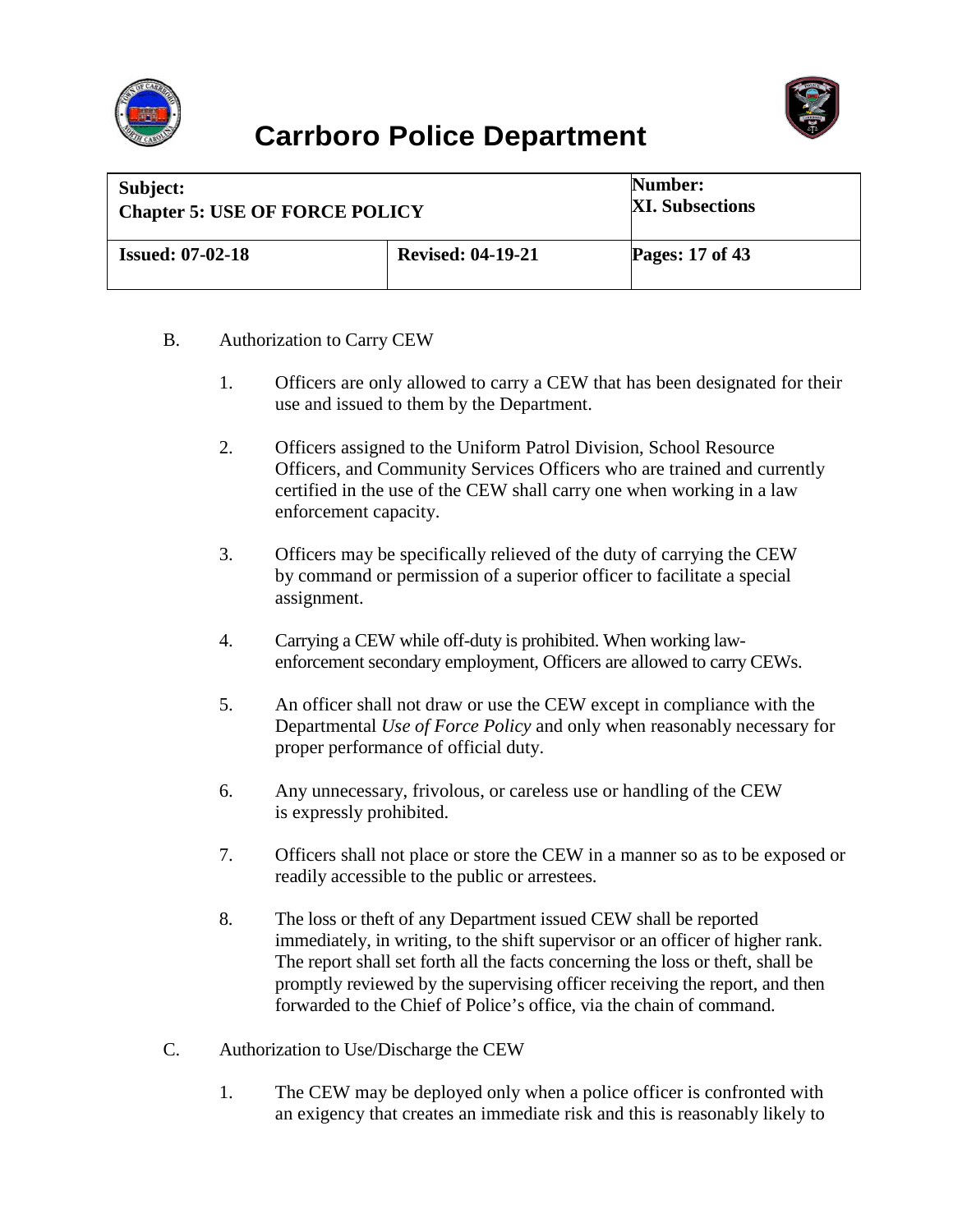



| Subject:                              |                          | Number:                |
|---------------------------------------|--------------------------|------------------------|
| <b>Chapter 5: USE OF FORCE POLICY</b> |                          | <b>XI. Subsections</b> |
| <b>Issued: 07-02-18</b>               | <b>Revised: 04-19-21</b> | Pages: 17 of 43        |

- B. Authorization to Carry CEW
	- 1. Officers are only allowed to carry a CEW that has been designated for their use and issued to them by the Department.
	- 2. Officers assigned to the Uniform Patrol Division, School Resource Officers, and Community Services Officers who are trained and currently certified in the use of the CEW shall carry one when working in a law enforcement capacity.
	- 3. Officers may be specifically relieved of the duty of carrying the CEW by command or permission of a superior officer to facilitate a special assignment.
	- 4. Carrying a CEW while off-duty is prohibited. When working lawenforcement secondary employment, Officers are allowed to carry CEWs.
	- 5. An officer shall not draw or use the CEW except in compliance with the Departmental *Use of Force Policy* and only when reasonably necessary for proper performance of official duty.
	- 6. Any unnecessary, frivolous, or careless use or handling of the CEW is expressly prohibited.
	- 7. Officers shall not place or store the CEW in a manner so as to be exposed or readily accessible to the public or arrestees.
	- 8. The loss or theft of any Department issued CEW shall be reported immediately, in writing, to the shift supervisor or an officer of higher rank. The report shall set forth all the facts concerning the loss or theft, shall be promptly reviewed by the supervising officer receiving the report, and then forwarded to the Chief of Police's office, via the chain of command.
- C. Authorization to Use/Discharge the CEW
	- 1. The CEW may be deployed only when a police officer is confronted with an exigency that creates an immediate risk and this is reasonably likely to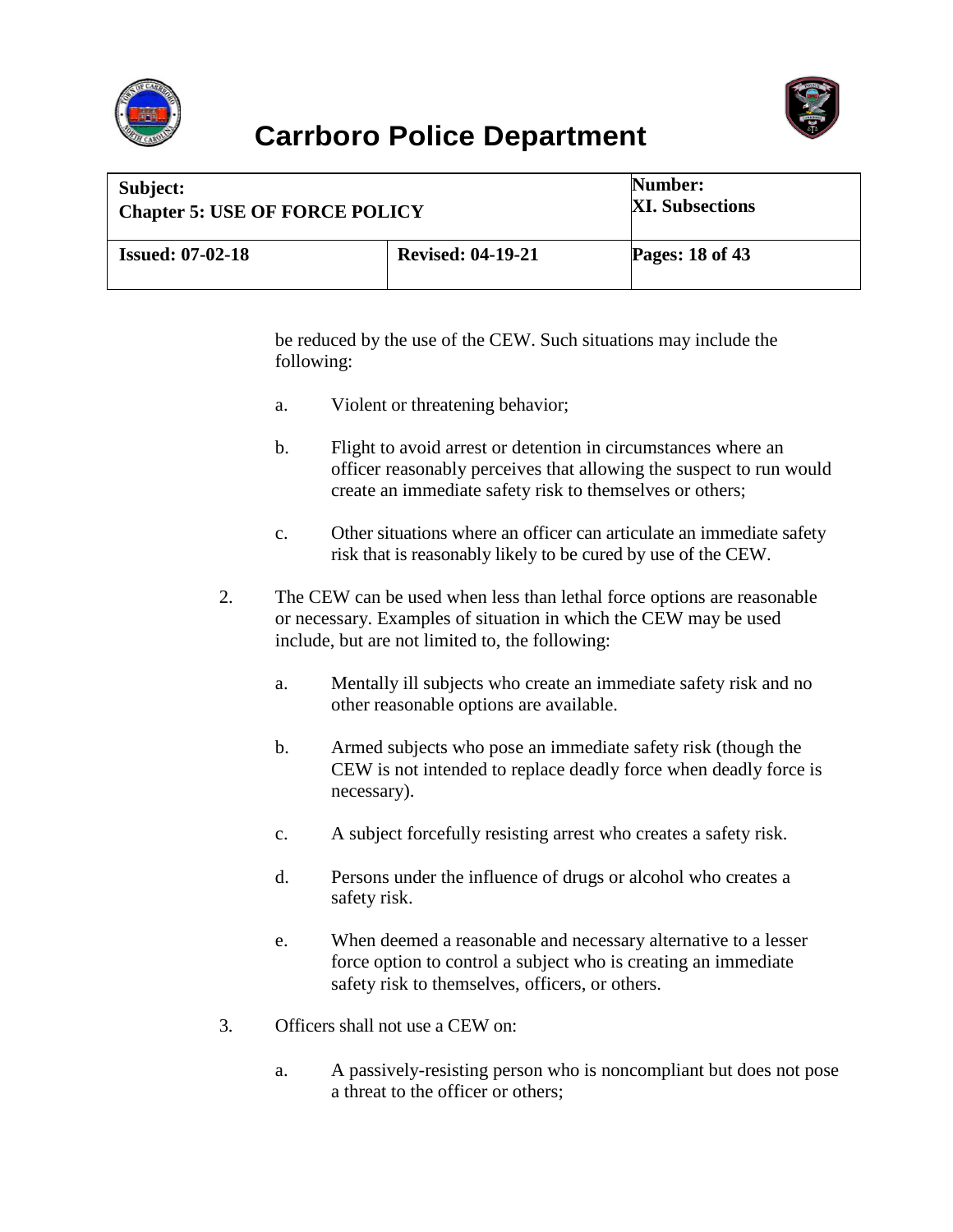



| Subject:                              |                          | Number:                |
|---------------------------------------|--------------------------|------------------------|
| <b>Chapter 5: USE OF FORCE POLICY</b> |                          | <b>XI. Subsections</b> |
| <b>Issued: 07-02-18</b>               | <b>Revised: 04-19-21</b> | <b>Pages: 18 of 43</b> |

be reduced by the use of the CEW. Such situations may include the following:

- a. Violent or threatening behavior;
- b. Flight to avoid arrest or detention in circumstances where an officer reasonably perceives that allowing the suspect to run would create an immediate safety risk to themselves or others;
- c. Other situations where an officer can articulate an immediate safety risk that is reasonably likely to be cured by use of the CEW.
- 2. The CEW can be used when less than lethal force options are reasonable or necessary. Examples of situation in which the CEW may be used include, but are not limited to, the following:
	- a. Mentally ill subjects who create an immediate safety risk and no other reasonable options are available.
	- b. Armed subjects who pose an immediate safety risk (though the CEW is not intended to replace deadly force when deadly force is necessary).
	- c. A subject forcefully resisting arrest who creates a safety risk.
	- d. Persons under the influence of drugs or alcohol who creates a safety risk.
	- e. When deemed a reasonable and necessary alternative to a lesser force option to control a subject who is creating an immediate safety risk to themselves, officers, or others.
- 3. Officers shall not use a CEW on:
	- a. A passively-resisting person who is noncompliant but does not pose a threat to the officer or others;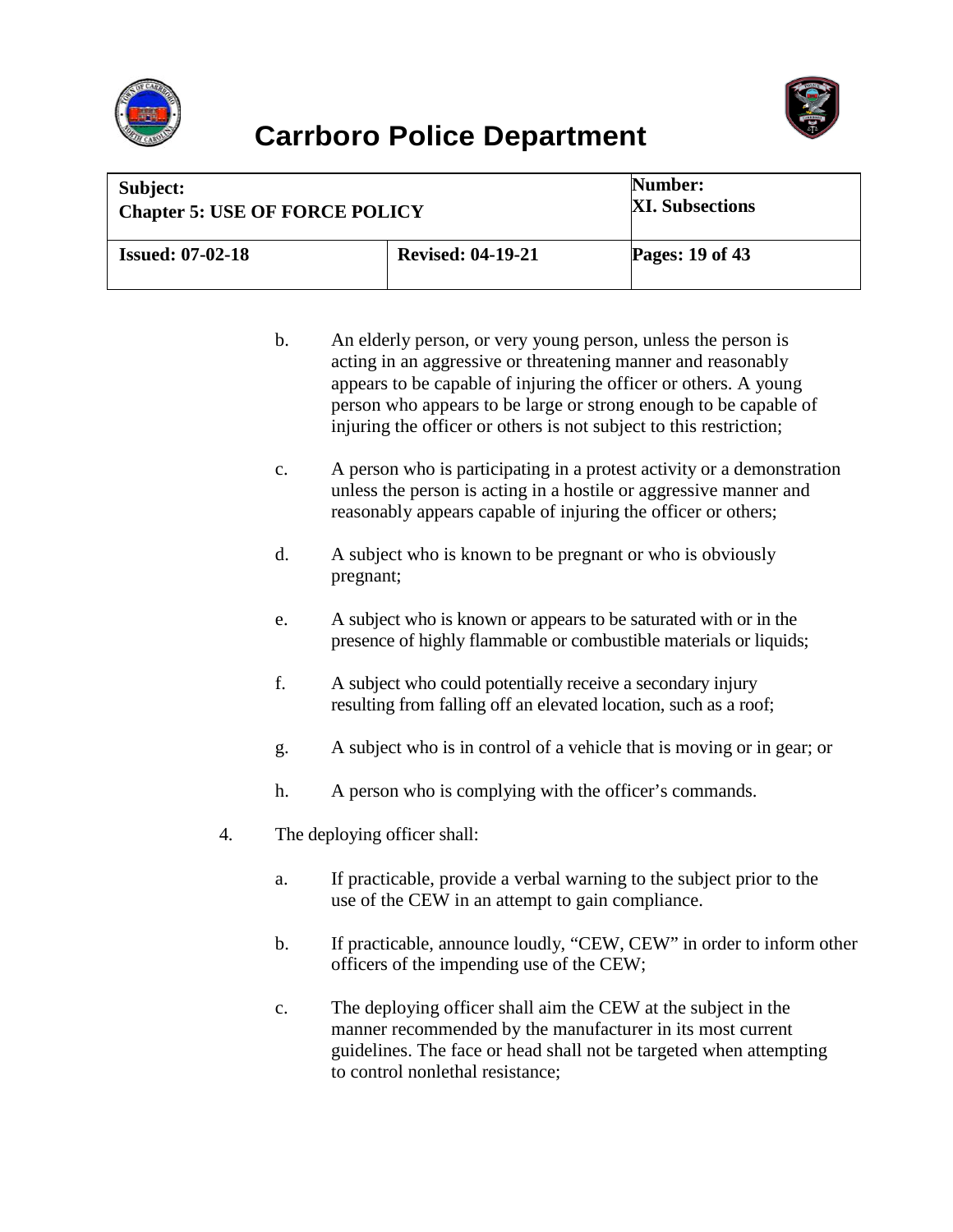



| Subject:                              |                          | Number:                |
|---------------------------------------|--------------------------|------------------------|
| <b>Chapter 5: USE OF FORCE POLICY</b> |                          | <b>XI. Subsections</b> |
| <b>Issued: 07-02-18</b>               | <b>Revised: 04-19-21</b> | Pages: 19 of 43        |

- b. An elderly person, or very young person, unless the person is acting in an aggressive or threatening manner and reasonably appears to be capable of injuring the officer or others. A young person who appears to be large or strong enough to be capable of injuring the officer or others is not subject to this restriction;
- c. A person who is participating in a protest activity or a demonstration unless the person is acting in a hostile or aggressive manner and reasonably appears capable of injuring the officer or others;
- d. A subject who is known to be pregnant or who is obviously pregnant;
- e. A subject who is known or appears to be saturated with or in the presence of highly flammable or combustible materials or liquids;
- f. A subject who could potentially receive a secondary injury resulting from falling off an elevated location, such as a roof;
- g. A subject who is in control of a vehicle that is moving or in gear; or
- h. A person who is complying with the officer's commands.
- 4. The deploying officer shall:
	- a. If practicable, provide a verbal warning to the subject prior to the use of the CEW in an attempt to gain compliance.
	- b. If practicable, announce loudly, "CEW, CEW" in order to inform other officers of the impending use of the CEW;
	- c. The deploying officer shall aim the CEW at the subject in the manner recommended by the manufacturer in its most current guidelines. The face or head shall not be targeted when attempting to control nonlethal resistance;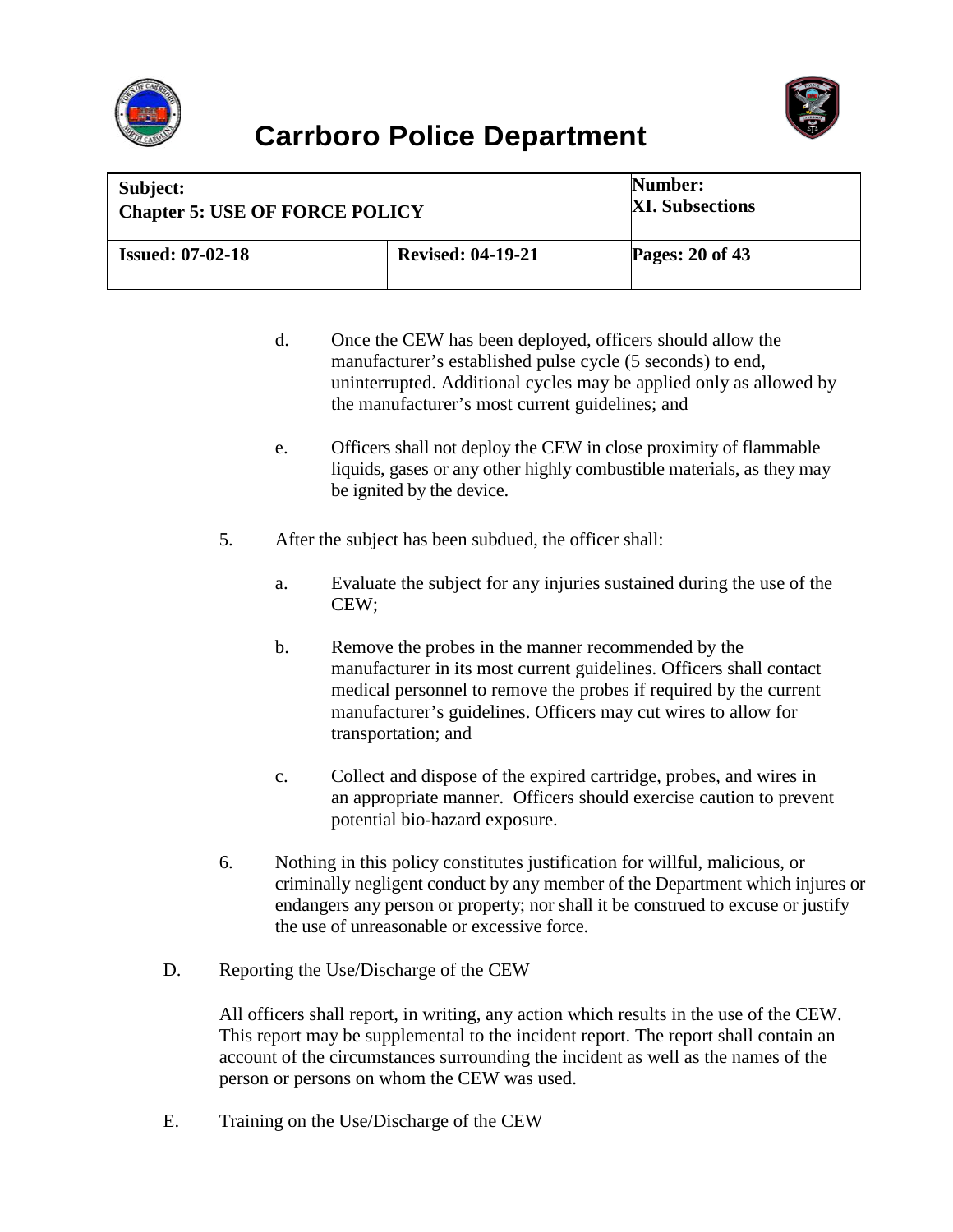



| Subject:                              |                          | Number:                |
|---------------------------------------|--------------------------|------------------------|
| <b>Chapter 5: USE OF FORCE POLICY</b> |                          | <b>XI. Subsections</b> |
| <b>Issued: 07-02-18</b>               | <b>Revised: 04-19-21</b> | Pages: 20 of 43        |

- d. Once the CEW has been deployed, officers should allow the manufacturer's established pulse cycle (5 seconds) to end, uninterrupted. Additional cycles may be applied only as allowed by the manufacturer's most current guidelines; and
- e. Officers shall not deploy the CEW in close proximity of flammable liquids, gases or any other highly combustible materials, as they may be ignited by the device.
- 5. After the subject has been subdued, the officer shall:
	- a. Evaluate the subject for any injuries sustained during the use of the CEW;
	- b. Remove the probes in the manner recommended by the manufacturer in its most current guidelines. Officers shall contact medical personnel to remove the probes if required by the current manufacturer's guidelines. Officers may cut wires to allow for transportation; and
	- c. Collect and dispose of the expired cartridge, probes, and wires in an appropriate manner. Officers should exercise caution to prevent potential bio-hazard exposure.
- 6. Nothing in this policy constitutes justification for willful, malicious, or criminally negligent conduct by any member of the Department which injures or endangers any person or property; nor shall it be construed to excuse or justify the use of unreasonable or excessive force.
- D. Reporting the Use/Discharge of the CEW

All officers shall report, in writing, any action which results in the use of the CEW. This report may be supplemental to the incident report. The report shall contain an account of the circumstances surrounding the incident as well as the names of the person or persons on whom the CEW was used.

E. Training on the Use/Discharge of the CEW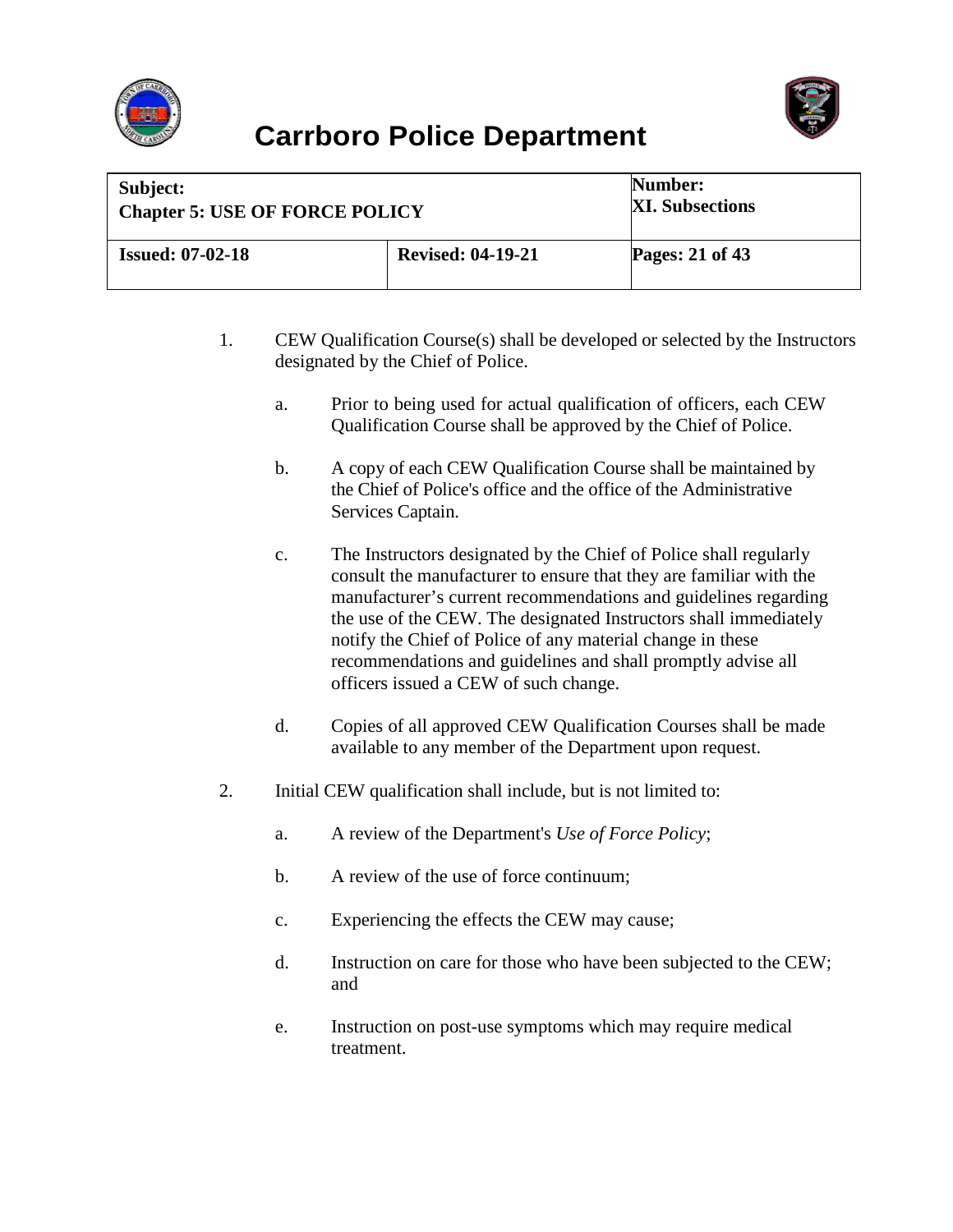



| Subject:                              |                          | Number:                |
|---------------------------------------|--------------------------|------------------------|
| <b>Chapter 5: USE OF FORCE POLICY</b> |                          | <b>XI. Subsections</b> |
| <b>Issued: 07-02-18</b>               | <b>Revised: 04-19-21</b> | <b>Pages: 21 of 43</b> |

- 1. CEW Qualification Course(s) shall be developed or selected by the Instructors designated by the Chief of Police.
	- a. Prior to being used for actual qualification of officers, each CEW Qualification Course shall be approved by the Chief of Police.
	- b. A copy of each CEW Qualification Course shall be maintained by the Chief of Police's office and the office of the Administrative Services Captain.
	- c. The Instructors designated by the Chief of Police shall regularly consult the manufacturer to ensure that they are familiar with the manufacturer's current recommendations and guidelines regarding the use of the CEW. The designated Instructors shall immediately notify the Chief of Police of any material change in these recommendations and guidelines and shall promptly advise all officers issued a CEW of such change.
	- d. Copies of all approved CEW Qualification Courses shall be made available to any member of the Department upon request.
- 2. Initial CEW qualification shall include, but is not limited to:
	- a. A review of the Department's *Use of Force Policy*;
	- b. A review of the use of force continuum;
	- c. Experiencing the effects the CEW may cause;
	- d. Instruction on care for those who have been subjected to the CEW; and
	- e. Instruction on post-use symptoms which may require medical treatment.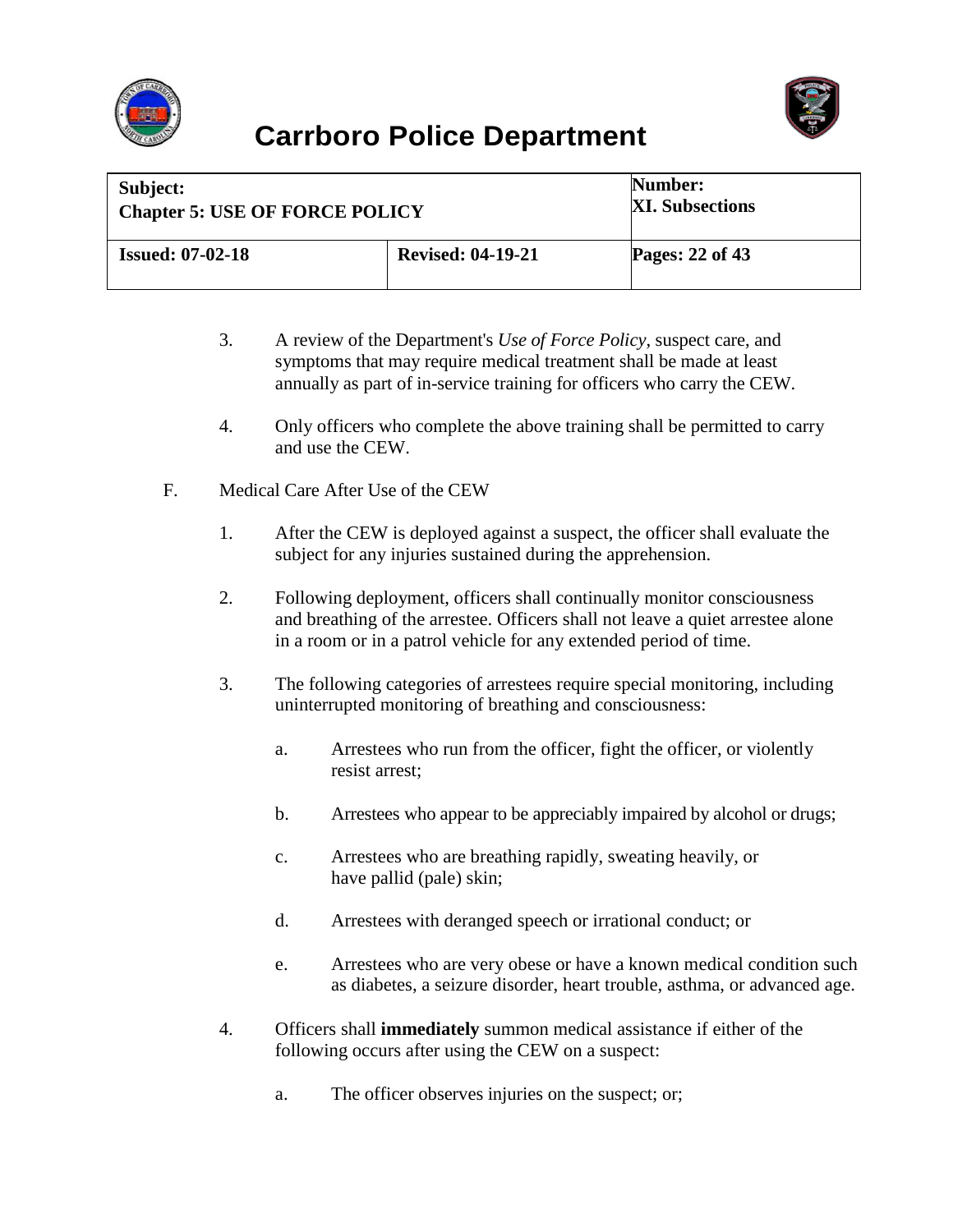



| Subject:                              |                          | Number:                |
|---------------------------------------|--------------------------|------------------------|
| <b>Chapter 5: USE OF FORCE POLICY</b> |                          | <b>XI. Subsections</b> |
| <b>Issued: 07-02-18</b>               | <b>Revised: 04-19-21</b> | Pages: 22 of 43        |

- 3. A review of the Department's *Use of Force Policy*, suspect care, and symptoms that may require medical treatment shall be made at least annually as part of in-service training for officers who carry the CEW.
- 4. Only officers who complete the above training shall be permitted to carry and use the CEW.
- F. Medical Care After Use of the CEW
	- 1. After the CEW is deployed against a suspect, the officer shall evaluate the subject for any injuries sustained during the apprehension.
	- 2. Following deployment, officers shall continually monitor consciousness and breathing of the arrestee. Officers shall not leave a quiet arrestee alone in a room or in a patrol vehicle for any extended period of time.
	- 3. The following categories of arrestees require special monitoring, including uninterrupted monitoring of breathing and consciousness:
		- a. Arrestees who run from the officer, fight the officer, or violently resist arrest;
		- b. Arrestees who appear to be appreciably impaired by alcohol or drugs;
		- c. Arrestees who are breathing rapidly, sweating heavily, or have pallid (pale) skin;
		- d. Arrestees with deranged speech or irrational conduct; or
		- e. Arrestees who are very obese or have a known medical condition such as diabetes, a seizure disorder, heart trouble, asthma, or advanced age.
	- 4. Officers shall **immediately** summon medical assistance if either of the following occurs after using the CEW on a suspect:
		- a. The officer observes injuries on the suspect; or;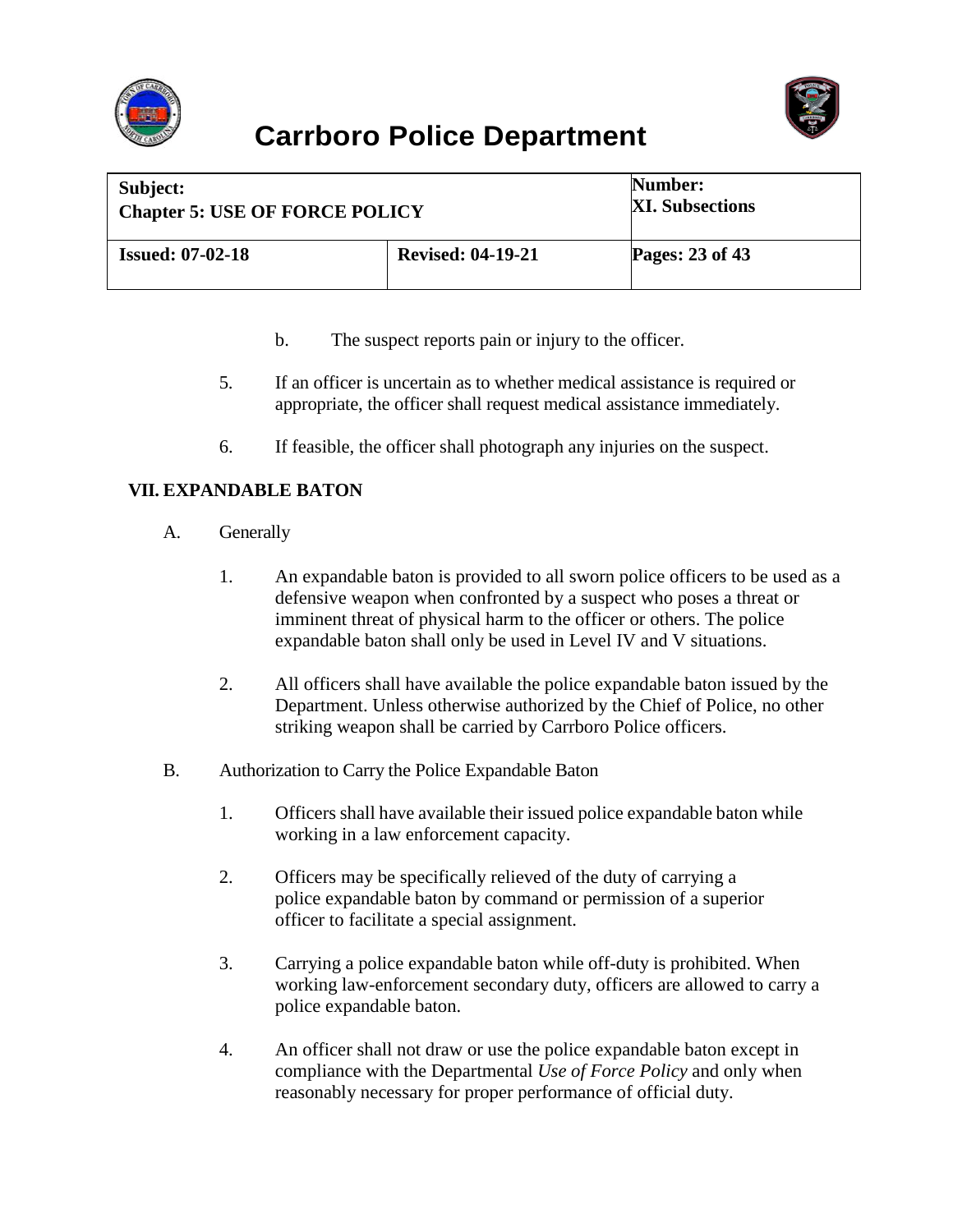



| Subject:                              |                          | Number:                |
|---------------------------------------|--------------------------|------------------------|
| <b>Chapter 5: USE OF FORCE POLICY</b> |                          | <b>XI. Subsections</b> |
| <b>Issued: 07-02-18</b>               | <b>Revised: 04-19-21</b> | Pages: 23 of 43        |

- b. The suspect reports pain or injury to the officer.
- 5. If an officer is uncertain as to whether medical assistance is required or appropriate, the officer shall request medical assistance immediately.
- 6. If feasible, the officer shall photograph any injuries on the suspect.

#### **VII. EXPANDABLE BATON**

- A. Generally
	- 1. An expandable baton is provided to all sworn police officers to be used as a defensive weapon when confronted by a suspect who poses a threat or imminent threat of physical harm to the officer or others. The police expandable baton shall only be used in Level IV and V situations.
	- 2. All officers shall have available the police expandable baton issued by the Department. Unless otherwise authorized by the Chief of Police, no other striking weapon shall be carried by Carrboro Police officers.
- B. Authorization to Carry the Police Expandable Baton
	- 1. Officers shall have available their issued police expandable baton while working in a law enforcement capacity.
	- 2. Officers may be specifically relieved of the duty of carrying a police expandable baton by command or permission of a superior officer to facilitate a special assignment.
	- 3. Carrying a police expandable baton while off-duty is prohibited. When working law-enforcement secondary duty, officers are allowed to carry a police expandable baton.
	- 4. An officer shall not draw or use the police expandable baton except in compliance with the Departmental *Use of Force Policy* and only when reasonably necessary for proper performance of official duty.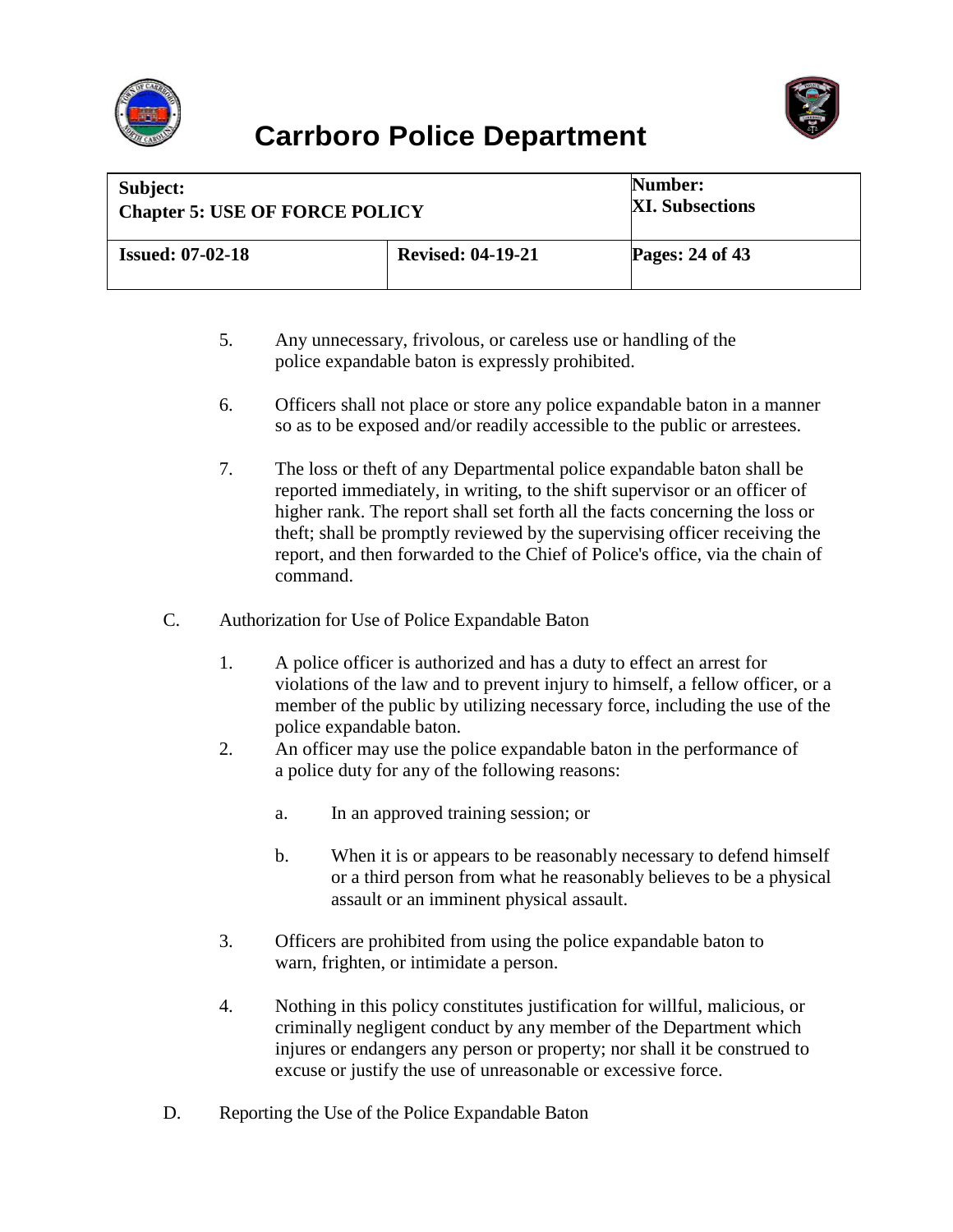



| Subject:                              |                          | Number:                |
|---------------------------------------|--------------------------|------------------------|
| <b>Chapter 5: USE OF FORCE POLICY</b> |                          | <b>XI. Subsections</b> |
| <b>Issued: 07-02-18</b>               | <b>Revised: 04-19-21</b> | Pages: 24 of 43        |

- 5. Any unnecessary, frivolous, or careless use or handling of the police expandable baton is expressly prohibited.
- 6. Officers shall not place or store any police expandable baton in a manner so as to be exposed and/or readily accessible to the public or arrestees.
- 7. The loss or theft of any Departmental police expandable baton shall be reported immediately, in writing, to the shift supervisor or an officer of higher rank. The report shall set forth all the facts concerning the loss or theft; shall be promptly reviewed by the supervising officer receiving the report, and then forwarded to the Chief of Police's office, via the chain of command.
- C. Authorization for Use of Police Expandable Baton
	- 1. A police officer is authorized and has a duty to effect an arrest for violations of the law and to prevent injury to himself, a fellow officer, or a member of the public by utilizing necessary force, including the use of the police expandable baton.
	- 2. An officer may use the police expandable baton in the performance of a police duty for any of the following reasons:
		- a. In an approved training session; or
		- b. When it is or appears to be reasonably necessary to defend himself or a third person from what he reasonably believes to be a physical assault or an imminent physical assault.
	- 3. Officers are prohibited from using the police expandable baton to warn, frighten, or intimidate a person.
	- 4. Nothing in this policy constitutes justification for willful, malicious, or criminally negligent conduct by any member of the Department which injures or endangers any person or property; nor shall it be construed to excuse or justify the use of unreasonable or excessive force.
- D. Reporting the Use of the Police Expandable Baton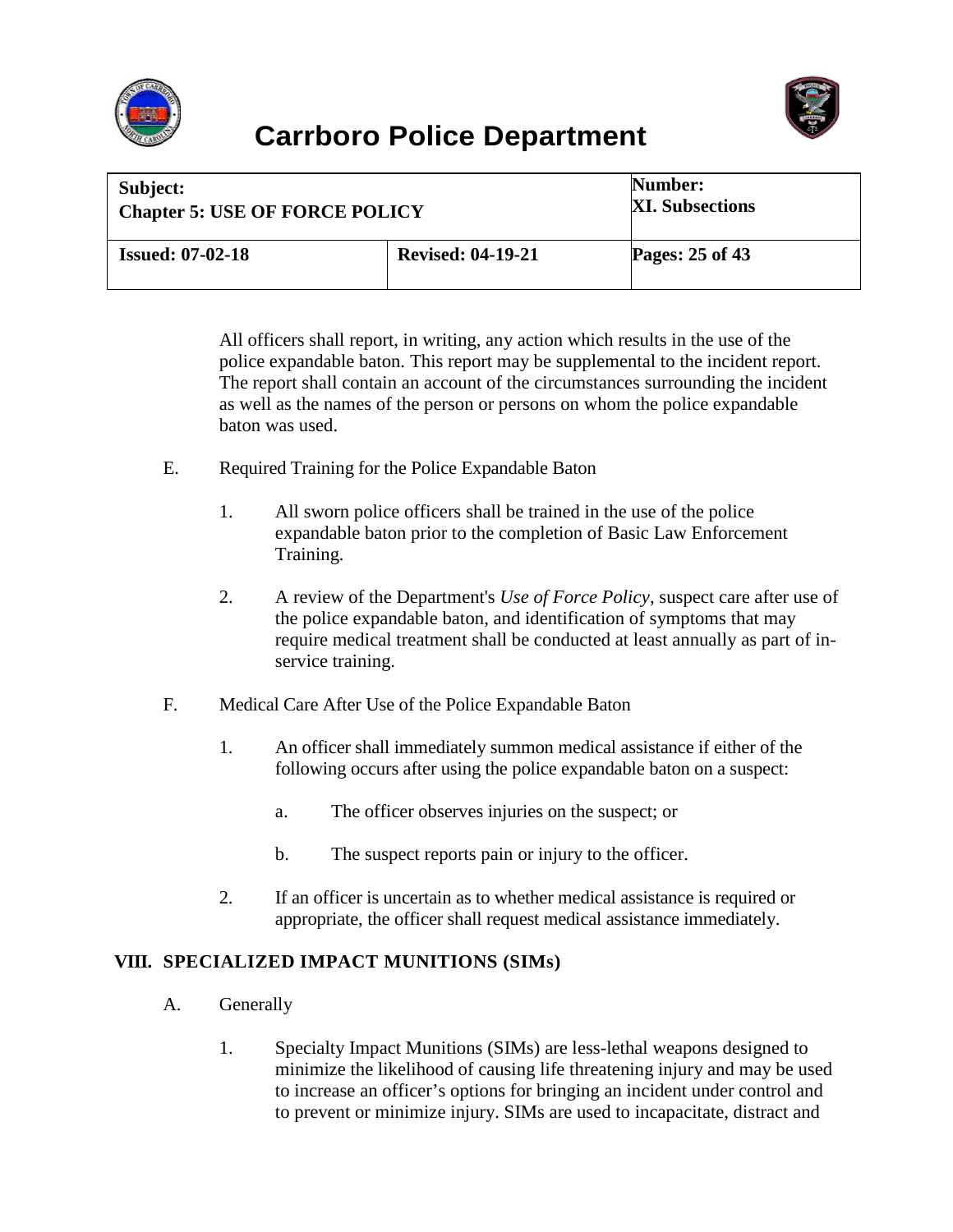



| Subject:<br><b>Chapter 5: USE OF FORCE POLICY</b> |                          | Number:<br><b>XI. Subsections</b> |
|---------------------------------------------------|--------------------------|-----------------------------------|
| <b>Issued: 07-02-18</b>                           | <b>Revised: 04-19-21</b> | Pages: 25 of 43                   |

All officers shall report, in writing, any action which results in the use of the police expandable baton. This report may be supplemental to the incident report. The report shall contain an account of the circumstances surrounding the incident as well as the names of the person or persons on whom the police expandable baton was used.

- E. Required Training for the Police Expandable Baton
	- 1. All sworn police officers shall be trained in the use of the police expandable baton prior to the completion of Basic Law Enforcement Training.
	- 2. A review of the Department's *Use of Force Policy*, suspect care after use of the police expandable baton, and identification of symptoms that may require medical treatment shall be conducted at least annually as part of inservice training.
- F. Medical Care After Use of the Police Expandable Baton
	- 1. An officer shall immediately summon medical assistance if either of the following occurs after using the police expandable baton on a suspect:
		- a. The officer observes injuries on the suspect; or
		- b. The suspect reports pain or injury to the officer.
	- 2. If an officer is uncertain as to whether medical assistance is required or appropriate, the officer shall request medical assistance immediately.

#### **VIII. SPECIALIZED IMPACT MUNITIONS (SIMs)**

- A. Generally
	- 1. Specialty Impact Munitions (SIMs) are less-lethal weapons designed to minimize the likelihood of causing life threatening injury and may be used to increase an officer's options for bringing an incident under control and to prevent or minimize injury. SIMs are used to incapacitate, distract and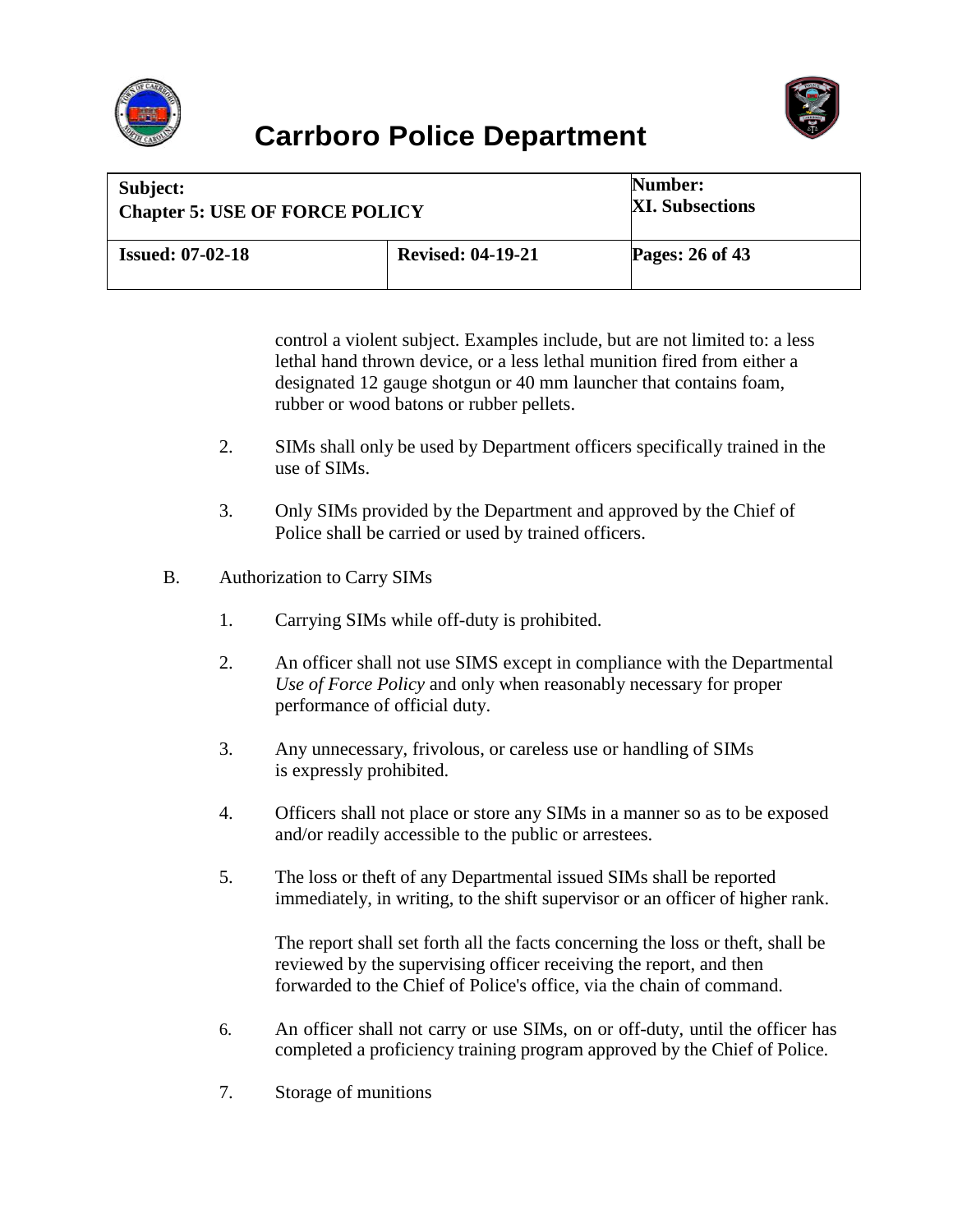



| Subject:                              |                          | Number:                |
|---------------------------------------|--------------------------|------------------------|
| <b>Chapter 5: USE OF FORCE POLICY</b> |                          | <b>XI. Subsections</b> |
| <b>Issued: 07-02-18</b>               | <b>Revised: 04-19-21</b> | <b>Pages: 26 of 43</b> |

control a violent subject. Examples include, but are not limited to: a less lethal hand thrown device, or a less lethal munition fired from either a designated 12 gauge shotgun or 40 mm launcher that contains foam, rubber or wood batons or rubber pellets.

- 2. SIMs shall only be used by Department officers specifically trained in the use of SIMs.
- 3. Only SIMs provided by the Department and approved by the Chief of Police shall be carried or used by trained officers.
- B. Authorization to Carry SIMs
	- 1. Carrying SIMs while off-duty is prohibited.
	- 2. An officer shall not use SIMS except in compliance with the Departmental *Use of Force Policy* and only when reasonably necessary for proper performance of official duty.
	- 3. Any unnecessary, frivolous, or careless use or handling of SIMs is expressly prohibited.
	- 4. Officers shall not place or store any SIMs in a manner so as to be exposed and/or readily accessible to the public or arrestees.
	- 5. The loss or theft of any Departmental issued SIMs shall be reported immediately, in writing, to the shift supervisor or an officer of higher rank.

The report shall set forth all the facts concerning the loss or theft, shall be reviewed by the supervising officer receiving the report, and then forwarded to the Chief of Police's office, via the chain of command.

- 6. An officer shall not carry or use SIMs, on or off-duty, until the officer has completed a proficiency training program approved by the Chief of Police.
- 7. Storage of munitions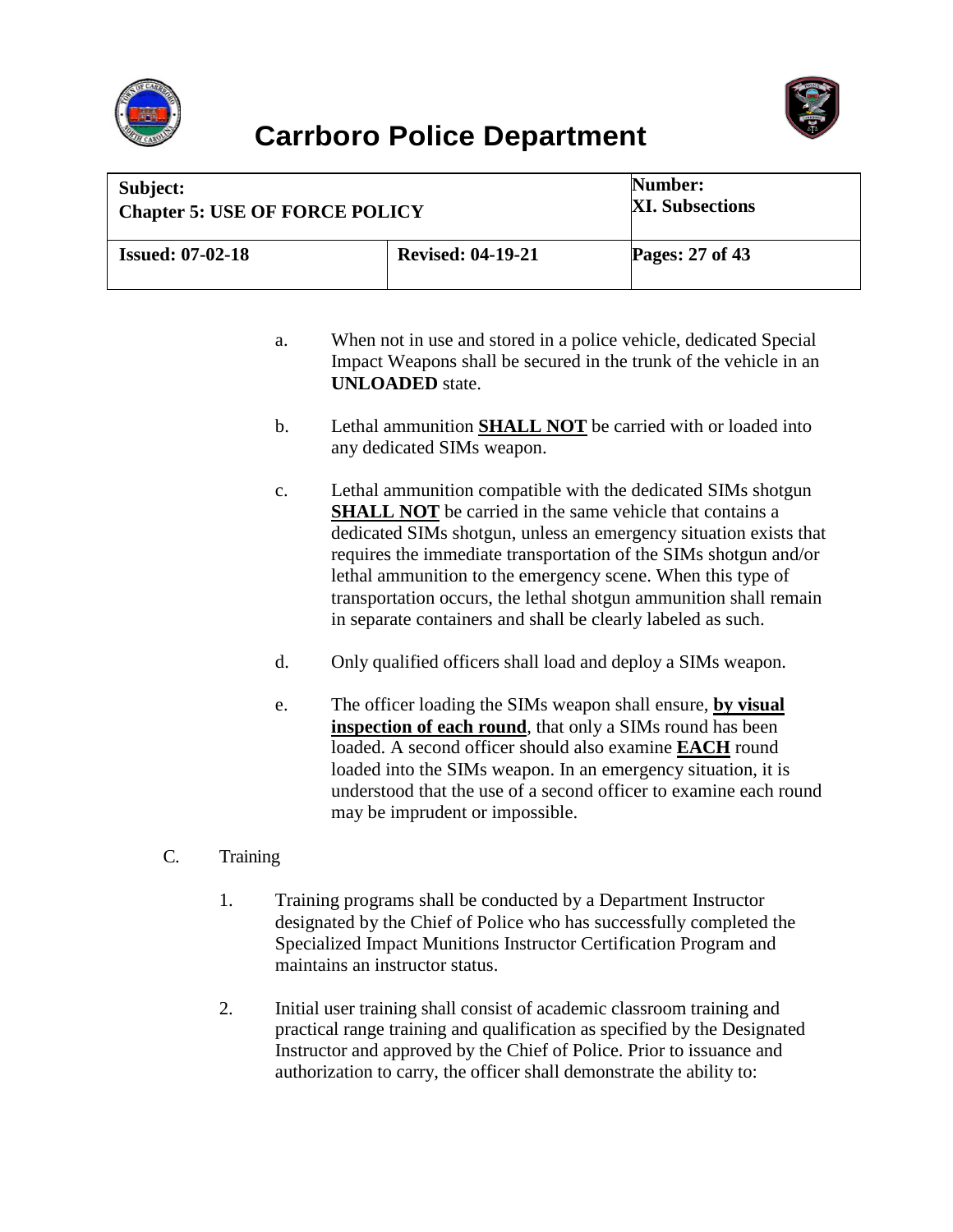



| Subject:                              |                          | Number:                |
|---------------------------------------|--------------------------|------------------------|
| <b>Chapter 5: USE OF FORCE POLICY</b> |                          | <b>XI. Subsections</b> |
| <b>Issued: 07-02-18</b>               | <b>Revised: 04-19-21</b> | Pages: 27 of 43        |

- a. When not in use and stored in a police vehicle, dedicated Special Impact Weapons shall be secured in the trunk of the vehicle in an **UNLOADED** state.
- b. Lethal ammunition **SHALL NOT** be carried with or loaded into any dedicated SIMs weapon.
- c. Lethal ammunition compatible with the dedicated SIMs shotgun **SHALL NOT** be carried in the same vehicle that contains a dedicated SIMs shotgun, unless an emergency situation exists that requires the immediate transportation of the SIMs shotgun and/or lethal ammunition to the emergency scene. When this type of transportation occurs, the lethal shotgun ammunition shall remain in separate containers and shall be clearly labeled as such.
- d. Only qualified officers shall load and deploy a SIMs weapon.
- e. The officer loading the SIMs weapon shall ensure, **by visual inspection of each round**, that only a SIMs round has been loaded. A second officer should also examine **EACH** round loaded into the SIMs weapon. In an emergency situation, it is understood that the use of a second officer to examine each round may be imprudent or impossible.
- C. Training
	- 1. Training programs shall be conducted by a Department Instructor designated by the Chief of Police who has successfully completed the Specialized Impact Munitions Instructor Certification Program and maintains an instructor status.
	- 2. Initial user training shall consist of academic classroom training and practical range training and qualification as specified by the Designated Instructor and approved by the Chief of Police. Prior to issuance and authorization to carry, the officer shall demonstrate the ability to: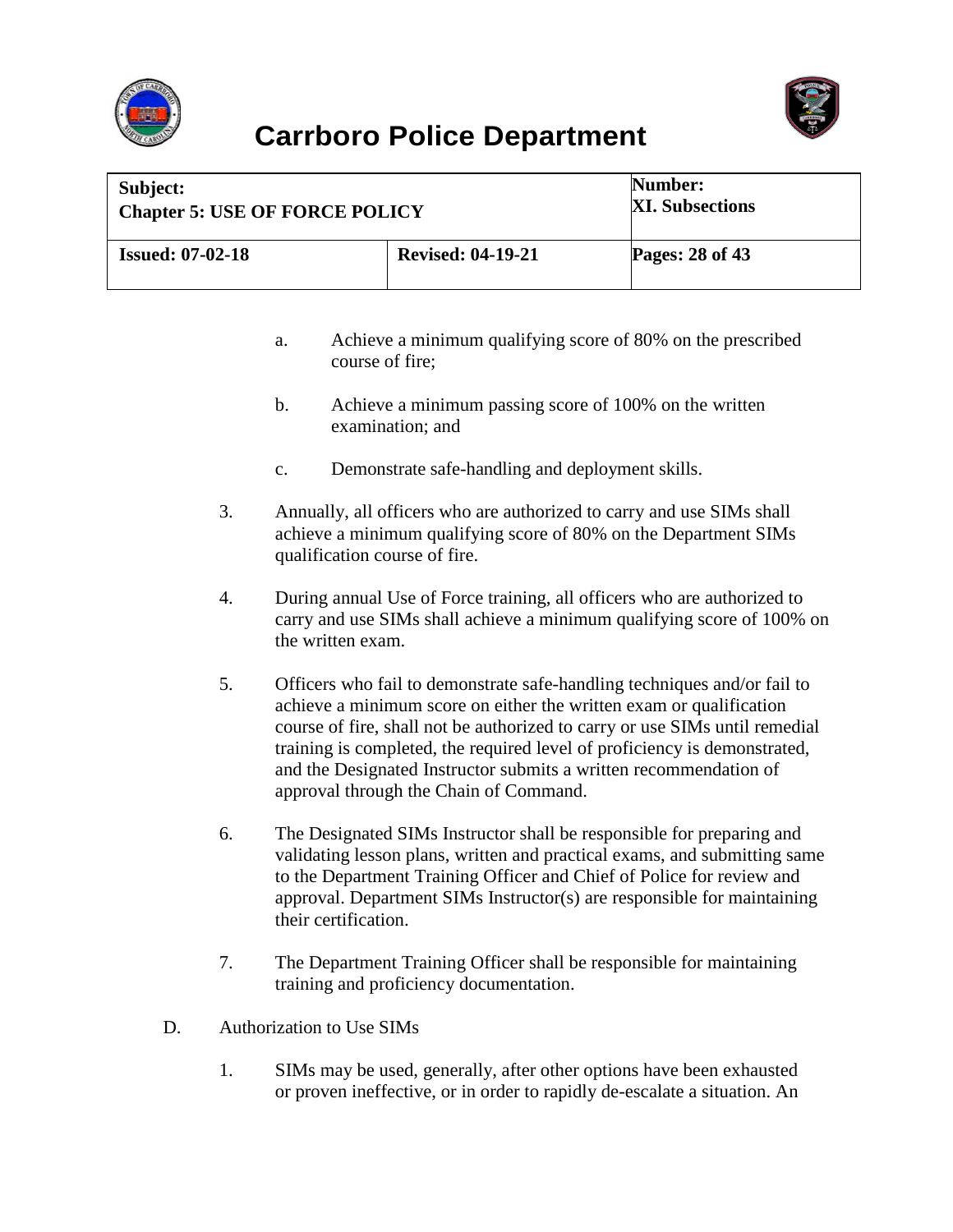



| Subject:                              |                          | Number:                |
|---------------------------------------|--------------------------|------------------------|
| <b>Chapter 5: USE OF FORCE POLICY</b> |                          | <b>XI. Subsections</b> |
| <b>Issued: 07-02-18</b>               | <b>Revised: 04-19-21</b> | Pages: 28 of 43        |

- a. Achieve a minimum qualifying score of 80% on the prescribed course of fire;
- b. Achieve a minimum passing score of 100% on the written examination; and
- c. Demonstrate safe-handling and deployment skills.
- 3. Annually, all officers who are authorized to carry and use SIMs shall achieve a minimum qualifying score of 80% on the Department SIMs qualification course of fire.
- 4. During annual Use of Force training, all officers who are authorized to carry and use SIMs shall achieve a minimum qualifying score of 100% on the written exam.
- 5. Officers who fail to demonstrate safe-handling techniques and/or fail to achieve a minimum score on either the written exam or qualification course of fire, shall not be authorized to carry or use SIMs until remedial training is completed, the required level of proficiency is demonstrated, and the Designated Instructor submits a written recommendation of approval through the Chain of Command.
- 6. The Designated SIMs Instructor shall be responsible for preparing and validating lesson plans, written and practical exams, and submitting same to the Department Training Officer and Chief of Police for review and approval. Department SIMs Instructor(s) are responsible for maintaining their certification.
- 7. The Department Training Officer shall be responsible for maintaining training and proficiency documentation.
- D. Authorization to Use SIMs
	- 1. SIMs may be used, generally, after other options have been exhausted or proven ineffective, or in order to rapidly de-escalate a situation. An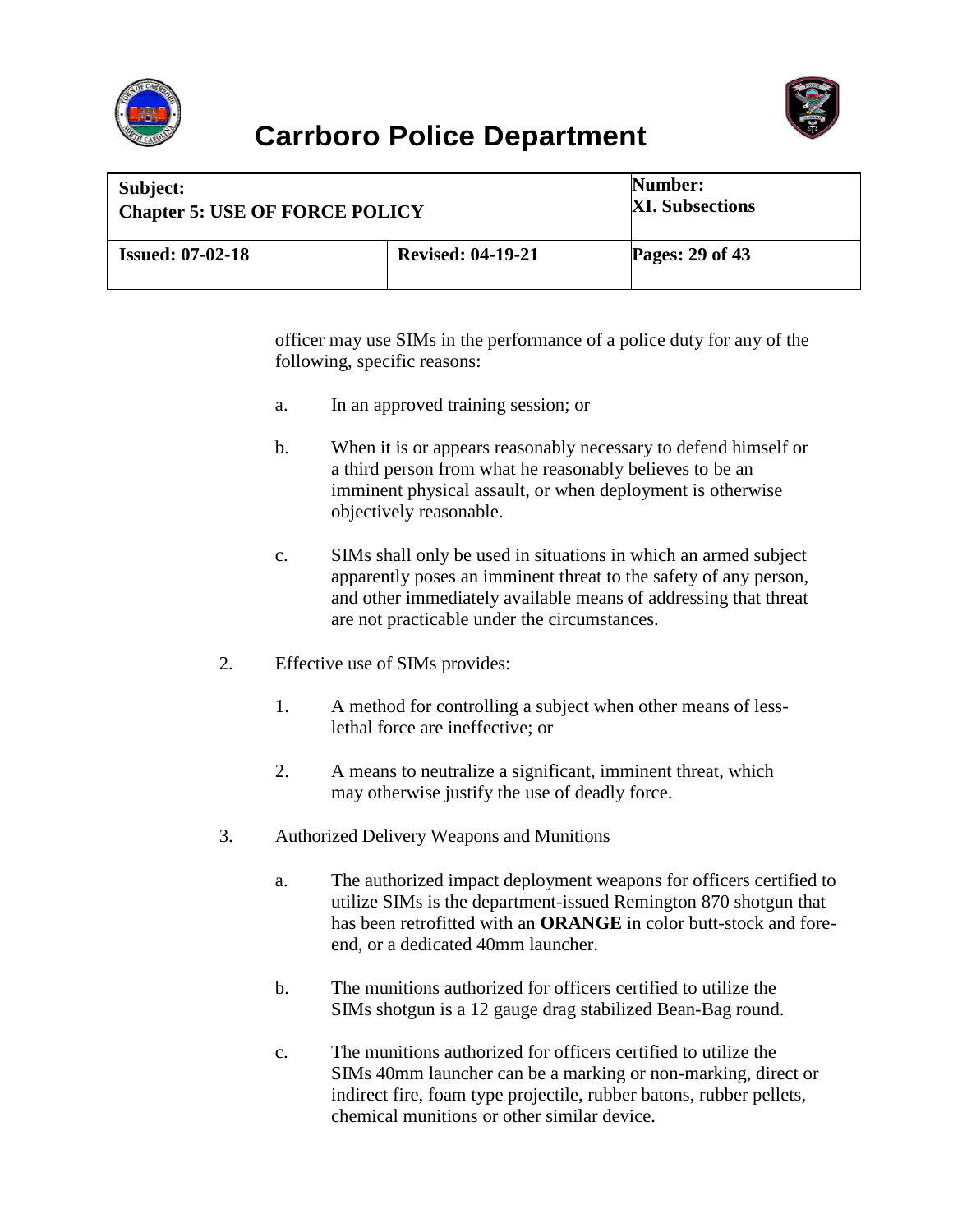



| Subject:                              |                          | Number:                |
|---------------------------------------|--------------------------|------------------------|
| <b>Chapter 5: USE OF FORCE POLICY</b> |                          | <b>XI. Subsections</b> |
| <b>Issued: 07-02-18</b>               | <b>Revised: 04-19-21</b> | <b>Pages: 29 of 43</b> |

officer may use SIMs in the performance of a police duty for any of the following, specific reasons:

- a. In an approved training session; or
- b. When it is or appears reasonably necessary to defend himself or a third person from what he reasonably believes to be an imminent physical assault, or when deployment is otherwise objectively reasonable.
- c. SIMs shall only be used in situations in which an armed subject apparently poses an imminent threat to the safety of any person, and other immediately available means of addressing that threat are not practicable under the circumstances.
- 2. Effective use of SIMs provides:
	- 1. A method for controlling a subject when other means of lesslethal force are ineffective; or
	- 2. A means to neutralize a significant, imminent threat, which may otherwise justify the use of deadly force.
- 3. Authorized Delivery Weapons and Munitions
	- a. The authorized impact deployment weapons for officers certified to utilize SIMs is the department-issued Remington 870 shotgun that has been retrofitted with an **ORANGE** in color butt-stock and foreend, or a dedicated 40mm launcher.
	- b. The munitions authorized for officers certified to utilize the SIMs shotgun is a 12 gauge drag stabilized Bean-Bag round.
	- c. The munitions authorized for officers certified to utilize the SIMs 40mm launcher can be a marking or non-marking, direct or indirect fire, foam type projectile, rubber batons, rubber pellets, chemical munitions or other similar device.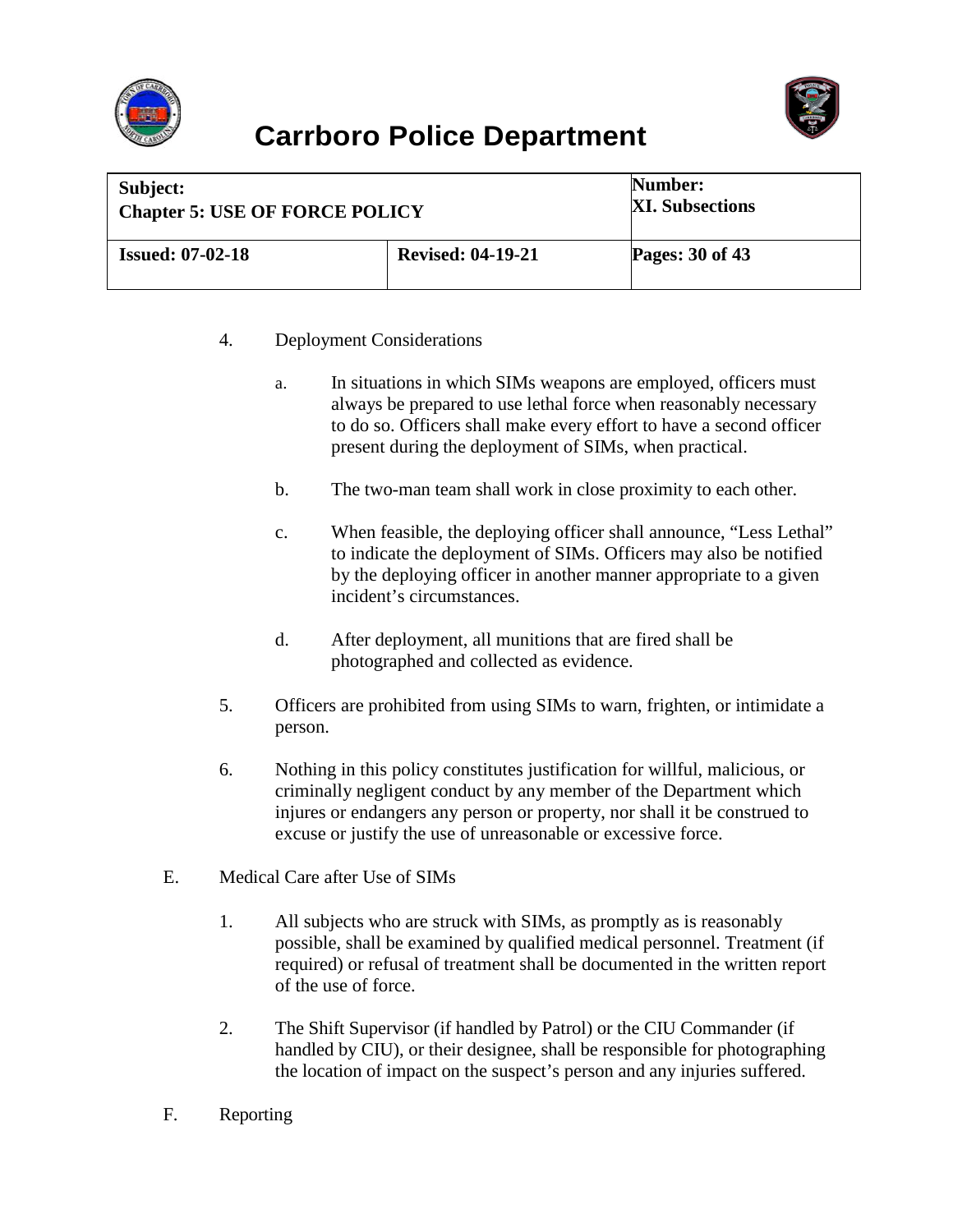



| Subject:                              |                          | Number:                |
|---------------------------------------|--------------------------|------------------------|
| <b>Chapter 5: USE OF FORCE POLICY</b> |                          | <b>XI. Subsections</b> |
| <b>Issued: 07-02-18</b>               | <b>Revised: 04-19-21</b> | Pages: 30 of 43        |

- 4. Deployment Considerations
	- a. In situations in which SIMs weapons are employed, officers must always be prepared to use lethal force when reasonably necessary to do so. Officers shall make every effort to have a second officer present during the deployment of SIMs, when practical.
	- b. The two-man team shall work in close proximity to each other.
	- c. When feasible, the deploying officer shall announce, "Less Lethal" to indicate the deployment of SIMs. Officers may also be notified by the deploying officer in another manner appropriate to a given incident's circumstances.
	- d. After deployment, all munitions that are fired shall be photographed and collected as evidence.
- 5. Officers are prohibited from using SIMs to warn, frighten, or intimidate a person.
- 6. Nothing in this policy constitutes justification for willful, malicious, or criminally negligent conduct by any member of the Department which injures or endangers any person or property, nor shall it be construed to excuse or justify the use of unreasonable or excessive force.
- E. Medical Care after Use of SIMs
	- 1. All subjects who are struck with SIMs, as promptly as is reasonably possible, shall be examined by qualified medical personnel. Treatment (if required) or refusal of treatment shall be documented in the written report of the use of force.
	- 2. The Shift Supervisor (if handled by Patrol) or the CIU Commander (if handled by CIU), or their designee, shall be responsible for photographing the location of impact on the suspect's person and any injuries suffered.
- F. Reporting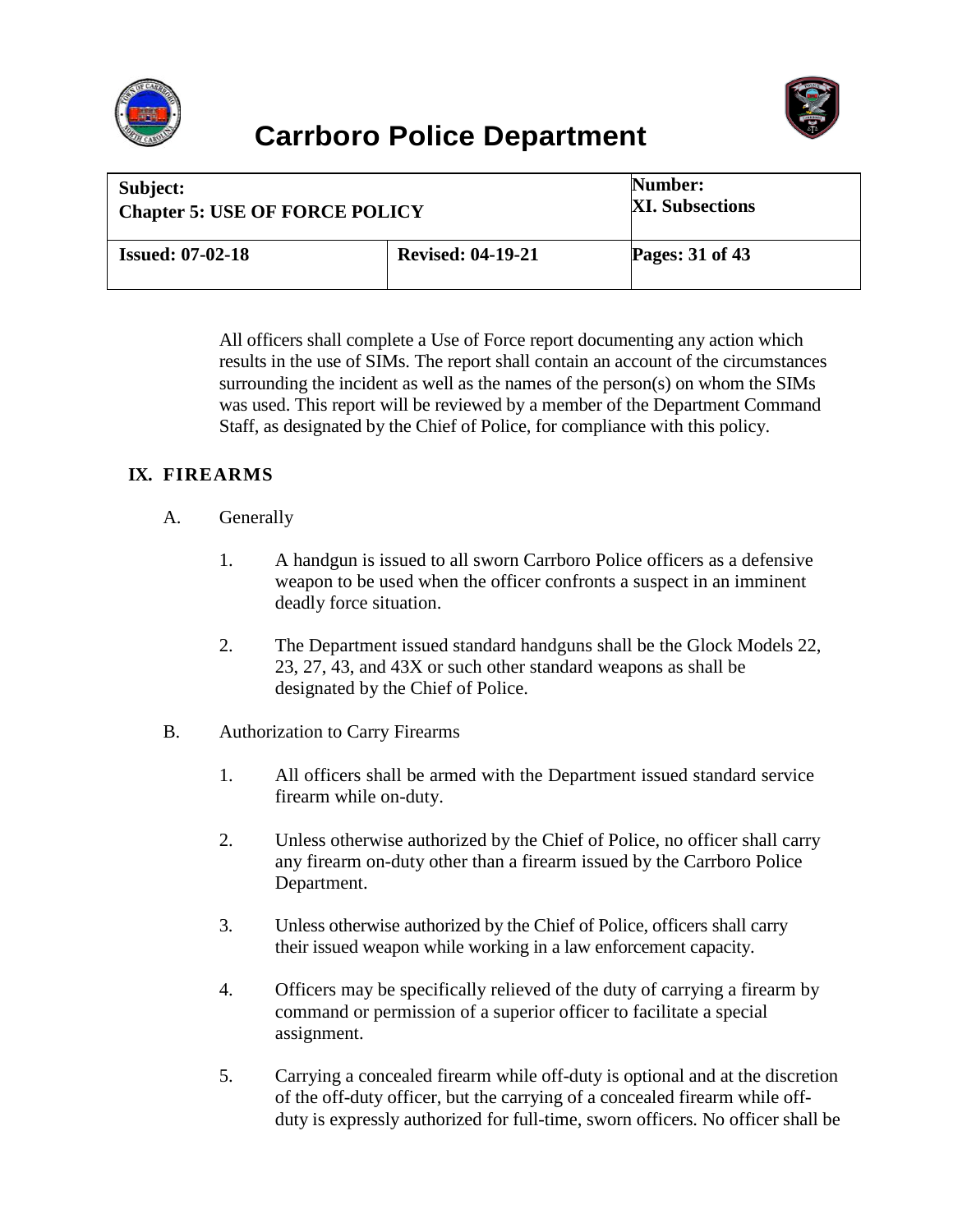



| Subject:                              |                          | Number:                |
|---------------------------------------|--------------------------|------------------------|
| <b>Chapter 5: USE OF FORCE POLICY</b> |                          | <b>XI. Subsections</b> |
| <b>Issued: 07-02-18</b>               | <b>Revised: 04-19-21</b> | Pages: 31 of 43        |

All officers shall complete a Use of Force report documenting any action which results in the use of SIMs. The report shall contain an account of the circumstances surrounding the incident as well as the names of the person(s) on whom the SIMs was used. This report will be reviewed by a member of the Department Command Staff, as designated by the Chief of Police, for compliance with this policy.

#### **IX. FIREARMS**

- A. Generally
	- 1. A handgun is issued to all sworn Carrboro Police officers as a defensive weapon to be used when the officer confronts a suspect in an imminent deadly force situation.
	- 2. The Department issued standard handguns shall be the Glock Models 22, 23, 27, 43, and 43X or such other standard weapons as shall be designated by the Chief of Police.
- B. Authorization to Carry Firearms
	- 1. All officers shall be armed with the Department issued standard service firearm while on-duty.
	- 2. Unless otherwise authorized by the Chief of Police, no officer shall carry any firearm on-duty other than a firearm issued by the Carrboro Police Department.
	- 3. Unless otherwise authorized by the Chief of Police, officers shall carry their issued weapon while working in a law enforcement capacity.
	- 4. Officers may be specifically relieved of the duty of carrying a firearm by command or permission of a superior officer to facilitate a special assignment.
	- 5. Carrying a concealed firearm while off-duty is optional and at the discretion of the off-duty officer, but the carrying of a concealed firearm while offduty is expressly authorized for full-time, sworn officers. No officer shall be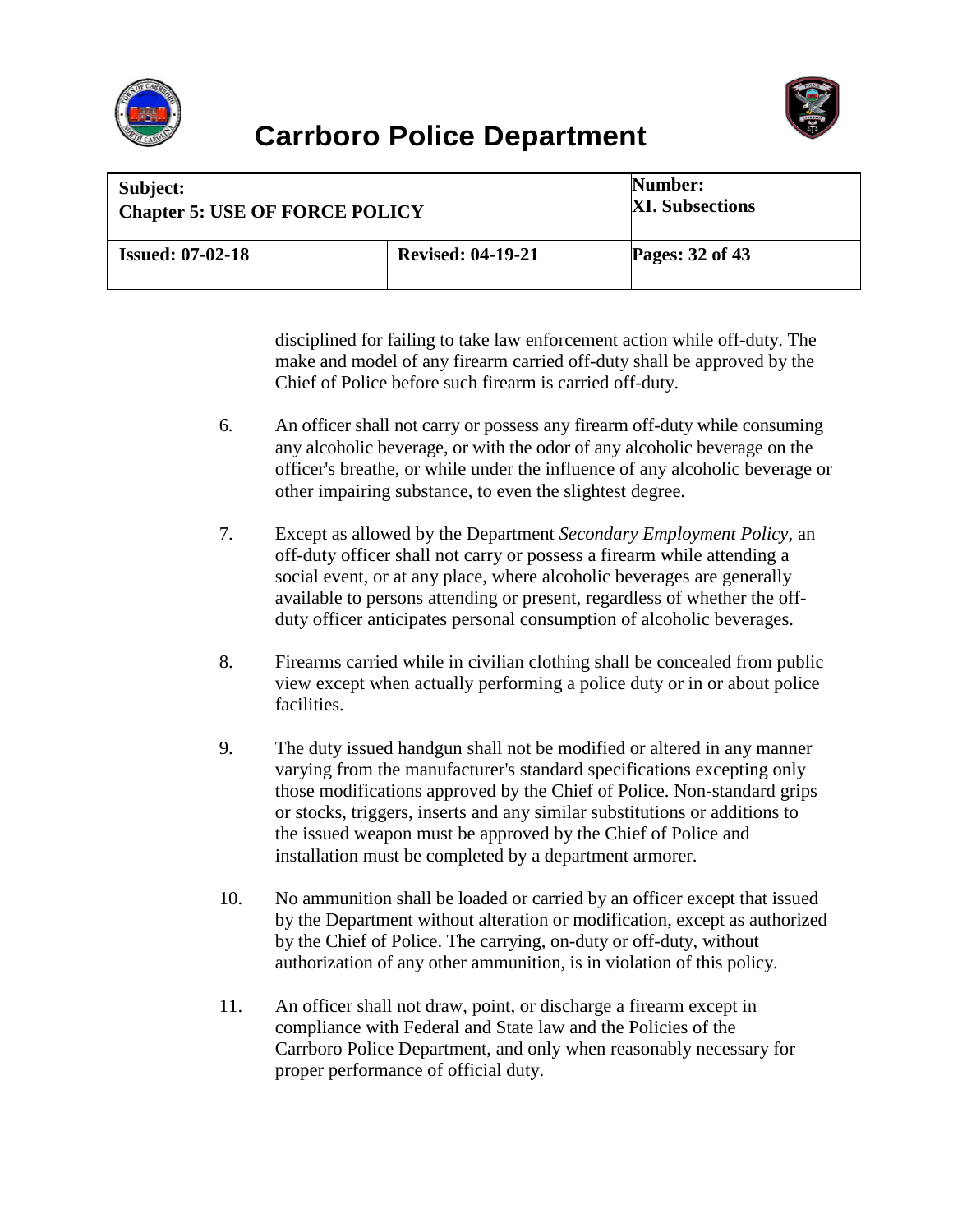



| Subject:                              |                          | Number:                |
|---------------------------------------|--------------------------|------------------------|
| <b>Chapter 5: USE OF FORCE POLICY</b> |                          | <b>XI. Subsections</b> |
| <b>Issued: 07-02-18</b>               | <b>Revised: 04-19-21</b> | Pages: 32 of 43        |

disciplined for failing to take law enforcement action while off-duty. The make and model of any firearm carried off-duty shall be approved by the Chief of Police before such firearm is carried off-duty.

- 6. An officer shall not carry or possess any firearm off-duty while consuming any alcoholic beverage, or with the odor of any alcoholic beverage on the officer's breathe, or while under the influence of any alcoholic beverage or other impairing substance, to even the slightest degree.
- 7. Except as allowed by the Department *Secondary Employment Policy,* an off-duty officer shall not carry or possess a firearm while attending a social event, or at any place, where alcoholic beverages are generally available to persons attending or present, regardless of whether the offduty officer anticipates personal consumption of alcoholic beverages.
- 8. Firearms carried while in civilian clothing shall be concealed from public view except when actually performing a police duty or in or about police facilities.
- 9. The duty issued handgun shall not be modified or altered in any manner varying from the manufacturer's standard specifications excepting only those modifications approved by the Chief of Police. Non-standard grips or stocks, triggers, inserts and any similar substitutions or additions to the issued weapon must be approved by the Chief of Police and installation must be completed by a department armorer.
- 10. No ammunition shall be loaded or carried by an officer except that issued by the Department without alteration or modification, except as authorized by the Chief of Police. The carrying, on-duty or off-duty, without authorization of any other ammunition, is in violation of this policy.
- 11. An officer shall not draw, point, or discharge a firearm except in compliance with Federal and State law and the Policies of the Carrboro Police Department, and only when reasonably necessary for proper performance of official duty.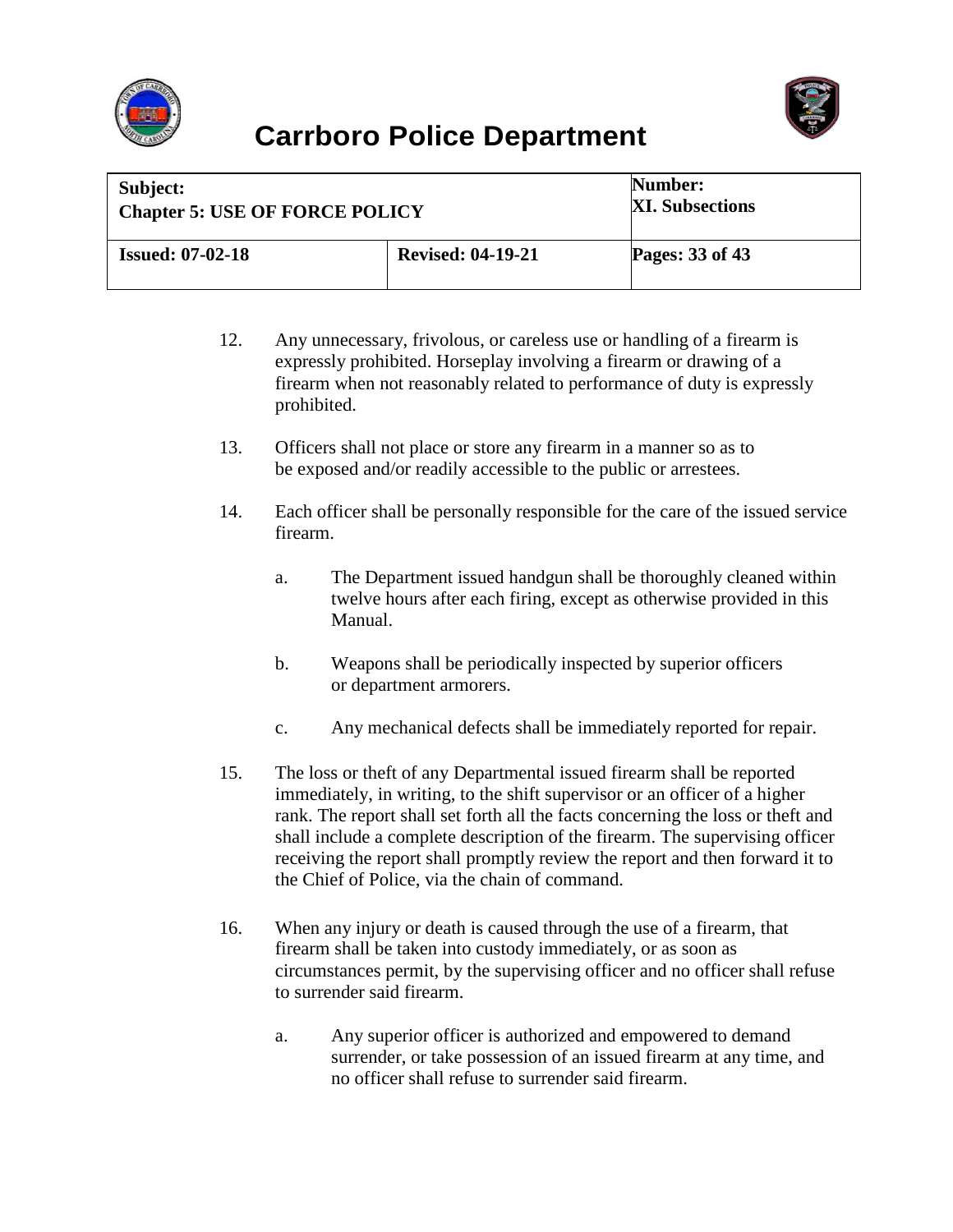



| Subject:                              |                          | Number:                |
|---------------------------------------|--------------------------|------------------------|
| <b>Chapter 5: USE OF FORCE POLICY</b> |                          | <b>XI. Subsections</b> |
| <b>Issued: 07-02-18</b>               | <b>Revised: 04-19-21</b> | Pages: 33 of 43        |

- 12. Any unnecessary, frivolous, or careless use or handling of a firearm is expressly prohibited. Horseplay involving a firearm or drawing of a firearm when not reasonably related to performance of duty is expressly prohibited.
- 13. Officers shall not place or store any firearm in a manner so as to be exposed and/or readily accessible to the public or arrestees.
- 14. Each officer shall be personally responsible for the care of the issued service firearm.
	- a. The Department issued handgun shall be thoroughly cleaned within twelve hours after each firing, except as otherwise provided in this Manual.
	- b. Weapons shall be periodically inspected by superior officers or department armorers.
	- c. Any mechanical defects shall be immediately reported for repair.
- 15. The loss or theft of any Departmental issued firearm shall be reported immediately, in writing, to the shift supervisor or an officer of a higher rank. The report shall set forth all the facts concerning the loss or theft and shall include a complete description of the firearm. The supervising officer receiving the report shall promptly review the report and then forward it to the Chief of Police, via the chain of command.
- 16. When any injury or death is caused through the use of a firearm, that firearm shall be taken into custody immediately, or as soon as circumstances permit, by the supervising officer and no officer shall refuse to surrender said firearm.
	- a. Any superior officer is authorized and empowered to demand surrender, or take possession of an issued firearm at any time, and no officer shall refuse to surrender said firearm.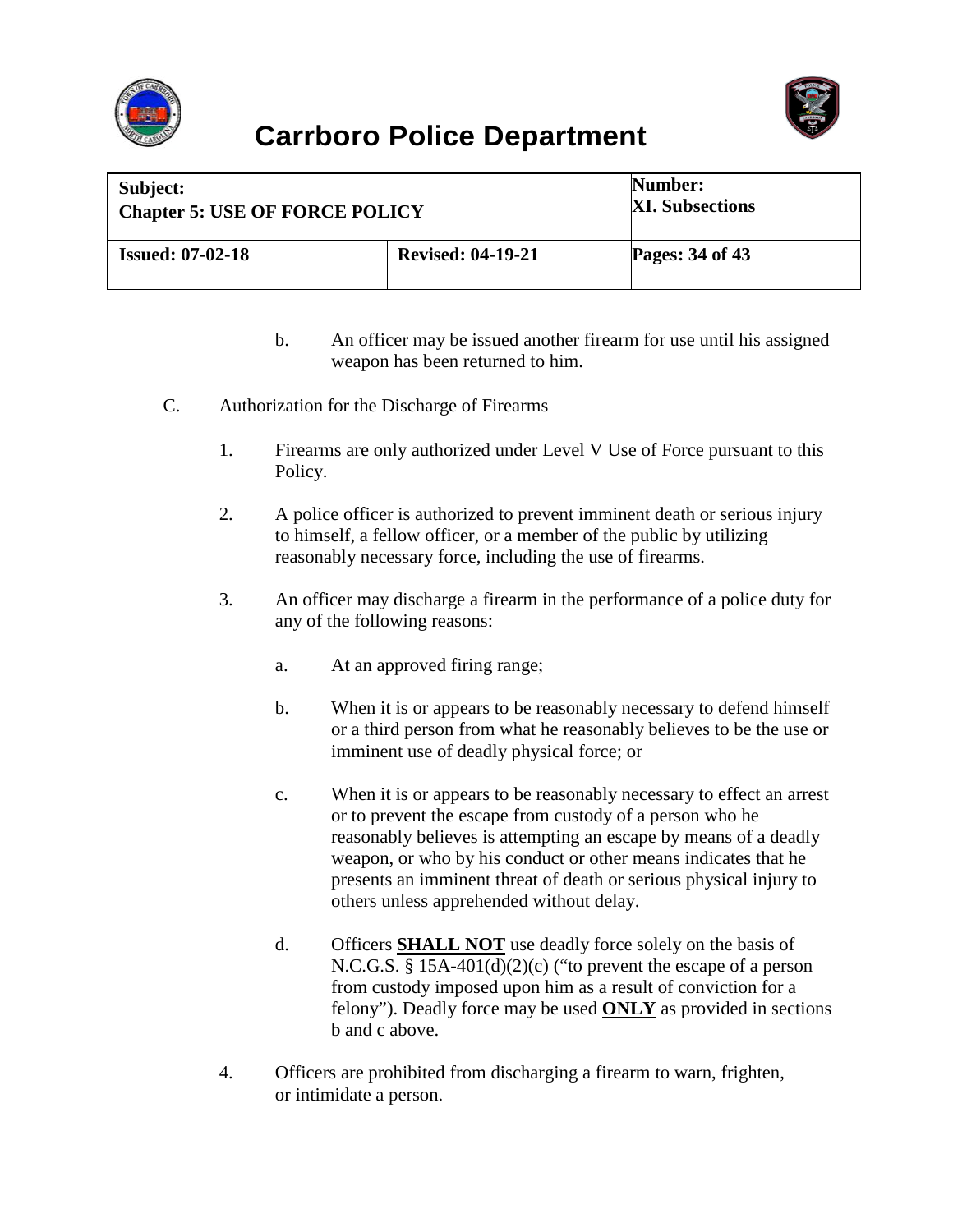



| Subject:                              |                          | Number:                |
|---------------------------------------|--------------------------|------------------------|
| <b>Chapter 5: USE OF FORCE POLICY</b> |                          | <b>XI. Subsections</b> |
| <b>Issued: 07-02-18</b>               | <b>Revised: 04-19-21</b> | Pages: 34 of 43        |

- b. An officer may be issued another firearm for use until his assigned weapon has been returned to him.
- C. Authorization for the Discharge of Firearms
	- 1. Firearms are only authorized under Level V Use of Force pursuant to this Policy.
	- 2. A police officer is authorized to prevent imminent death or serious injury to himself, a fellow officer, or a member of the public by utilizing reasonably necessary force, including the use of firearms.
	- 3. An officer may discharge a firearm in the performance of a police duty for any of the following reasons:
		- a. At an approved firing range;
		- b. When it is or appears to be reasonably necessary to defend himself or a third person from what he reasonably believes to be the use or imminent use of deadly physical force; or
		- c. When it is or appears to be reasonably necessary to effect an arrest or to prevent the escape from custody of a person who he reasonably believes is attempting an escape by means of a deadly weapon, or who by his conduct or other means indicates that he presents an imminent threat of death or serious physical injury to others unless apprehended without delay.
		- d. Officers **SHALL NOT** use deadly force solely on the basis of N.C.G.S. § 15A-401(d)(2)(c) ("to prevent the escape of a person from custody imposed upon him as a result of conviction for a felony"). Deadly force may be used **ONLY** as provided in sections b and c above.
	- 4. Officers are prohibited from discharging a firearm to warn, frighten, or intimidate a person.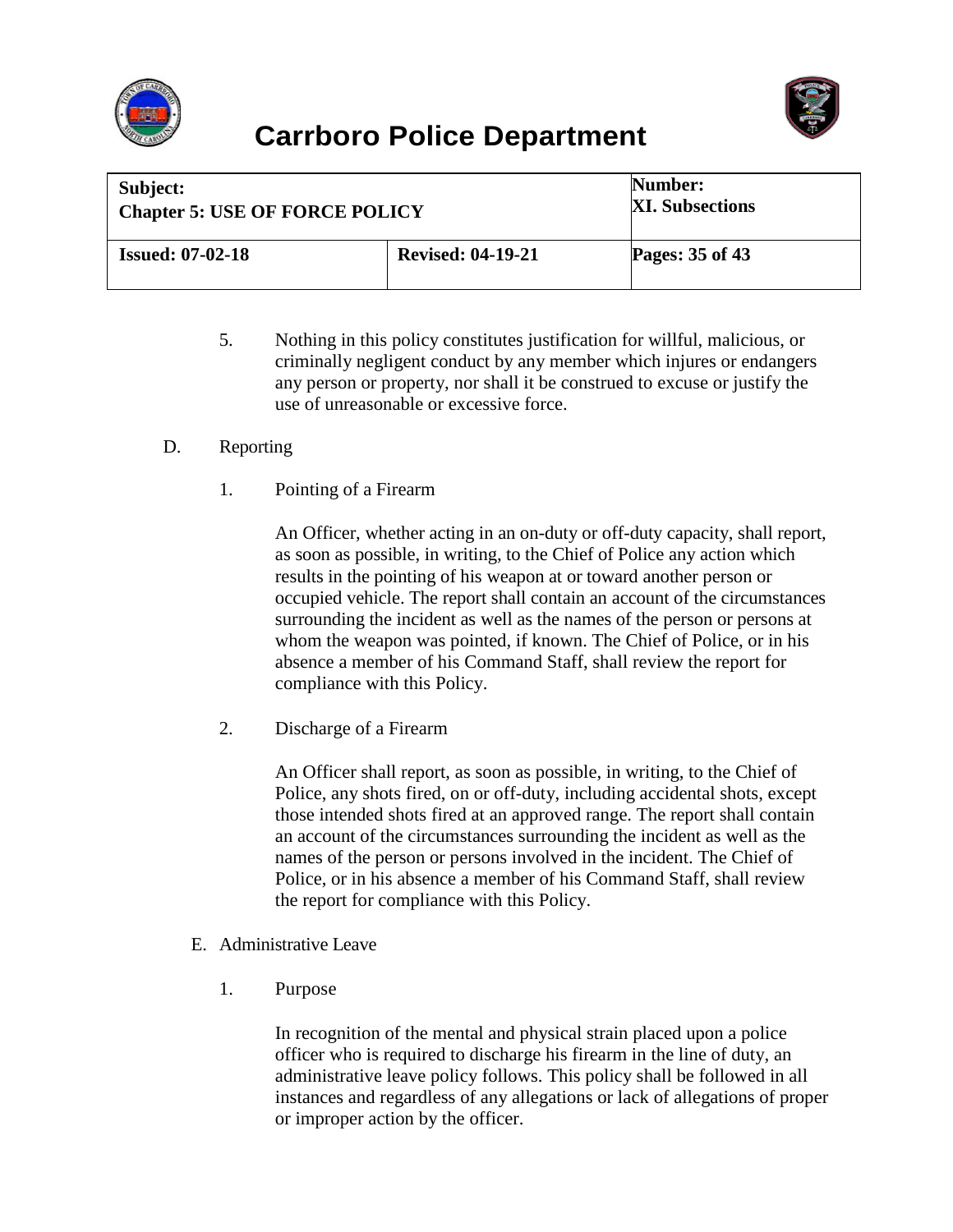



| Subject:                              |                          | Number:                |
|---------------------------------------|--------------------------|------------------------|
| <b>Chapter 5: USE OF FORCE POLICY</b> |                          | <b>XI. Subsections</b> |
| <b>Issued: 07-02-18</b>               | <b>Revised: 04-19-21</b> | Pages: 35 of 43        |

- 5. Nothing in this policy constitutes justification for willful, malicious, or criminally negligent conduct by any member which injures or endangers any person or property, nor shall it be construed to excuse or justify the use of unreasonable or excessive force.
- D. Reporting
	- 1. Pointing of a Firearm

An Officer, whether acting in an on-duty or off-duty capacity, shall report, as soon as possible, in writing, to the Chief of Police any action which results in the pointing of his weapon at or toward another person or occupied vehicle. The report shall contain an account of the circumstances surrounding the incident as well as the names of the person or persons at whom the weapon was pointed, if known. The Chief of Police, or in his absence a member of his Command Staff, shall review the report for compliance with this Policy.

2. Discharge of a Firearm

An Officer shall report, as soon as possible, in writing, to the Chief of Police, any shots fired, on or off-duty, including accidental shots, except those intended shots fired at an approved range. The report shall contain an account of the circumstances surrounding the incident as well as the names of the person or persons involved in the incident. The Chief of Police, or in his absence a member of his Command Staff, shall review the report for compliance with this Policy.

- E. Administrative Leave
	- 1. Purpose

In recognition of the mental and physical strain placed upon a police officer who is required to discharge his firearm in the line of duty, an administrative leave policy follows. This policy shall be followed in all instances and regardless of any allegations or lack of allegations of proper or improper action by the officer.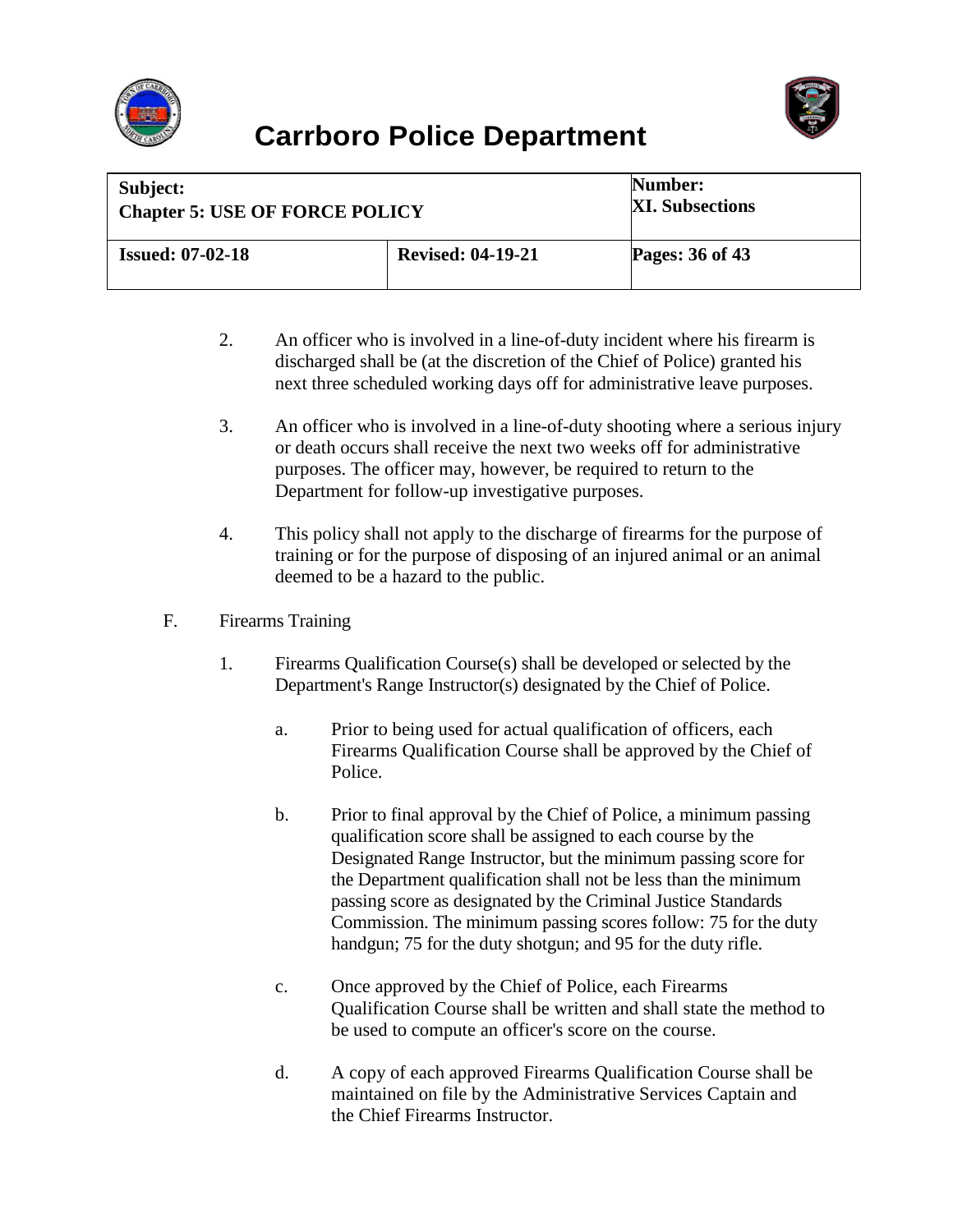



| Subject:                              |                          | Number:                |
|---------------------------------------|--------------------------|------------------------|
| <b>Chapter 5: USE OF FORCE POLICY</b> |                          | <b>XI. Subsections</b> |
| <b>Issued: 07-02-18</b>               | <b>Revised: 04-19-21</b> | Pages: 36 of 43        |

- 2. An officer who is involved in a line-of-duty incident where his firearm is discharged shall be (at the discretion of the Chief of Police) granted his next three scheduled working days off for administrative leave purposes.
- 3. An officer who is involved in a line-of-duty shooting where a serious injury or death occurs shall receive the next two weeks off for administrative purposes. The officer may, however, be required to return to the Department for follow-up investigative purposes.
- 4. This policy shall not apply to the discharge of firearms for the purpose of training or for the purpose of disposing of an injured animal or an animal deemed to be a hazard to the public.
- F. Firearms Training
	- 1. Firearms Qualification Course(s) shall be developed or selected by the Department's Range Instructor(s) designated by the Chief of Police.
		- a. Prior to being used for actual qualification of officers, each Firearms Qualification Course shall be approved by the Chief of Police.
		- b. Prior to final approval by the Chief of Police, a minimum passing qualification score shall be assigned to each course by the Designated Range Instructor, but the minimum passing score for the Department qualification shall not be less than the minimum passing score as designated by the Criminal Justice Standards Commission. The minimum passing scores follow: 75 for the duty handgun; 75 for the duty shotgun; and 95 for the duty rifle.
		- c. Once approved by the Chief of Police, each Firearms Qualification Course shall be written and shall state the method to be used to compute an officer's score on the course.
		- d. A copy of each approved Firearms Qualification Course shall be maintained on file by the Administrative Services Captain and the Chief Firearms Instructor.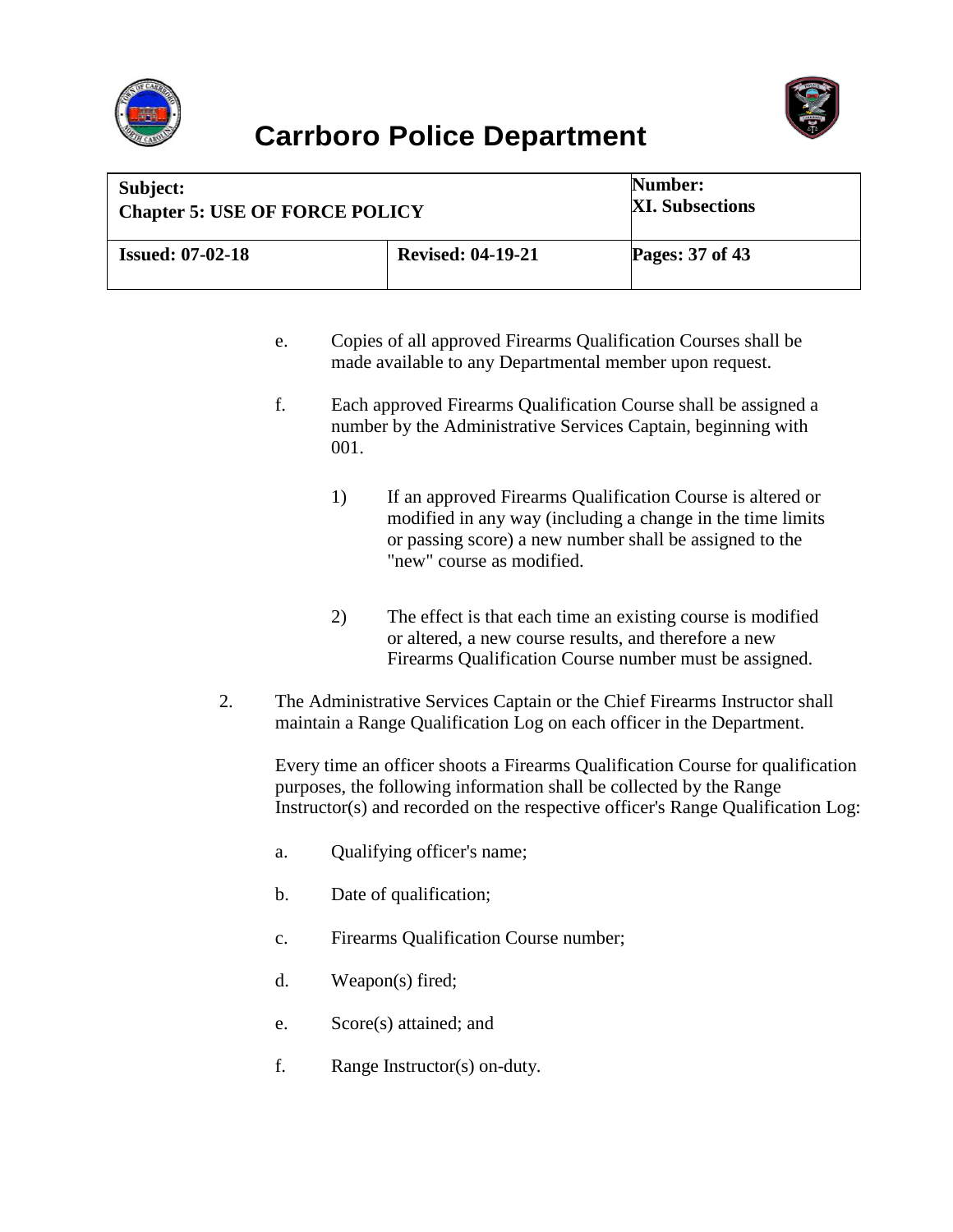



| Subject:                              |                          | Number:                |
|---------------------------------------|--------------------------|------------------------|
| <b>Chapter 5: USE OF FORCE POLICY</b> |                          | <b>XI. Subsections</b> |
| <b>Issued: 07-02-18</b>               | <b>Revised: 04-19-21</b> | Pages: 37 of 43        |

- e. Copies of all approved Firearms Qualification Courses shall be made available to any Departmental member upon request.
- f. Each approved Firearms Qualification Course shall be assigned a number by the Administrative Services Captain, beginning with 001.
	- 1) If an approved Firearms Qualification Course is altered or modified in any way (including a change in the time limits or passing score) a new number shall be assigned to the "new" course as modified.
	- 2) The effect is that each time an existing course is modified or altered, a new course results, and therefore a new Firearms Qualification Course number must be assigned.
- 2. The Administrative Services Captain or the Chief Firearms Instructor shall maintain a Range Qualification Log on each officer in the Department.

Every time an officer shoots a Firearms Qualification Course for qualification purposes, the following information shall be collected by the Range Instructor(s) and recorded on the respective officer's Range Qualification Log:

- a. Qualifying officer's name;
- b. Date of qualification;
- c. Firearms Qualification Course number;
- d. Weapon(s) fired;
- e. Score(s) attained; and
- f. Range Instructor(s) on-duty.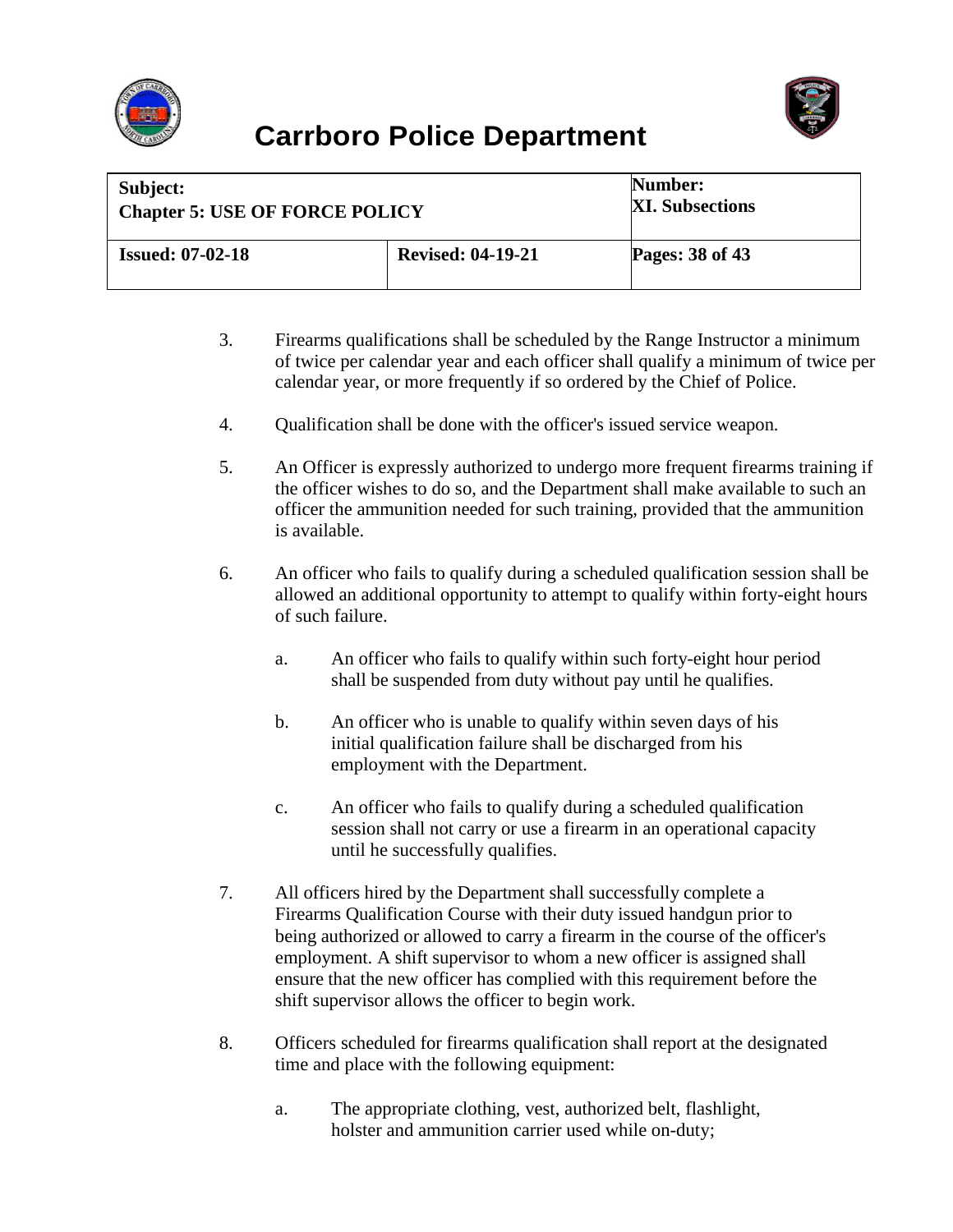



| Subject:                              |                          | Number:                |
|---------------------------------------|--------------------------|------------------------|
| <b>Chapter 5: USE OF FORCE POLICY</b> |                          | <b>XI. Subsections</b> |
| <b>Issued: 07-02-18</b>               | <b>Revised: 04-19-21</b> | Pages: 38 of 43        |

- 3. Firearms qualifications shall be scheduled by the Range Instructor a minimum of twice per calendar year and each officer shall qualify a minimum of twice per calendar year, or more frequently if so ordered by the Chief of Police.
- 4. Qualification shall be done with the officer's issued service weapon.
- 5. An Officer is expressly authorized to undergo more frequent firearms training if the officer wishes to do so, and the Department shall make available to such an officer the ammunition needed for such training, provided that the ammunition is available.
- 6. An officer who fails to qualify during a scheduled qualification session shall be allowed an additional opportunity to attempt to qualify within forty-eight hours of such failure.
	- a. An officer who fails to qualify within such forty-eight hour period shall be suspended from duty without pay until he qualifies.
	- b. An officer who is unable to qualify within seven days of his initial qualification failure shall be discharged from his employment with the Department.
	- c. An officer who fails to qualify during a scheduled qualification session shall not carry or use a firearm in an operational capacity until he successfully qualifies.
- 7. All officers hired by the Department shall successfully complete a Firearms Qualification Course with their duty issued handgun prior to being authorized or allowed to carry a firearm in the course of the officer's employment. A shift supervisor to whom a new officer is assigned shall ensure that the new officer has complied with this requirement before the shift supervisor allows the officer to begin work.
- 8. Officers scheduled for firearms qualification shall report at the designated time and place with the following equipment:
	- a. The appropriate clothing, vest, authorized belt, flashlight, holster and ammunition carrier used while on-duty;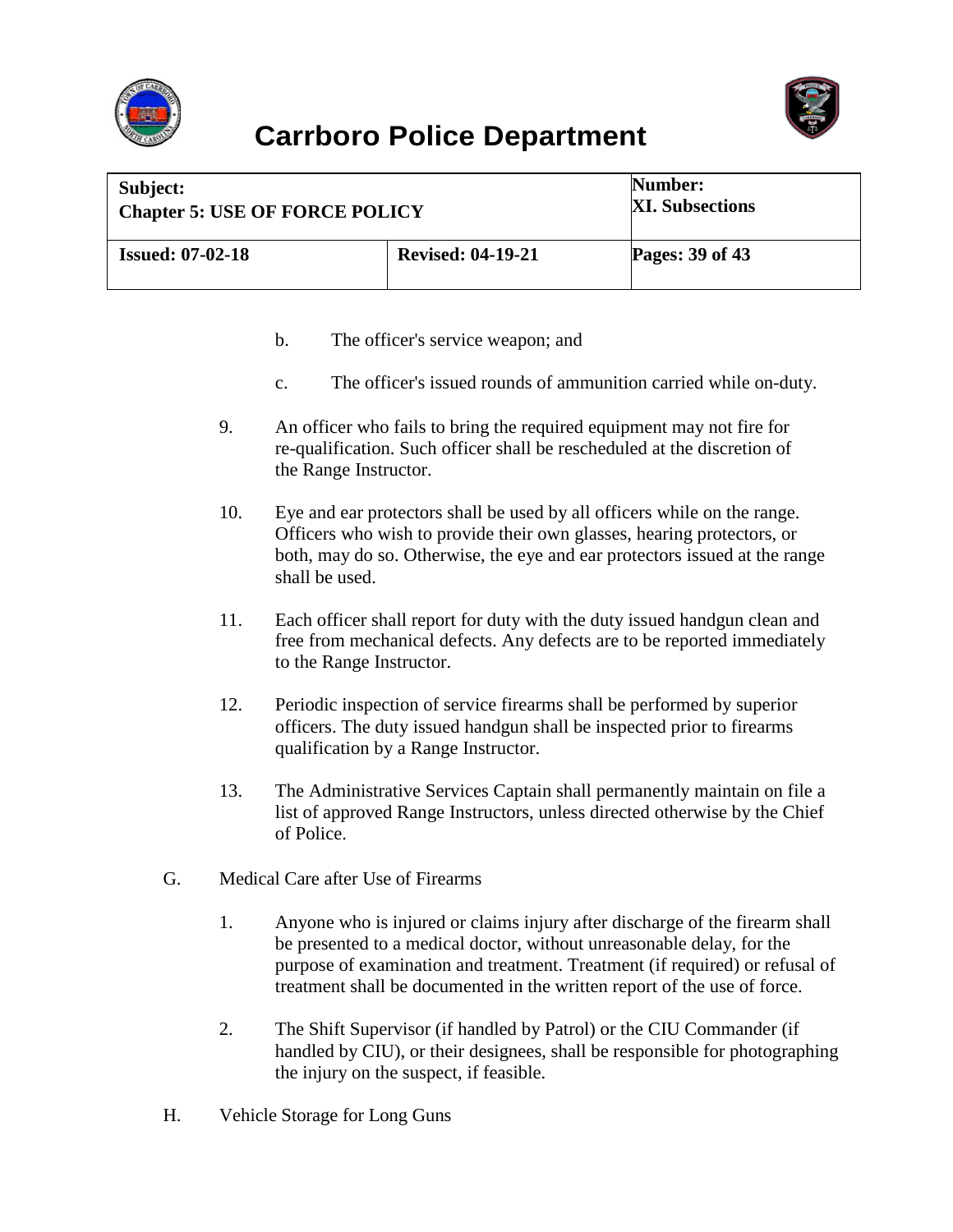



| Subject:                              |                          | Number:                |
|---------------------------------------|--------------------------|------------------------|
| <b>Chapter 5: USE OF FORCE POLICY</b> |                          | <b>XI. Subsections</b> |
| <b>Issued: 07-02-18</b>               | <b>Revised: 04-19-21</b> | Pages: 39 of 43        |

- b. The officer's service weapon; and
- c. The officer's issued rounds of ammunition carried while on-duty.
- 9. An officer who fails to bring the required equipment may not fire for re-qualification. Such officer shall be rescheduled at the discretion of the Range Instructor.
- 10. Eye and ear protectors shall be used by all officers while on the range. Officers who wish to provide their own glasses, hearing protectors, or both, may do so. Otherwise, the eye and ear protectors issued at the range shall be used.
- 11. Each officer shall report for duty with the duty issued handgun clean and free from mechanical defects. Any defects are to be reported immediately to the Range Instructor.
- 12. Periodic inspection of service firearms shall be performed by superior officers. The duty issued handgun shall be inspected prior to firearms qualification by a Range Instructor.
- 13. The Administrative Services Captain shall permanently maintain on file a list of approved Range Instructors, unless directed otherwise by the Chief of Police.
- G. Medical Care after Use of Firearms
	- 1. Anyone who is injured or claims injury after discharge of the firearm shall be presented to a medical doctor, without unreasonable delay, for the purpose of examination and treatment. Treatment (if required) or refusal of treatment shall be documented in the written report of the use of force.
	- 2. The Shift Supervisor (if handled by Patrol) or the CIU Commander (if handled by CIU), or their designees, shall be responsible for photographing the injury on the suspect, if feasible.
- H. Vehicle Storage for Long Guns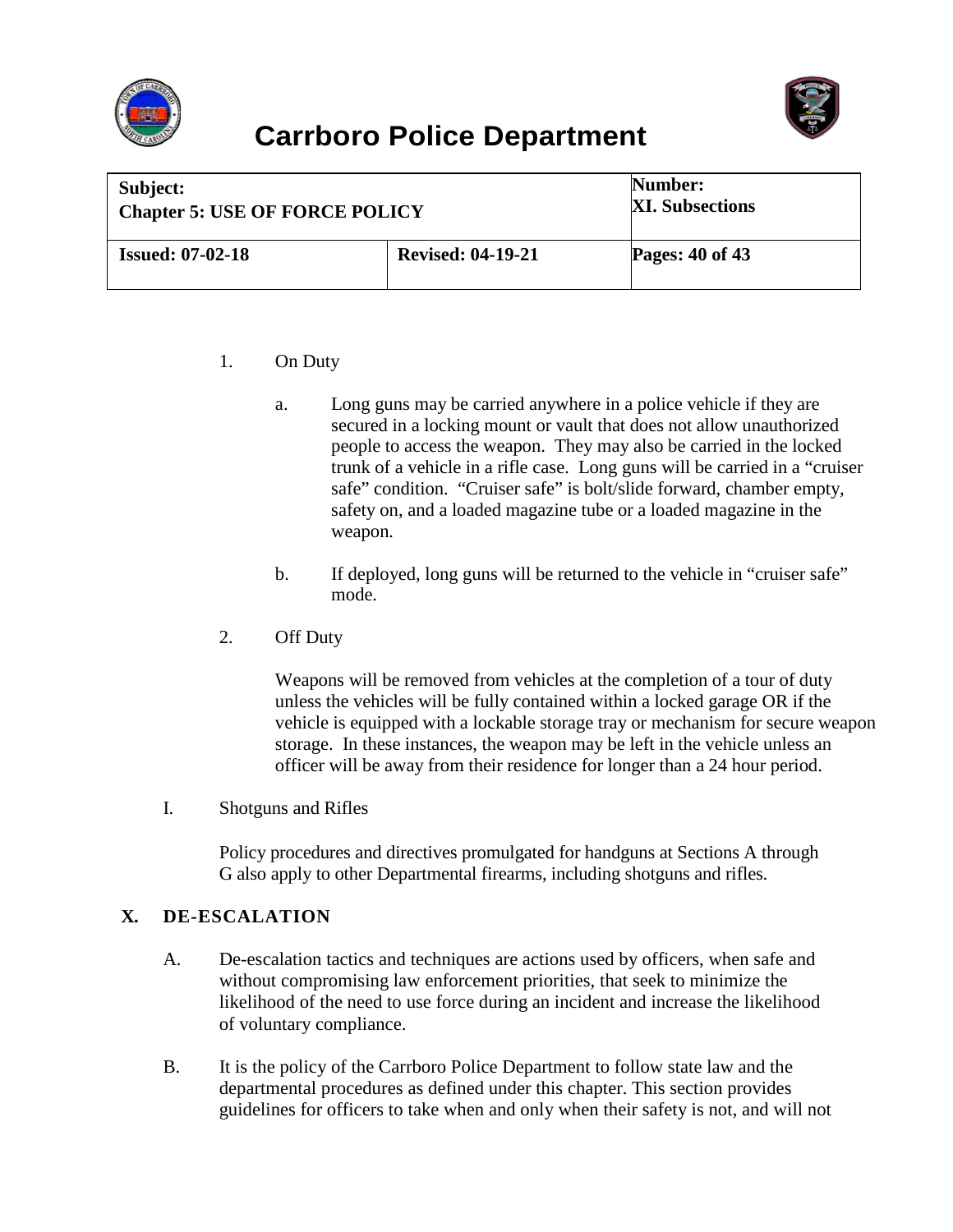



| Subject:                              |                          | Number:                |
|---------------------------------------|--------------------------|------------------------|
| <b>Chapter 5: USE OF FORCE POLICY</b> |                          | <b>XI. Subsections</b> |
| <b>Issued: 07-02-18</b>               | <b>Revised: 04-19-21</b> | <b>Pages: 40 of 43</b> |

- 1. On Duty
	- a. Long guns may be carried anywhere in a police vehicle if they are secured in a locking mount or vault that does not allow unauthorized people to access the weapon. They may also be carried in the locked trunk of a vehicle in a rifle case. Long guns will be carried in a "cruiser safe" condition. "Cruiser safe" is bolt/slide forward, chamber empty, safety on, and a loaded magazine tube or a loaded magazine in the weapon.
	- b. If deployed, long guns will be returned to the vehicle in "cruiser safe" mode.
- 2. Off Duty

Weapons will be removed from vehicles at the completion of a tour of duty unless the vehicles will be fully contained within a locked garage OR if the vehicle is equipped with a lockable storage tray or mechanism for secure weapon storage. In these instances, the weapon may be left in the vehicle unless an officer will be away from their residence for longer than a 24 hour period.

I. Shotguns and Rifles

Policy procedures and directives promulgated for handguns at Sections A through G also apply to other Departmental firearms, including shotguns and rifles.

#### **X. DE-ESCALATION**

- A. De-escalation tactics and techniques are actions used by officers, when safe and without compromising law enforcement priorities, that seek to minimize the likelihood of the need to use force during an incident and increase the likelihood of voluntary compliance.
- B. It is the policy of the Carrboro Police Department to follow state law and the departmental procedures as defined under this chapter. This section provides guidelines for officers to take when and only when their safety is not, and will not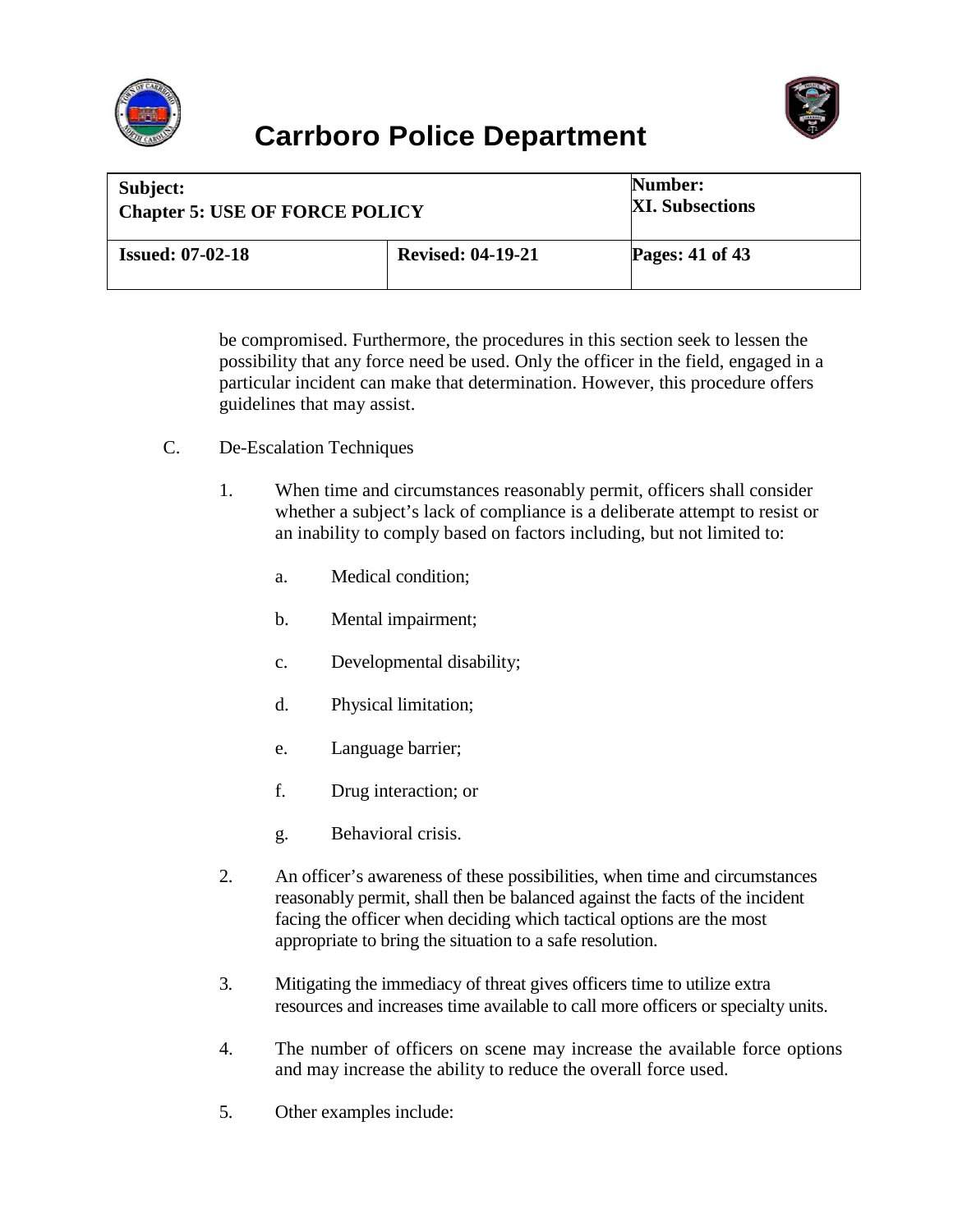



| Subject:                              |                          | Number:                |
|---------------------------------------|--------------------------|------------------------|
| <b>Chapter 5: USE OF FORCE POLICY</b> |                          | <b>XI. Subsections</b> |
| <b>Issued: 07-02-18</b>               | <b>Revised: 04-19-21</b> | <b>Pages: 41 of 43</b> |

be compromised. Furthermore, the procedures in this section seek to lessen the possibility that any force need be used. Only the officer in the field, engaged in a particular incident can make that determination. However, this procedure offers guidelines that may assist.

- C. De-Escalation Techniques
	- 1. When time and circumstances reasonably permit, officers shall consider whether a subject's lack of compliance is a deliberate attempt to resist or an inability to comply based on factors including, but not limited to:
		- a. Medical condition;
		- b. Mental impairment;
		- c. Developmental disability;
		- d. Physical limitation;
		- e. Language barrier;
		- f. Drug interaction; or
		- g. Behavioral crisis.
	- 2. An officer's awareness of these possibilities, when time and circumstances reasonably permit, shall then be balanced against the facts of the incident facing the officer when deciding which tactical options are the most appropriate to bring the situation to a safe resolution.
	- 3. Mitigating the immediacy of threat gives officers time to utilize extra resources and increases time available to call more officers or specialty units.
	- 4. The number of officers on scene may increase the available force options and may increase the ability to reduce the overall force used.
	- 5. Other examples include: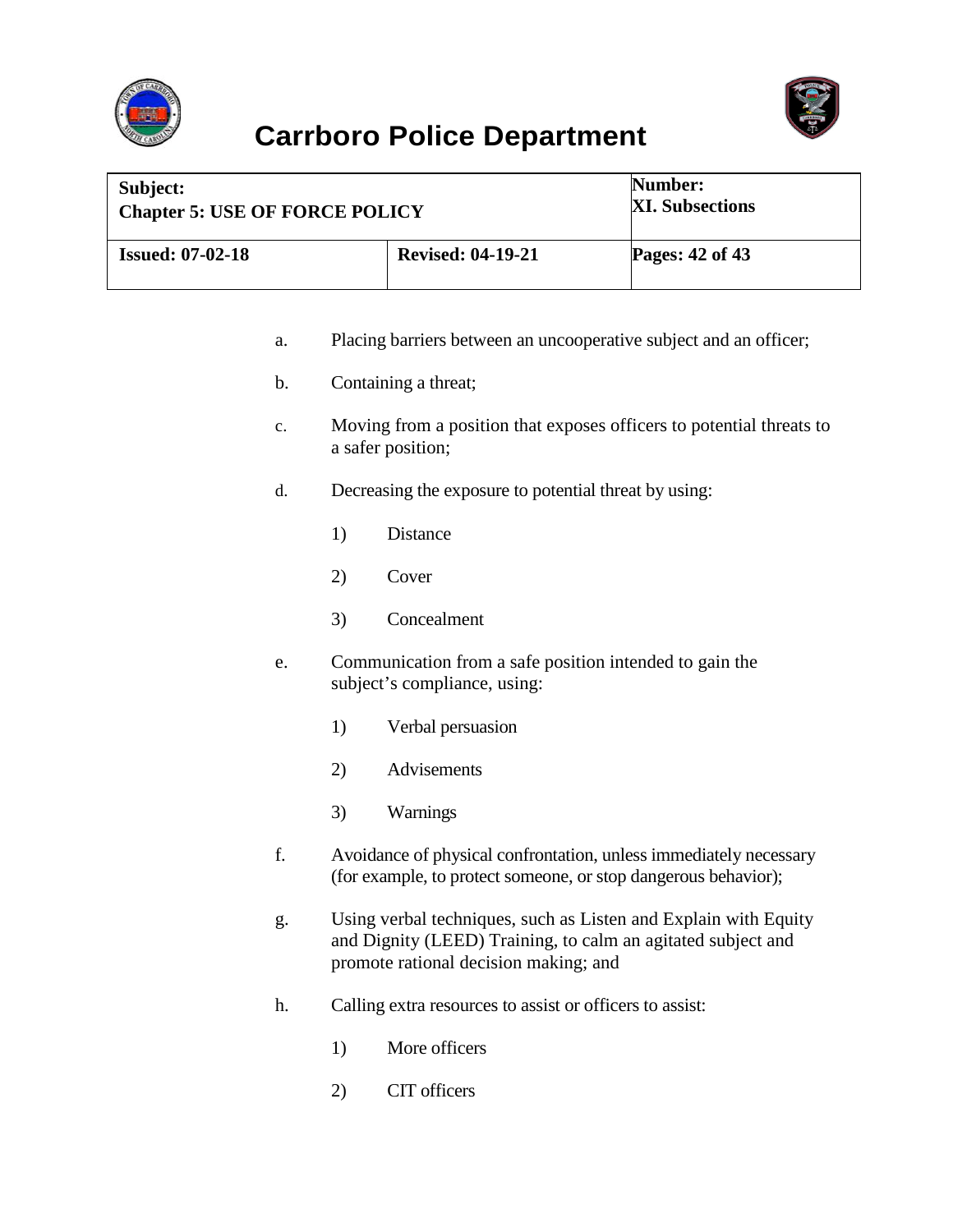



| Subject:                              |                          | Number:                |
|---------------------------------------|--------------------------|------------------------|
| <b>Chapter 5: USE OF FORCE POLICY</b> |                          | <b>XI. Subsections</b> |
| <b>Issued: 07-02-18</b>               | <b>Revised: 04-19-21</b> | Pages: 42 of 43        |

- a. Placing barriers between an uncooperative subject and an officer;
- b. Containing a threat;
- c. Moving from a position that exposes officers to potential threats to a safer position;
- d. Decreasing the exposure to potential threat by using:
	- 1) Distance
	- 2) Cover
	- 3) Concealment
- e. Communication from a safe position intended to gain the subject's compliance, using:
	- 1) Verbal persuasion
	- 2) Advisements
	- 3) Warnings
- f. Avoidance of physical confrontation, unless immediately necessary (for example, to protect someone, or stop dangerous behavior);
- g. Using verbal techniques, such as Listen and Explain with Equity and Dignity (LEED) Training, to calm an agitated subject and promote rational decision making; and
- h. Calling extra resources to assist or officers to assist:
	- 1) More officers
	- 2) CIT officers